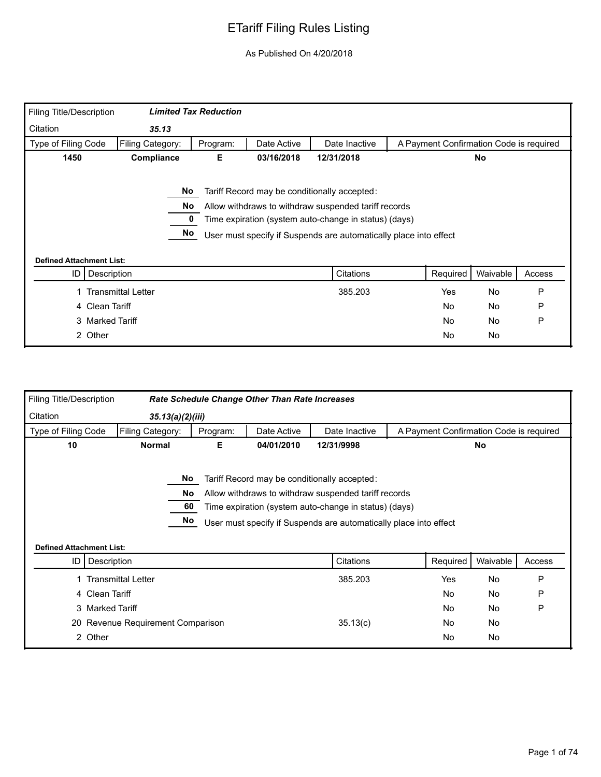| Filing Title/Description        |                           | <b>Limited Tax Reduction</b> |             |                                                                   |                                         |           |        |
|---------------------------------|---------------------------|------------------------------|-------------|-------------------------------------------------------------------|-----------------------------------------|-----------|--------|
| Citation                        | 35.13                     |                              |             |                                                                   |                                         |           |        |
| Type of Filing Code             | Filing Category:          | Program:                     | Date Active | Date Inactive                                                     | A Payment Confirmation Code is required |           |        |
| 1450                            | Compliance                | Е.                           | 03/16/2018  | 12/31/2018                                                        |                                         | No        |        |
|                                 |                           |                              |             |                                                                   |                                         |           |        |
|                                 | No.                       |                              |             | Tariff Record may be conditionally accepted:                      |                                         |           |        |
|                                 | No                        |                              |             | Allow withdraws to withdraw suspended tariff records              |                                         |           |        |
|                                 |                           |                              |             | Time expiration (system auto-change in status) (days)             |                                         |           |        |
|                                 | No                        |                              |             | User must specify if Suspends are automatically place into effect |                                         |           |        |
|                                 |                           |                              |             |                                                                   |                                         |           |        |
| <b>Defined Attachment List:</b> |                           |                              |             |                                                                   |                                         |           |        |
| ID                              | Description               |                              |             | Citations                                                         | Required                                | Waivable  | Access |
|                                 | <b>Transmittal Letter</b> |                              |             | 385.203                                                           | <b>Yes</b>                              | <b>No</b> | P      |
| 4 Clean Tariff                  |                           |                              |             |                                                                   | No                                      | No        | P      |
| 3 Marked Tariff                 |                           |                              |             |                                                                   | <b>No</b>                               | No        | P      |
| 2 Other                         |                           |                              |             |                                                                   | No                                      | No        |        |
|                                 |                           |                              |             |                                                                   |                                         |           |        |

| <b>Filing Title/Description</b> |                                   |          | <b>Rate Schedule Change Other Than Rate Increases</b> |                                                                                                                                                                                                                                    |                                         |           |        |
|---------------------------------|-----------------------------------|----------|-------------------------------------------------------|------------------------------------------------------------------------------------------------------------------------------------------------------------------------------------------------------------------------------------|-----------------------------------------|-----------|--------|
| Citation                        | 35.13(a)(2)(iii)                  |          |                                                       |                                                                                                                                                                                                                                    |                                         |           |        |
| Type of Filing Code             | Filing Category:                  | Program: | Date Active                                           | Date Inactive                                                                                                                                                                                                                      | A Payment Confirmation Code is required |           |        |
| 10                              | <b>Normal</b>                     | Е        | 04/01/2010                                            | 12/31/9998                                                                                                                                                                                                                         |                                         | <b>No</b> |        |
| <b>Defined Attachment List:</b> | No<br>No<br>60<br>No              |          |                                                       | Tariff Record may be conditionally accepted:<br>Allow withdraws to withdraw suspended tariff records<br>Time expiration (system auto-change in status) (days)<br>User must specify if Suspends are automatically place into effect |                                         |           |        |
| ID                              | Description                       |          |                                                       | Citations                                                                                                                                                                                                                          | Required                                | Waivable  | Access |
|                                 | 1 Transmittal Letter              |          |                                                       | 385.203                                                                                                                                                                                                                            | Yes                                     | No        | P      |
|                                 | 4 Clean Tariff                    |          |                                                       |                                                                                                                                                                                                                                    | No                                      | No        | P      |
|                                 | 3 Marked Tariff                   |          |                                                       |                                                                                                                                                                                                                                    | <b>No</b>                               | No        | P      |
|                                 |                                   |          |                                                       |                                                                                                                                                                                                                                    |                                         |           |        |
|                                 | 20 Revenue Requirement Comparison |          |                                                       | 35.13(c)                                                                                                                                                                                                                           | No                                      | No        |        |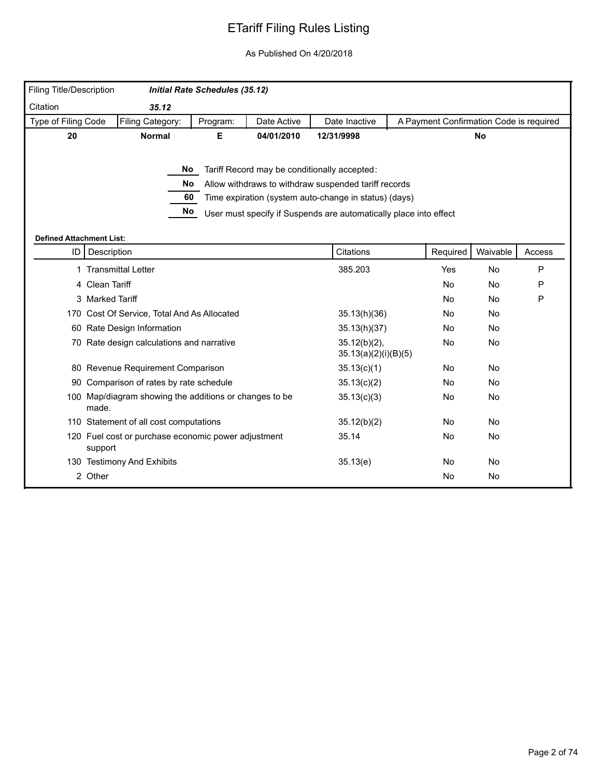| Filing Title/Description              |                                                                 | <b>Initial Rate Schedules (35.12)</b> |             |                                                                   |                                         |           |        |
|---------------------------------------|-----------------------------------------------------------------|---------------------------------------|-------------|-------------------------------------------------------------------|-----------------------------------------|-----------|--------|
| Citation                              | 35.12                                                           |                                       |             |                                                                   |                                         |           |        |
| Type of Filing Code                   | Filing Category:                                                | Program:                              | Date Active | Date Inactive                                                     | A Payment Confirmation Code is required |           |        |
| 20                                    | <b>Normal</b>                                                   | Е                                     | 04/01/2010  | 12/31/9998                                                        |                                         | <b>No</b> |        |
|                                       |                                                                 |                                       |             |                                                                   |                                         |           |        |
|                                       | No l                                                            |                                       |             | Tariff Record may be conditionally accepted:                      |                                         |           |        |
|                                       | No                                                              |                                       |             | Allow withdraws to withdraw suspended tariff records              |                                         |           |        |
|                                       | 60                                                              |                                       |             | Time expiration (system auto-change in status) (days)             |                                         |           |        |
|                                       | No                                                              |                                       |             | User must specify if Suspends are automatically place into effect |                                         |           |        |
|                                       |                                                                 |                                       |             |                                                                   |                                         |           |        |
| <b>Defined Attachment List:</b><br>ID | Description                                                     |                                       |             | Citations                                                         | Required                                | Waivable  | Access |
|                                       |                                                                 |                                       |             |                                                                   |                                         |           |        |
|                                       | 1 Transmittal Letter                                            |                                       |             | 385.203                                                           | Yes                                     | No        | P      |
|                                       | 4 Clean Tariff                                                  |                                       |             |                                                                   | No                                      | No        | P      |
|                                       | 3 Marked Tariff                                                 |                                       |             |                                                                   | No                                      | No        | P      |
|                                       | 170 Cost Of Service, Total And As Allocated                     |                                       |             | 35.13(h)(36)                                                      | <b>No</b>                               | <b>No</b> |        |
|                                       | 60 Rate Design Information                                      |                                       |             | 35.13(h)(37)                                                      | No                                      | No        |        |
|                                       | 70 Rate design calculations and narrative                       |                                       |             | $35.12(b)(2)$ ,<br>35.13(a)(2)(i)(B)(5)                           | No                                      | No        |        |
|                                       | 80 Revenue Requirement Comparison                               |                                       |             | 35.13(c)(1)                                                       | No                                      | No        |        |
|                                       | 90 Comparison of rates by rate schedule                         |                                       |             | 35.13(c)(2)                                                       | No.                                     | <b>No</b> |        |
|                                       | 100 Map/diagram showing the additions or changes to be<br>made. |                                       |             | 35.13(c)(3)                                                       | No                                      | No        |        |
|                                       | 110 Statement of all cost computations                          |                                       |             | 35.12(b)(2)                                                       | No                                      | No        |        |
|                                       | 120 Fuel cost or purchase economic power adjustment<br>support  |                                       |             | 35.14                                                             | No                                      | No        |        |
|                                       | 130 Testimony And Exhibits                                      |                                       |             | 35.13(e)                                                          | <b>No</b>                               | <b>No</b> |        |
|                                       | 2 Other                                                         |                                       |             |                                                                   | No                                      | No        |        |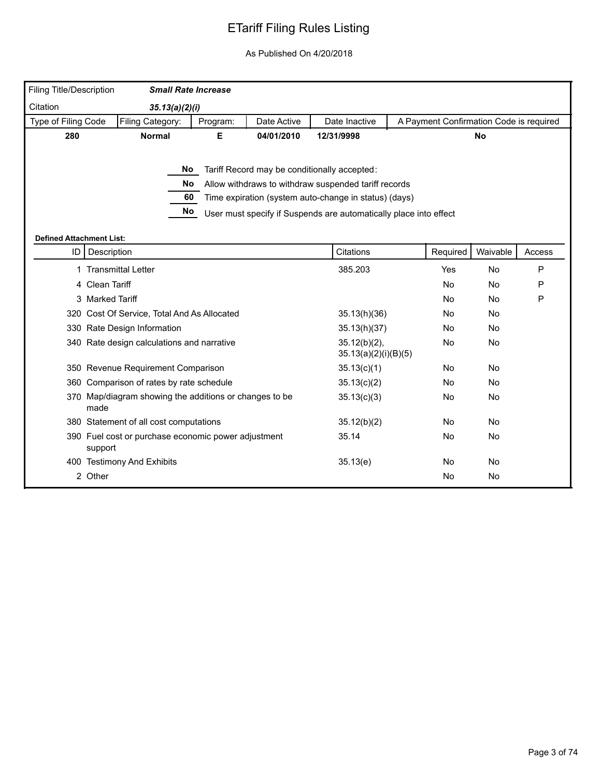| Filing Title/Description        | <b>Small Rate Increase</b>                                     |          |             |                                                                   |                                         |           |              |
|---------------------------------|----------------------------------------------------------------|----------|-------------|-------------------------------------------------------------------|-----------------------------------------|-----------|--------------|
| Citation                        | 35.13(a)(2)(i)                                                 |          |             |                                                                   |                                         |           |              |
| Type of Filing Code             | Filing Category:                                               | Program: | Date Active | Date Inactive                                                     | A Payment Confirmation Code is required |           |              |
| 280                             | <b>Normal</b>                                                  | Е        | 04/01/2010  | 12/31/9998                                                        |                                         | <b>No</b> |              |
|                                 |                                                                |          |             |                                                                   |                                         |           |              |
|                                 |                                                                | No l     |             | Tariff Record may be conditionally accepted:                      |                                         |           |              |
|                                 | No                                                             |          |             | Allow withdraws to withdraw suspended tariff records              |                                         |           |              |
|                                 | 60                                                             |          |             | Time expiration (system auto-change in status) (days)             |                                         |           |              |
|                                 | No                                                             |          |             | User must specify if Suspends are automatically place into effect |                                         |           |              |
|                                 |                                                                |          |             |                                                                   |                                         |           |              |
| <b>Defined Attachment List:</b> |                                                                |          |             |                                                                   |                                         |           |              |
| ID                              | Description                                                    |          |             | Citations                                                         | Required                                | Waivable  | Access       |
|                                 | 1 Transmittal Letter                                           |          |             | 385.203                                                           | Yes                                     | No        | $\mathsf{P}$ |
|                                 | 4 Clean Tariff                                                 |          |             |                                                                   | No                                      | No        | P            |
|                                 | 3 Marked Tariff                                                |          |             |                                                                   | <b>No</b>                               | No        | $\mathsf{P}$ |
|                                 | 320 Cost Of Service, Total And As Allocated                    |          |             | 35.13(h)(36)                                                      | <b>No</b>                               | No        |              |
|                                 | 330 Rate Design Information                                    |          |             | 35.13(h)(37)                                                      | No                                      | No        |              |
|                                 | 340 Rate design calculations and narrative                     |          |             | $35.12(b)(2)$ ,<br>35.13(a)(2)(i)(B)(5)                           | No                                      | No        |              |
|                                 | 350 Revenue Requirement Comparison                             |          |             | 35.13(c)(1)                                                       | No                                      | No        |              |
|                                 | 360 Comparison of rates by rate schedule                       |          |             | 35.13(c)(2)                                                       | No.                                     | <b>No</b> |              |
|                                 | 370 Map/diagram showing the additions or changes to be<br>made |          |             | 35.13(c)(3)                                                       | No                                      | No        |              |
|                                 | 380 Statement of all cost computations                         |          |             | 35.12(b)(2)                                                       | No                                      | No        |              |
|                                 | 390 Fuel cost or purchase economic power adjustment<br>support |          |             | 35.14                                                             | No                                      | No        |              |
|                                 | 400 Testimony And Exhibits                                     |          |             | 35.13(e)                                                          | <b>No</b>                               | <b>No</b> |              |
|                                 | 2 Other                                                        |          |             |                                                                   | No                                      | No        |              |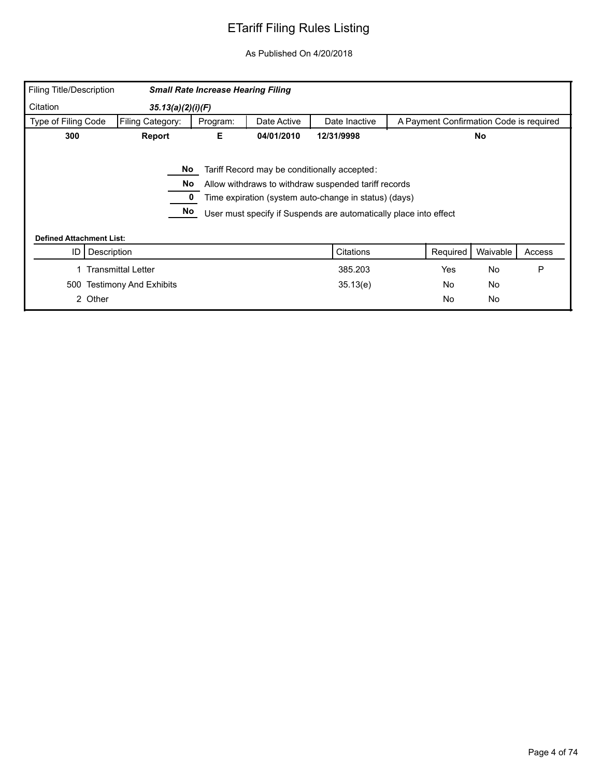| <b>Filing Title/Description</b> |                           | <b>Small Rate Increase Hearing Filing</b> |             |                                                                   |                                         |           |        |
|---------------------------------|---------------------------|-------------------------------------------|-------------|-------------------------------------------------------------------|-----------------------------------------|-----------|--------|
| Citation                        | 35.13(a)(2)(i)(F)         |                                           |             |                                                                   |                                         |           |        |
| Type of Filing Code             | Filing Category:          | Program:                                  | Date Active | Date Inactive                                                     | A Payment Confirmation Code is required |           |        |
| 300                             | Report                    | Е                                         | 04/01/2010  | 12/31/9998                                                        |                                         | <b>No</b> |        |
|                                 |                           |                                           |             |                                                                   |                                         |           |        |
|                                 | No                        |                                           |             | Tariff Record may be conditionally accepted:                      |                                         |           |        |
|                                 | No                        |                                           |             | Allow withdraws to withdraw suspended tariff records              |                                         |           |        |
|                                 |                           |                                           |             | Time expiration (system auto-change in status) (days)             |                                         |           |        |
|                                 | No                        |                                           |             | User must specify if Suspends are automatically place into effect |                                         |           |        |
|                                 |                           |                                           |             |                                                                   |                                         |           |        |
| <b>Defined Attachment List:</b> |                           |                                           |             |                                                                   |                                         |           |        |
| Description<br>ID               |                           |                                           |             | Citations                                                         | Required                                | Waivable  | Access |
|                                 | <b>Transmittal Letter</b> |                                           |             | 385.203                                                           | <b>Yes</b>                              | No        | P      |
| 500                             | Testimony And Exhibits    |                                           |             | 35.13(e)                                                          | No                                      | No        |        |
| 2 Other                         |                           |                                           |             |                                                                   | No                                      | <b>No</b> |        |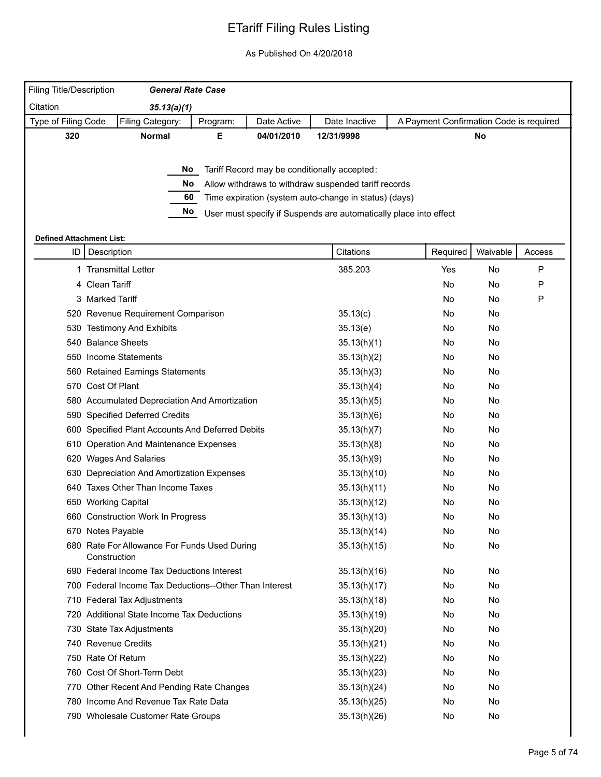|                     |     | Filing Title/Description        | <b>General Rate Case</b>                               |          |             |                                                                   |                                         |          |        |
|---------------------|-----|---------------------------------|--------------------------------------------------------|----------|-------------|-------------------------------------------------------------------|-----------------------------------------|----------|--------|
| Citation            |     |                                 | 35.13(a)(1)                                            |          |             |                                                                   |                                         |          |        |
| Type of Filing Code |     |                                 | Filing Category:                                       | Program: | Date Active | Date Inactive                                                     | A Payment Confirmation Code is required |          |        |
|                     | 320 |                                 | <b>Normal</b>                                          | Е.       | 04/01/2010  | 12/31/9998                                                        |                                         | No       |        |
|                     |     |                                 |                                                        |          |             |                                                                   |                                         |          |        |
|                     |     |                                 |                                                        |          |             | No Tariff Record may be conditionally accepted:                   |                                         |          |        |
|                     |     |                                 | No.                                                    |          |             | Allow withdraws to withdraw suspended tariff records              |                                         |          |        |
|                     |     |                                 | 60                                                     |          |             | Time expiration (system auto-change in status) (days)             |                                         |          |        |
|                     |     |                                 | No.                                                    |          |             | User must specify if Suspends are automatically place into effect |                                         |          |        |
|                     |     | <b>Defined Attachment List:</b> |                                                        |          |             |                                                                   |                                         |          |        |
|                     |     | ID   Description                |                                                        |          |             | Citations                                                         | Required                                | Waivable | Access |
|                     |     |                                 | 1 Transmittal Letter                                   |          |             | 385.203                                                           | Yes                                     | No       | P      |
|                     |     | 4 Clean Tariff                  |                                                        |          |             |                                                                   | No                                      | No.      | P      |
|                     |     | 3 Marked Tariff                 |                                                        |          |             |                                                                   | No                                      | No.      | P      |
|                     |     |                                 | 520 Revenue Requirement Comparison                     |          |             | 35.13(c)                                                          | No                                      | No       |        |
|                     |     |                                 | 530 Testimony And Exhibits                             |          |             | 35.13(e)                                                          | No                                      | No       |        |
|                     |     |                                 | 540 Balance Sheets                                     |          |             | 35.13(h)(1)                                                       | No                                      | No       |        |
|                     |     |                                 | 550 Income Statements                                  |          |             | 35.13(h)(2)                                                       | No                                      | No       |        |
|                     |     |                                 | 560 Retained Earnings Statements                       |          |             | 35.13(h)(3)                                                       | No                                      | No       |        |
|                     |     | 570 Cost Of Plant               |                                                        |          |             | 35.13(h)(4)                                                       | No                                      | No       |        |
|                     |     |                                 | 580 Accumulated Depreciation And Amortization          |          |             | 35.13(h)(5)                                                       | No                                      | No       |        |
|                     |     |                                 | 590 Specified Deferred Credits                         |          |             | 35.13(h)(6)                                                       | No                                      | No       |        |
|                     |     |                                 | 600 Specified Plant Accounts And Deferred Debits       |          |             | 35.13(h)(7)                                                       | No                                      | No       |        |
|                     |     |                                 | 610 Operation And Maintenance Expenses                 |          |             | 35.13(h)(8)                                                       | No                                      | No       |        |
|                     |     |                                 | 620 Wages And Salaries                                 |          |             | 35.13(h)(9)                                                       | No                                      | No       |        |
|                     |     |                                 | 630 Depreciation And Amortization Expenses             |          |             | 35.13(h)(10)                                                      | No                                      | No       |        |
|                     |     |                                 | 640 Taxes Other Than Income Taxes                      |          |             | 35.13(h)(11)                                                      | No                                      | No       |        |
|                     |     |                                 | 650 Working Capital                                    |          |             | 35.13(h)(12)                                                      | No                                      | No       |        |
|                     |     |                                 | 660 Construction Work In Progress                      |          |             | 35.13(h)(13)                                                      | No                                      | No       |        |
|                     |     |                                 | 670 Notes Payable                                      |          |             | 35.13(h)(14)                                                      | No                                      | No.      |        |
|                     |     | Construction                    | 680 Rate For Allowance For Funds Used During           |          |             | 35.13(h)(15)                                                      | No                                      | No       |        |
|                     |     |                                 | 690 Federal Income Tax Deductions Interest             |          |             | 35.13(h)(16)                                                      | No                                      | No       |        |
|                     |     |                                 | 700 Federal Income Tax Deductions--Other Than Interest |          |             | 35.13(h)(17)                                                      | No                                      | No       |        |
|                     |     |                                 | 710 Federal Tax Adjustments                            |          |             | 35.13(h)(18)                                                      | No                                      | No       |        |
|                     |     |                                 | 720 Additional State Income Tax Deductions             |          |             | 35.13(h)(19)                                                      | No                                      | No       |        |
|                     |     |                                 | 730 State Tax Adjustments                              |          |             | 35.13(h)(20)                                                      | No                                      | No       |        |
|                     |     |                                 | 740 Revenue Credits                                    |          |             | 35.13(h)(21)                                                      | No                                      | No       |        |
|                     |     |                                 | 750 Rate Of Return                                     |          |             | 35.13(h)(22)                                                      | No                                      | No       |        |
|                     |     |                                 | 760 Cost Of Short-Term Debt                            |          |             | 35.13(h)(23)                                                      | No                                      | No       |        |
|                     |     |                                 | 770 Other Recent And Pending Rate Changes              |          |             | 35.13(h)(24)                                                      | No                                      | No       |        |
|                     |     |                                 | 780 Income And Revenue Tax Rate Data                   |          |             | 35.13(h)(25)                                                      | No                                      | No       |        |
|                     |     |                                 | 790 Wholesale Customer Rate Groups                     |          |             | 35.13(h)(26)                                                      | No                                      | No       |        |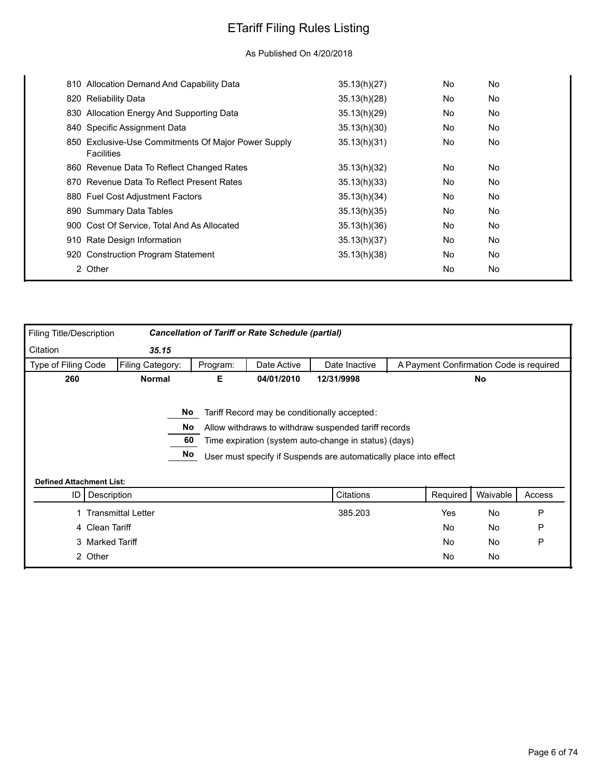| 810 Allocation Demand And Capability Data                                | 35.13(h)(27) | No        | No |
|--------------------------------------------------------------------------|--------------|-----------|----|
| 820 Reliability Data                                                     | 35.13(h)(28) | No        | No |
| 830 Allocation Energy And Supporting Data                                | 35.13(h)(29) | No        | No |
| 840 Specific Assignment Data                                             | 35.13(h)(30) | <b>No</b> | No |
| 850 Exclusive-Use Commitments Of Major Power Supply<br><b>Facilities</b> | 35.13(h)(31) | No        | No |
| 860 Revenue Data To Reflect Changed Rates                                | 35.13(h)(32) | <b>No</b> | No |
| 870 Revenue Data To Reflect Present Rates                                | 35.13(h)(33) | No        | No |
| 880 Fuel Cost Adjustment Factors                                         | 35.13(h)(34) | No        | No |
| 890 Summary Data Tables                                                  | 35.13(h)(35) | <b>No</b> | No |
| 900 Cost Of Service, Total And As Allocated                              | 35.13(h)(36) | No        | No |
| 910 Rate Design Information                                              | 35.13(h)(37) | No        | No |
| 920 Construction Program Statement                                       | 35.13(h)(38) | <b>No</b> | No |
| 2 Other                                                                  |              | No        | No |
|                                                                          |              |           |    |

| Filing Title/Description        |                           |          | <b>Cancellation of Tariff or Rate Schedule (partial)</b> |                                                                   |                                         |          |        |
|---------------------------------|---------------------------|----------|----------------------------------------------------------|-------------------------------------------------------------------|-----------------------------------------|----------|--------|
| Citation                        | 35.15                     |          |                                                          |                                                                   |                                         |          |        |
| Type of Filing Code             | Filing Category:          | Program: | Date Active                                              | Date Inactive                                                     | A Payment Confirmation Code is required |          |        |
| 260                             | <b>Normal</b>             | Е        | 04/01/2010                                               | 12/31/9998                                                        |                                         | No       |        |
|                                 |                           |          |                                                          |                                                                   |                                         |          |        |
|                                 | No                        |          |                                                          | Tariff Record may be conditionally accepted:                      |                                         |          |        |
|                                 | No                        |          |                                                          | Allow withdraws to withdraw suspended tariff records              |                                         |          |        |
|                                 | 60                        |          |                                                          | Time expiration (system auto-change in status) (days)             |                                         |          |        |
|                                 | No                        |          |                                                          | User must specify if Suspends are automatically place into effect |                                         |          |        |
|                                 |                           |          |                                                          |                                                                   |                                         |          |        |
| <b>Defined Attachment List:</b> |                           |          |                                                          |                                                                   |                                         |          |        |
| ID                              | Description               |          |                                                          | Citations                                                         | Required                                | Waivable | Access |
|                                 | <b>Transmittal Letter</b> |          |                                                          | 385.203                                                           | Yes                                     | No       | P      |
|                                 | 4 Clean Tariff            |          |                                                          |                                                                   | No                                      | No       | P      |
|                                 | 3 Marked Tariff           |          |                                                          |                                                                   | No                                      | No       | P      |
| 2 Other                         |                           |          |                                                          |                                                                   | No                                      | No       |        |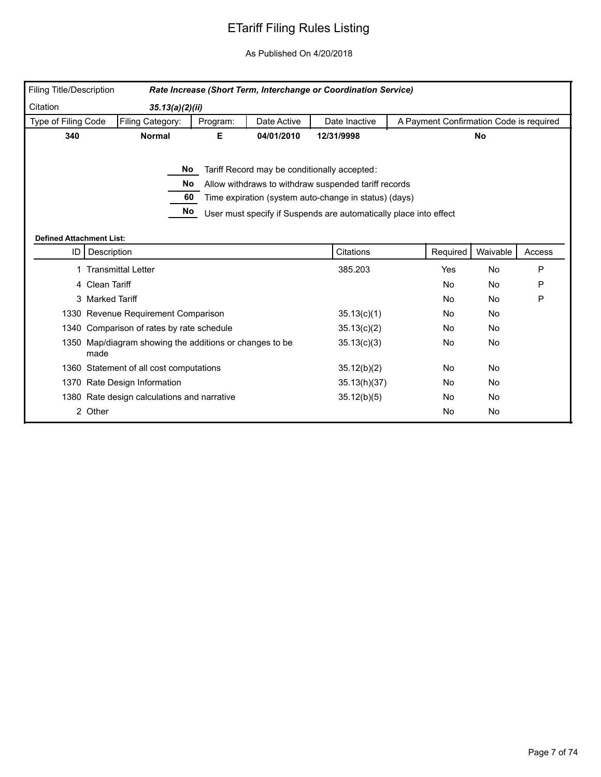| Filing Title/Description        |                                                                 |          |             | Rate Increase (Short Term, Interchange or Coordination Service)                                                                                                                                                                    |                                         |           |        |
|---------------------------------|-----------------------------------------------------------------|----------|-------------|------------------------------------------------------------------------------------------------------------------------------------------------------------------------------------------------------------------------------------|-----------------------------------------|-----------|--------|
| Citation                        | 35.13(a)(2)(ii)                                                 |          |             |                                                                                                                                                                                                                                    |                                         |           |        |
| Type of Filing Code             | Filing Category:                                                | Program: | Date Active | Date Inactive                                                                                                                                                                                                                      | A Payment Confirmation Code is required |           |        |
| 340                             | <b>Normal</b>                                                   | Е.       | 04/01/2010  | 12/31/9998                                                                                                                                                                                                                         |                                         | <b>No</b> |        |
| <b>Defined Attachment List:</b> | No.<br>No.<br>60<br>No                                          |          |             | Tariff Record may be conditionally accepted:<br>Allow withdraws to withdraw suspended tariff records<br>Time expiration (system auto-change in status) (days)<br>User must specify if Suspends are automatically place into effect |                                         |           |        |
| ID                              | Description                                                     |          |             | Citations                                                                                                                                                                                                                          | Required                                | Waivable  | Access |
|                                 | 1 Transmittal Letter                                            |          |             | 385.203                                                                                                                                                                                                                            | Yes                                     | No        | P      |
|                                 | 4 Clean Tariff                                                  |          |             |                                                                                                                                                                                                                                    | <b>No</b>                               | <b>No</b> | P      |
|                                 | 3 Marked Tariff                                                 |          |             |                                                                                                                                                                                                                                    | <b>No</b>                               | <b>No</b> | P      |
|                                 | 1330 Revenue Requirement Comparison                             |          |             | 35.13(c)(1)                                                                                                                                                                                                                        | <b>No</b>                               | <b>No</b> |        |
|                                 | 1340 Comparison of rates by rate schedule                       |          |             | 35.13(c)(2)                                                                                                                                                                                                                        | No                                      | No        |        |
|                                 | 1350 Map/diagram showing the additions or changes to be<br>made |          |             | 35.13(c)(3)                                                                                                                                                                                                                        | No                                      | No        |        |
|                                 | 1360 Statement of all cost computations                         |          |             | 35.12(b)(2)                                                                                                                                                                                                                        | No                                      | No        |        |
|                                 | 1370 Rate Design Information                                    |          |             | 35.13(h)(37)                                                                                                                                                                                                                       | No                                      | No        |        |
|                                 | 1380 Rate design calculations and narrative                     |          |             | 35.12(b)(5)                                                                                                                                                                                                                        | No.                                     | <b>No</b> |        |
|                                 | 2 Other                                                         |          |             |                                                                                                                                                                                                                                    | No                                      | No        |        |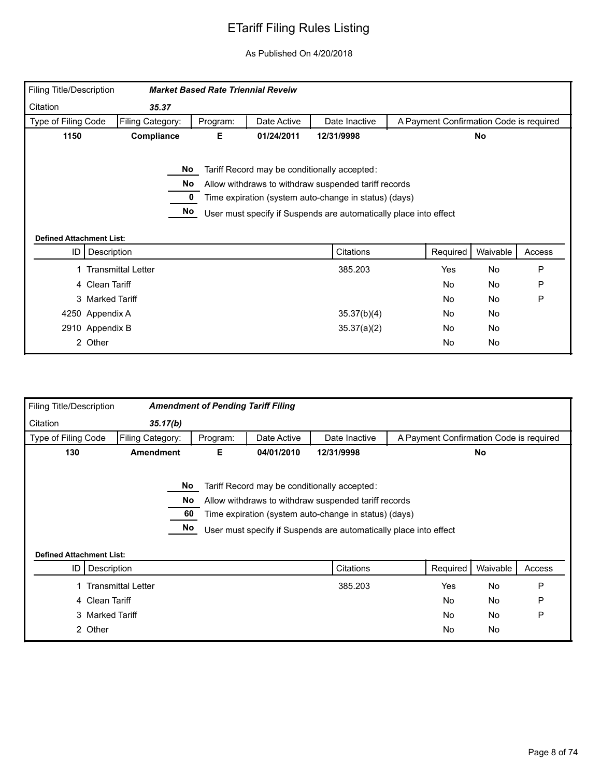| Filing Title/Description        |                           | <b>Market Based Rate Triennial Reveiw</b> |             |                                                                                                                                                                                                                                    |                                         |           |        |
|---------------------------------|---------------------------|-------------------------------------------|-------------|------------------------------------------------------------------------------------------------------------------------------------------------------------------------------------------------------------------------------------|-----------------------------------------|-----------|--------|
| Citation                        | 35.37                     |                                           |             |                                                                                                                                                                                                                                    |                                         |           |        |
| Type of Filing Code             | Filing Category:          | Program:                                  | Date Active | Date Inactive                                                                                                                                                                                                                      | A Payment Confirmation Code is required |           |        |
| 1150                            | Compliance                | Е                                         | 01/24/2011  | 12/31/9998                                                                                                                                                                                                                         |                                         | <b>No</b> |        |
| <b>Defined Attachment List:</b> |                           | No<br>No.<br>No                           |             | Tariff Record may be conditionally accepted:<br>Allow withdraws to withdraw suspended tariff records<br>Time expiration (system auto-change in status) (days)<br>User must specify if Suspends are automatically place into effect |                                         |           |        |
| ID I                            | Description               |                                           |             | Citations                                                                                                                                                                                                                          | Required                                | Waivable  | Access |
|                                 | <b>Transmittal Letter</b> |                                           |             | 385.203                                                                                                                                                                                                                            | Yes                                     | No        | P      |
|                                 | 4 Clean Tariff            |                                           |             |                                                                                                                                                                                                                                    | <b>No</b>                               | No        | P      |
|                                 | 3 Marked Tariff           |                                           |             |                                                                                                                                                                                                                                    | <b>No</b>                               | No        | P      |
|                                 | 4250 Appendix A           |                                           |             | 35.37(b)(4)                                                                                                                                                                                                                        | No                                      | No        |        |
|                                 | 2910 Appendix B           |                                           |             | 35.37(a)(2)                                                                                                                                                                                                                        | No.                                     | No        |        |
|                                 |                           |                                           |             |                                                                                                                                                                                                                                    |                                         |           |        |

| Filing Title/Description        |                           | <b>Amendment of Pending Tariff Filing</b> |             |                                                                                                                                                                                                                                    |                                         |           |        |
|---------------------------------|---------------------------|-------------------------------------------|-------------|------------------------------------------------------------------------------------------------------------------------------------------------------------------------------------------------------------------------------------|-----------------------------------------|-----------|--------|
| Citation                        | 35.17(b)                  |                                           |             |                                                                                                                                                                                                                                    |                                         |           |        |
| Type of Filing Code             | Filing Category:          | Program:                                  | Date Active | Date Inactive                                                                                                                                                                                                                      | A Payment Confirmation Code is required |           |        |
| 130                             | <b>Amendment</b>          | Е.                                        | 04/01/2010  | 12/31/9998                                                                                                                                                                                                                         |                                         | No        |        |
| <b>Defined Attachment List:</b> | No.<br>60                 | No<br>No                                  |             | Tariff Record may be conditionally accepted:<br>Allow withdraws to withdraw suspended tariff records<br>Time expiration (system auto-change in status) (days)<br>User must specify if Suspends are automatically place into effect |                                         |           |        |
| ID I                            | Description               |                                           |             | Citations                                                                                                                                                                                                                          | Required                                | Waivable  | Access |
|                                 | <b>Transmittal Letter</b> |                                           |             | 385.203                                                                                                                                                                                                                            | Yes                                     | <b>No</b> | P      |
|                                 | 4 Clean Tariff            |                                           |             |                                                                                                                                                                                                                                    | <b>No</b>                               | <b>No</b> | P      |
|                                 | 3 Marked Tariff           |                                           |             |                                                                                                                                                                                                                                    | No.                                     | No        | P      |
|                                 | 2 Other                   |                                           |             |                                                                                                                                                                                                                                    | No                                      | No        |        |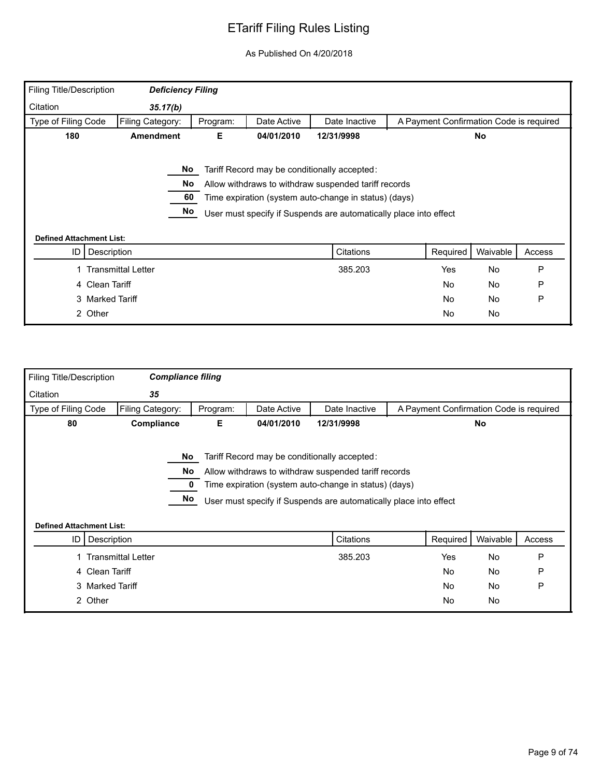| <b>Filing Title/Description</b> | <b>Deficiency Filing</b>  |          |             |                                                                                                                                                                                                                                    |                                         |           |        |
|---------------------------------|---------------------------|----------|-------------|------------------------------------------------------------------------------------------------------------------------------------------------------------------------------------------------------------------------------------|-----------------------------------------|-----------|--------|
| Citation                        | 35.17(b)                  |          |             |                                                                                                                                                                                                                                    |                                         |           |        |
| Type of Filing Code             | Filing Category:          | Program: | Date Active | Date Inactive                                                                                                                                                                                                                      | A Payment Confirmation Code is required |           |        |
| 180                             | <b>Amendment</b>          | Е        | 04/01/2010  | 12/31/9998                                                                                                                                                                                                                         |                                         | <b>No</b> |        |
| <b>Defined Attachment List:</b> | No<br>No.<br>60<br>No     |          |             | Tariff Record may be conditionally accepted:<br>Allow withdraws to withdraw suspended tariff records<br>Time expiration (system auto-change in status) (days)<br>User must specify if Suspends are automatically place into effect |                                         |           |        |
| ID                              | Description               |          |             | Citations                                                                                                                                                                                                                          | Required                                | Waivable  | Access |
|                                 |                           |          |             |                                                                                                                                                                                                                                    |                                         |           |        |
|                                 | <b>Transmittal Letter</b> |          |             | 385.203                                                                                                                                                                                                                            | <b>Yes</b>                              | <b>No</b> | P      |
|                                 | 4 Clean Tariff            |          |             |                                                                                                                                                                                                                                    | No                                      | <b>No</b> | P      |
|                                 | 3 Marked Tariff           |          |             |                                                                                                                                                                                                                                    | No                                      | No        | P      |

| Filing Title/Description        | <b>Compliance filing</b>  |          |             |                                                                                                                                                                                                                                    |                                         |          |        |
|---------------------------------|---------------------------|----------|-------------|------------------------------------------------------------------------------------------------------------------------------------------------------------------------------------------------------------------------------------|-----------------------------------------|----------|--------|
| Citation                        | 35                        |          |             |                                                                                                                                                                                                                                    |                                         |          |        |
| Type of Filing Code             | Filing Category:          | Program: | Date Active | Date Inactive                                                                                                                                                                                                                      | A Payment Confirmation Code is required |          |        |
| 80                              | Compliance                | Е        | 04/01/2010  | 12/31/9998                                                                                                                                                                                                                         |                                         | No       |        |
| <b>Defined Attachment List:</b> | No<br>No.<br>No           |          |             | Tariff Record may be conditionally accepted:<br>Allow withdraws to withdraw suspended tariff records<br>Time expiration (system auto-change in status) (days)<br>User must specify if Suspends are automatically place into effect |                                         |          |        |
| ID I                            | Description               |          |             | Citations                                                                                                                                                                                                                          | Required                                | Waivable | Access |
|                                 | <b>Transmittal Letter</b> |          |             | 385.203                                                                                                                                                                                                                            | Yes                                     | No       | P      |
|                                 | 4 Clean Tariff            |          |             |                                                                                                                                                                                                                                    | No                                      | No       | P      |
|                                 | 3 Marked Tariff           |          |             |                                                                                                                                                                                                                                    | <b>No</b>                               | No       | P      |
|                                 | 2 Other                   |          |             |                                                                                                                                                                                                                                    | No                                      | No       |        |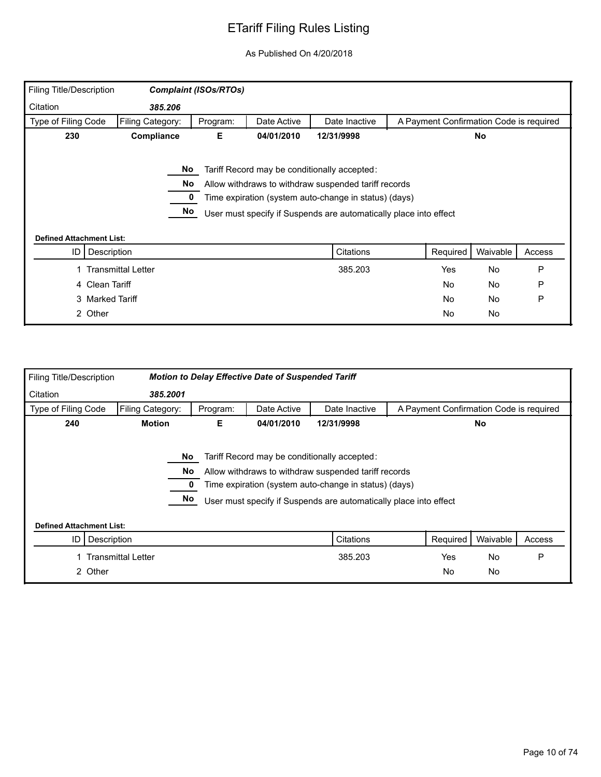| <b>Filing Title/Description</b> |                                                   | <b>Complaint (ISOs/RTOs)</b> |             |                                                                                                                                                                                                                                    |                                         |           |        |
|---------------------------------|---------------------------------------------------|------------------------------|-------------|------------------------------------------------------------------------------------------------------------------------------------------------------------------------------------------------------------------------------------|-----------------------------------------|-----------|--------|
| Citation                        | 385.206                                           |                              |             |                                                                                                                                                                                                                                    |                                         |           |        |
| Type of Filing Code             | Filing Category:                                  | Program:                     | Date Active | Date Inactive                                                                                                                                                                                                                      | A Payment Confirmation Code is required |           |        |
| 230                             | Compliance<br>Е<br>04/01/2010<br>12/31/9998<br>No |                              |             |                                                                                                                                                                                                                                    |                                         |           |        |
| <b>Defined Attachment List:</b> |                                                   | No<br>No<br>No               |             | Tariff Record may be conditionally accepted:<br>Allow withdraws to withdraw suspended tariff records<br>Time expiration (system auto-change in status) (days)<br>User must specify if Suspends are automatically place into effect |                                         |           |        |
| ID                              | Description                                       |                              |             | Citations                                                                                                                                                                                                                          | Required                                | Waivable  | Access |
|                                 | <b>Transmittal Letter</b>                         |                              |             | 385.203                                                                                                                                                                                                                            | Yes                                     | <b>No</b> | P      |
|                                 | 4 Clean Tariff                                    |                              |             |                                                                                                                                                                                                                                    | No                                      | <b>No</b> | P      |
|                                 | 3 Marked Tariff                                   |                              |             |                                                                                                                                                                                                                                    | No                                      | <b>No</b> | P      |
|                                 | 2 Other                                           |                              |             |                                                                                                                                                                                                                                    | No                                      | No        |        |

| Filing Title/Description        |                                                                                                                                                                                                                                                       |          | <b>Motion to Delay Effective Date of Suspended Tariff</b> |               |                                         |           |        |
|---------------------------------|-------------------------------------------------------------------------------------------------------------------------------------------------------------------------------------------------------------------------------------------------------|----------|-----------------------------------------------------------|---------------|-----------------------------------------|-----------|--------|
| Citation                        | 385.2001                                                                                                                                                                                                                                              |          |                                                           |               |                                         |           |        |
| Type of Filing Code             | Filing Category:                                                                                                                                                                                                                                      | Program: | Date Active                                               | Date Inactive | A Payment Confirmation Code is required |           |        |
| 240                             | <b>Motion</b>                                                                                                                                                                                                                                         | Е        | 04/01/2010                                                | 12/31/9998    |                                         | <b>No</b> |        |
|                                 | Tariff Record may be conditionally accepted:<br>No<br>Allow withdraws to withdraw suspended tariff records<br>No.<br>Time expiration (system auto-change in status) (days)<br>No<br>User must specify if Suspends are automatically place into effect |          |                                                           |               |                                         |           |        |
| <b>Defined Attachment List:</b> |                                                                                                                                                                                                                                                       |          |                                                           |               |                                         |           |        |
| ID                              | Description                                                                                                                                                                                                                                           |          |                                                           | Citations     | Required                                | Waivable  | Access |
|                                 | <b>Transmittal Letter</b>                                                                                                                                                                                                                             |          |                                                           | 385.203       | Yes                                     | <b>No</b> | P      |
|                                 | 2 Other                                                                                                                                                                                                                                               |          |                                                           |               | <b>No</b>                               | No        |        |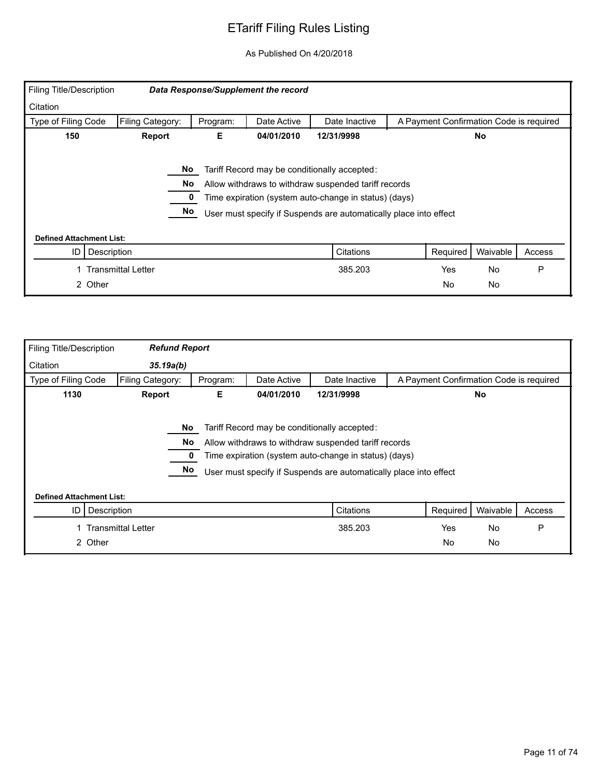| Filing Title/Description        |                                                                                                                                                                                                                                                       |          | Data Response/Supplement the record |               |                                         |           |        |  |
|---------------------------------|-------------------------------------------------------------------------------------------------------------------------------------------------------------------------------------------------------------------------------------------------------|----------|-------------------------------------|---------------|-----------------------------------------|-----------|--------|--|
| Citation                        |                                                                                                                                                                                                                                                       |          |                                     |               |                                         |           |        |  |
| Type of Filing Code             | Filing Category:                                                                                                                                                                                                                                      | Program: | Date Active                         | Date Inactive | A Payment Confirmation Code is required |           |        |  |
| 150                             | 04/01/2010<br>12/31/9998<br>Report<br>Е<br>No                                                                                                                                                                                                         |          |                                     |               |                                         |           |        |  |
|                                 | No<br>Tariff Record may be conditionally accepted:<br>No.<br>Allow withdraws to withdraw suspended tariff records<br>Time expiration (system auto-change in status) (days)<br>No<br>User must specify if Suspends are automatically place into effect |          |                                     |               |                                         |           |        |  |
| <b>Defined Attachment List:</b> |                                                                                                                                                                                                                                                       |          |                                     |               |                                         |           |        |  |
| ID                              | Description                                                                                                                                                                                                                                           |          |                                     | Citations     | Required                                | Waivable  | Access |  |
|                                 | <b>Transmittal Letter</b>                                                                                                                                                                                                                             |          |                                     | 385.203       | Yes                                     | <b>No</b> | P      |  |
| 2 Other                         |                                                                                                                                                                                                                                                       |          |                                     |               | <b>No</b>                               | No        |        |  |

| <b>Filing Title/Description</b> | <b>Refund Report</b>      |          |             |                                                                                                                                                                                                                                    |                                         |           |        |
|---------------------------------|---------------------------|----------|-------------|------------------------------------------------------------------------------------------------------------------------------------------------------------------------------------------------------------------------------------|-----------------------------------------|-----------|--------|
| Citation                        | 35.19a(b)                 |          |             |                                                                                                                                                                                                                                    |                                         |           |        |
| Type of Filing Code             | Filing Category:          | Program: | Date Active | Date Inactive                                                                                                                                                                                                                      | A Payment Confirmation Code is required |           |        |
| 1130                            | Report                    | Е.       | 04/01/2010  | 12/31/9998                                                                                                                                                                                                                         |                                         | <b>No</b> |        |
|                                 | No<br>No.<br>No           |          |             | Tariff Record may be conditionally accepted:<br>Allow withdraws to withdraw suspended tariff records<br>Time expiration (system auto-change in status) (days)<br>User must specify if Suspends are automatically place into effect |                                         |           |        |
| <b>Defined Attachment List:</b> |                           |          |             |                                                                                                                                                                                                                                    |                                         |           |        |
| Description<br>ID               |                           |          |             | Citations                                                                                                                                                                                                                          | Required                                | Waivable  | Access |
|                                 | <b>Transmittal Letter</b> |          |             | 385.203                                                                                                                                                                                                                            | Yes                                     | No        | P      |
| 2 Other                         |                           |          |             |                                                                                                                                                                                                                                    | <b>No</b>                               | No        |        |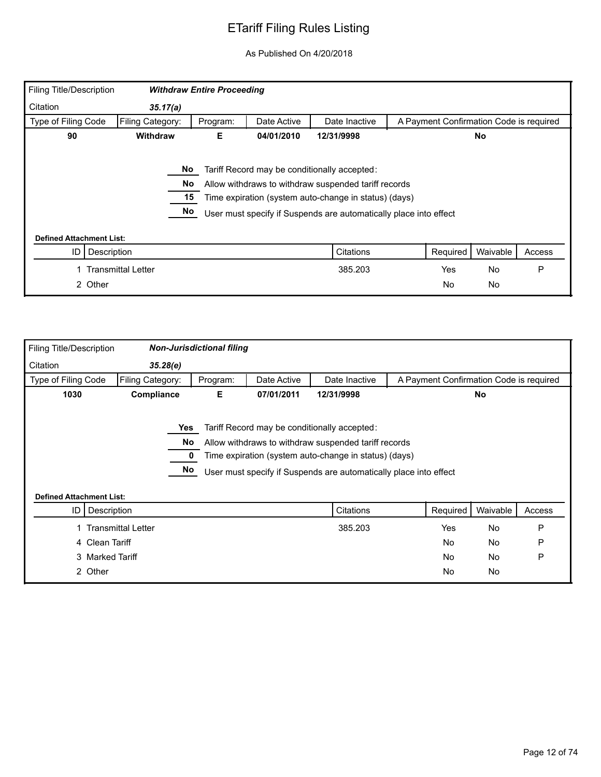| Filing Title/Description        |                             | <b>Withdraw Entire Proceeding</b> |             |                                                                                                                                                                                                                                    |                                         |           |        |
|---------------------------------|-----------------------------|-----------------------------------|-------------|------------------------------------------------------------------------------------------------------------------------------------------------------------------------------------------------------------------------------------|-----------------------------------------|-----------|--------|
| Citation                        | 35.17(a)                    |                                   |             |                                                                                                                                                                                                                                    |                                         |           |        |
| Type of Filing Code             | Filing Category:            | Program:                          | Date Active | Date Inactive                                                                                                                                                                                                                      | A Payment Confirmation Code is required |           |        |
| 90                              | <b>Withdraw</b>             | Е.                                | 04/01/2010  | 12/31/9998                                                                                                                                                                                                                         |                                         | No.       |        |
|                                 | No<br><b>No</b><br>15<br>No |                                   |             | Tariff Record may be conditionally accepted:<br>Allow withdraws to withdraw suspended tariff records<br>Time expiration (system auto-change in status) (days)<br>User must specify if Suspends are automatically place into effect |                                         |           |        |
| <b>Defined Attachment List:</b> |                             |                                   |             |                                                                                                                                                                                                                                    |                                         |           |        |
| ID<br>Description               |                             |                                   |             | Citations                                                                                                                                                                                                                          | Required                                | Waivable  | Access |
|                                 | Transmittal Letter          |                                   |             | 385.203                                                                                                                                                                                                                            | Yes                                     | <b>No</b> | P      |
| 2 Other                         |                             |                                   |             |                                                                                                                                                                                                                                    | <b>No</b>                               | No        |        |

| Filing Title/Description        |                           | <b>Non-Jurisdictional filing</b> |             |                                                                                                                                                                                                                                    |                                         |           |        |
|---------------------------------|---------------------------|----------------------------------|-------------|------------------------------------------------------------------------------------------------------------------------------------------------------------------------------------------------------------------------------------|-----------------------------------------|-----------|--------|
| Citation                        | 35.28(e)                  |                                  |             |                                                                                                                                                                                                                                    |                                         |           |        |
| Type of Filing Code             | Filing Category:          | Program:                         | Date Active | Date Inactive                                                                                                                                                                                                                      | A Payment Confirmation Code is required |           |        |
| 1030                            | Compliance                | Е                                | 07/01/2011  | 12/31/9998                                                                                                                                                                                                                         |                                         | No        |        |
| <b>Defined Attachment List:</b> |                           | Yes<br>No<br>No                  |             | Tariff Record may be conditionally accepted:<br>Allow withdraws to withdraw suspended tariff records<br>Time expiration (system auto-change in status) (days)<br>User must specify if Suspends are automatically place into effect |                                         |           |        |
| ID I                            | Description               |                                  |             | Citations                                                                                                                                                                                                                          | Required                                | Waivable  | Access |
|                                 | <b>Transmittal Letter</b> |                                  |             | 385.203                                                                                                                                                                                                                            | Yes                                     | <b>No</b> | P      |
|                                 | 4 Clean Tariff            |                                  |             |                                                                                                                                                                                                                                    | <b>No</b>                               | No        | P      |
|                                 | 3 Marked Tariff           |                                  |             |                                                                                                                                                                                                                                    | <b>No</b>                               | No        | P      |
|                                 | 2 Other                   |                                  |             |                                                                                                                                                                                                                                    | <b>No</b>                               | No        |        |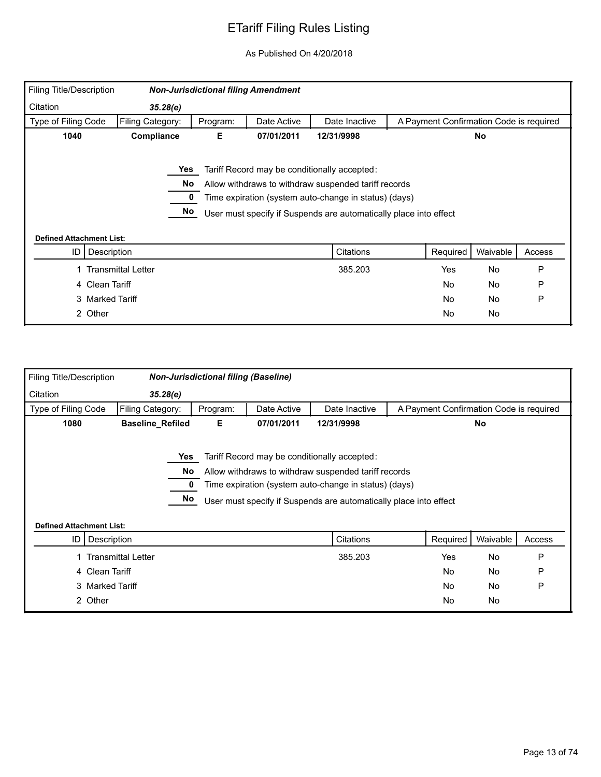| <b>Filing Title/Description</b> |                    |          | <b>Non-Jurisdictional filing Amendment</b> |                                                                   |                                         |           |        |
|---------------------------------|--------------------|----------|--------------------------------------------|-------------------------------------------------------------------|-----------------------------------------|-----------|--------|
| Citation                        | 35.28(e)           |          |                                            |                                                                   |                                         |           |        |
| Type of Filing Code             | Filing Category:   | Program: | Date Active                                | Date Inactive                                                     | A Payment Confirmation Code is required |           |        |
| 1040                            | Compliance         | Е        | 07/01/2011                                 | 12/31/9998                                                        |                                         | <b>No</b> |        |
|                                 |                    |          |                                            |                                                                   |                                         |           |        |
|                                 | Yes                |          |                                            | Tariff Record may be conditionally accepted:                      |                                         |           |        |
|                                 | No                 |          |                                            | Allow withdraws to withdraw suspended tariff records              |                                         |           |        |
|                                 |                    |          |                                            | Time expiration (system auto-change in status) (days)             |                                         |           |        |
|                                 | No                 |          |                                            | User must specify if Suspends are automatically place into effect |                                         |           |        |
|                                 |                    |          |                                            |                                                                   |                                         |           |        |
| <b>Defined Attachment List:</b> |                    |          |                                            |                                                                   |                                         |           |        |
| ID                              | Description        |          |                                            | Citations                                                         | Required                                | Waivable  | Access |
|                                 | Transmittal Letter |          |                                            | 385.203                                                           | Yes                                     | <b>No</b> | P      |
|                                 | 4 Clean Tariff     |          |                                            |                                                                   | No                                      | No        | P      |
|                                 | 3 Marked Tariff    |          |                                            |                                                                   | No                                      | <b>No</b> | P      |
|                                 | 2 Other            |          |                                            |                                                                   | No                                      | No        |        |

| <b>Filing Title/Description</b> |                           | <b>Non-Jurisdictional filing (Baseline)</b>                    |             |                                                                                                                                                                                                                                    |                                         |           |        |  |  |
|---------------------------------|---------------------------|----------------------------------------------------------------|-------------|------------------------------------------------------------------------------------------------------------------------------------------------------------------------------------------------------------------------------------|-----------------------------------------|-----------|--------|--|--|
| Citation                        | 35.28(e)                  |                                                                |             |                                                                                                                                                                                                                                    |                                         |           |        |  |  |
| Type of Filing Code             | Filing Category:          | Program:                                                       | Date Active | Date Inactive                                                                                                                                                                                                                      | A Payment Confirmation Code is required |           |        |  |  |
| 1080                            |                           | Е<br><b>Baseline_Refiled</b><br>07/01/2011<br>12/31/9998<br>No |             |                                                                                                                                                                                                                                    |                                         |           |        |  |  |
|                                 | Yes<br>No<br>No           |                                                                |             | Tariff Record may be conditionally accepted:<br>Allow withdraws to withdraw suspended tariff records<br>Time expiration (system auto-change in status) (days)<br>User must specify if Suspends are automatically place into effect |                                         |           |        |  |  |
| <b>Defined Attachment List:</b> |                           |                                                                |             |                                                                                                                                                                                                                                    |                                         |           |        |  |  |
| ID                              | Description               |                                                                |             | Citations                                                                                                                                                                                                                          | Required                                | Waivable  | Access |  |  |
|                                 | <b>Transmittal Letter</b> |                                                                |             | 385.203                                                                                                                                                                                                                            | Yes                                     | <b>No</b> | P      |  |  |
|                                 | 4 Clean Tariff            |                                                                |             |                                                                                                                                                                                                                                    | <b>No</b>                               | No        | P      |  |  |
|                                 | 3 Marked Tariff           |                                                                |             |                                                                                                                                                                                                                                    | No                                      | <b>No</b> | P      |  |  |
|                                 | 2 Other                   |                                                                |             |                                                                                                                                                                                                                                    | No                                      | <b>No</b> |        |  |  |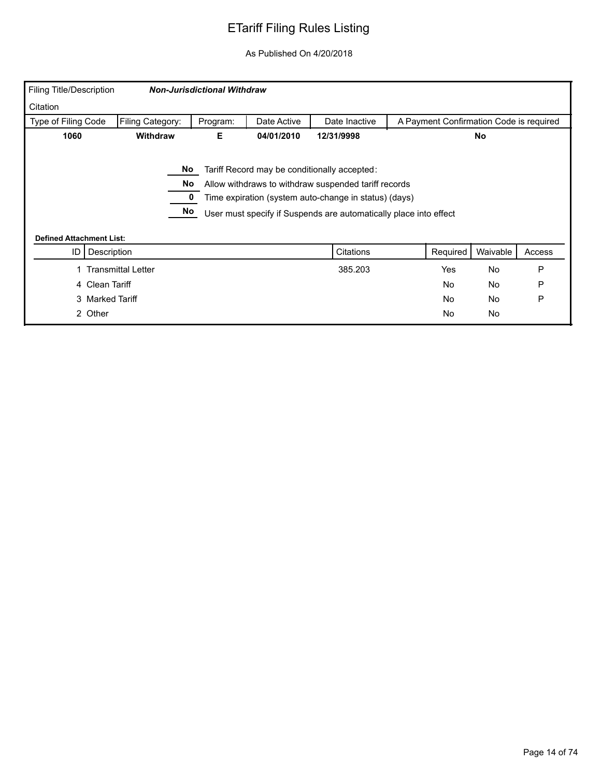| <b>Filing Title/Description</b> |                           | <b>Non-Jurisdictional Withdraw</b> |             |                                                                   |                                         |           |        |
|---------------------------------|---------------------------|------------------------------------|-------------|-------------------------------------------------------------------|-----------------------------------------|-----------|--------|
| Citation                        |                           |                                    |             |                                                                   |                                         |           |        |
| Type of Filing Code             | Filing Category:          | Program:                           | Date Active | Date Inactive                                                     | A Payment Confirmation Code is required |           |        |
| 1060                            | <b>Withdraw</b>           | Е                                  | 04/01/2010  | 12/31/9998                                                        |                                         | No.       |        |
|                                 |                           |                                    |             |                                                                   |                                         |           |        |
|                                 | No                        |                                    |             | Tariff Record may be conditionally accepted:                      |                                         |           |        |
|                                 | No                        |                                    |             | Allow withdraws to withdraw suspended tariff records              |                                         |           |        |
|                                 |                           |                                    |             | Time expiration (system auto-change in status) (days)             |                                         |           |        |
|                                 | No                        |                                    |             | User must specify if Suspends are automatically place into effect |                                         |           |        |
|                                 |                           |                                    |             |                                                                   |                                         |           |        |
| <b>Defined Attachment List:</b> |                           |                                    |             |                                                                   |                                         |           |        |
| Description<br>ID               |                           |                                    |             | Citations                                                         | Required                                | Waivable  | Access |
|                                 | <b>Transmittal Letter</b> |                                    |             | 385.203                                                           | Yes                                     | <b>No</b> | P      |
| 4 Clean Tariff                  |                           |                                    |             |                                                                   | No                                      | No        | P      |
| 3 Marked Tariff                 |                           |                                    |             |                                                                   | No                                      | <b>No</b> | P      |
|                                 |                           |                                    |             |                                                                   |                                         |           |        |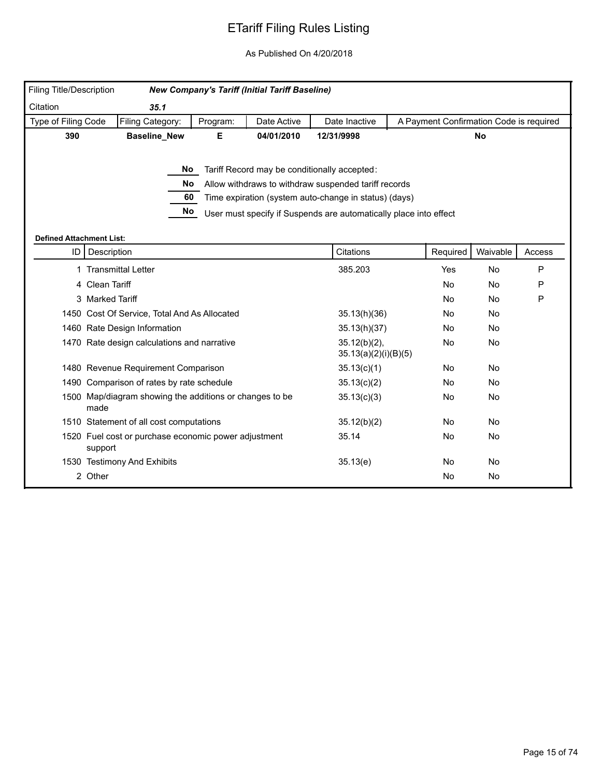| <b>Filing Title/Description</b> |                                                                 |          | <b>New Company's Tariff (Initial Tariff Baseline)</b> |                                                                   |                                         |           |           |
|---------------------------------|-----------------------------------------------------------------|----------|-------------------------------------------------------|-------------------------------------------------------------------|-----------------------------------------|-----------|-----------|
| Citation                        | 35.1                                                            |          |                                                       |                                                                   |                                         |           |           |
| Type of Filing Code             | Filing Category:                                                | Program: | Date Active                                           | Date Inactive                                                     | A Payment Confirmation Code is required |           |           |
| 390                             | <b>Baseline_New</b>                                             | Е        | 04/01/2010                                            | 12/31/9998                                                        |                                         | <b>No</b> |           |
|                                 |                                                                 |          |                                                       |                                                                   |                                         |           |           |
|                                 |                                                                 | No l     |                                                       | Tariff Record may be conditionally accepted:                      |                                         |           |           |
|                                 | No                                                              |          |                                                       | Allow withdraws to withdraw suspended tariff records              |                                         |           |           |
|                                 | 60                                                              |          |                                                       | Time expiration (system auto-change in status) (days)             |                                         |           |           |
|                                 | No                                                              |          |                                                       | User must specify if Suspends are automatically place into effect |                                         |           |           |
|                                 |                                                                 |          |                                                       |                                                                   |                                         |           |           |
| <b>Defined Attachment List:</b> | ID   Description                                                |          |                                                       | Citations                                                         | Required                                | Waivable  | Access    |
| 1.                              | <b>Transmittal Letter</b>                                       |          |                                                       | 385.203                                                           | Yes                                     | No        | ${\sf P}$ |
|                                 | 4 Clean Tariff                                                  |          |                                                       |                                                                   | No                                      | No        | P         |
|                                 | 3 Marked Tariff                                                 |          |                                                       |                                                                   | No                                      | <b>No</b> | P         |
|                                 | 1450 Cost Of Service, Total And As Allocated                    |          |                                                       | 35.13(h)(36)                                                      | <b>No</b>                               | <b>No</b> |           |
|                                 | 1460 Rate Design Information                                    |          |                                                       | 35.13(h)(37)                                                      | No                                      | No        |           |
|                                 | 1470 Rate design calculations and narrative                     |          |                                                       | $35.12(b)(2)$ ,<br>35.13(a)(2)(i)(B)(5)                           | No                                      | No        |           |
|                                 | 1480 Revenue Requirement Comparison                             |          |                                                       | 35.13(c)(1)                                                       | No                                      | No        |           |
|                                 | 1490 Comparison of rates by rate schedule                       |          |                                                       | 35.13(c)(2)                                                       | No.                                     | <b>No</b> |           |
|                                 | 1500 Map/diagram showing the additions or changes to be<br>made |          |                                                       | 35.13(c)(3)                                                       | No                                      | No        |           |
|                                 | 1510 Statement of all cost computations                         |          |                                                       | 35.12(b)(2)                                                       | No                                      | No        |           |
|                                 | 1520 Fuel cost or purchase economic power adjustment<br>support |          |                                                       | 35.14                                                             | No                                      | No        |           |
|                                 | 1530 Testimony And Exhibits                                     |          |                                                       | 35.13(e)                                                          | No                                      | <b>No</b> |           |
|                                 | 2 Other                                                         |          |                                                       |                                                                   | No                                      | No        |           |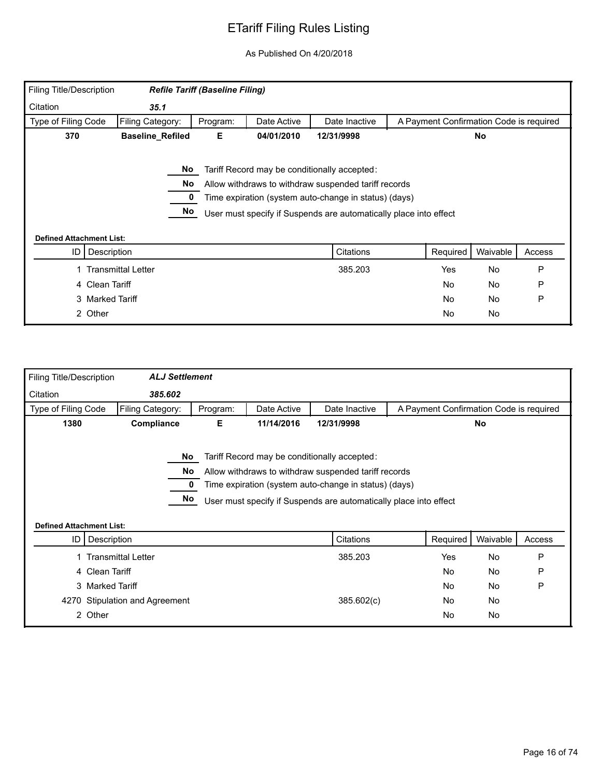| Filing Title/Description |                                                    | <b>Refile Tariff (Baseline Filing)</b> |             |                                                                                                                                                                                                                                    |                                         |          |        |
|--------------------------|----------------------------------------------------|----------------------------------------|-------------|------------------------------------------------------------------------------------------------------------------------------------------------------------------------------------------------------------------------------------|-----------------------------------------|----------|--------|
| Citation                 | 35.1                                               |                                        |             |                                                                                                                                                                                                                                    |                                         |          |        |
| Type of Filing Code      | Filing Category:                                   | Program:                               | Date Active | Date Inactive                                                                                                                                                                                                                      | A Payment Confirmation Code is required |          |        |
| 370                      | <b>Baseline_Refiled</b>                            | Е.                                     | 04/01/2010  | 12/31/9998                                                                                                                                                                                                                         |                                         | No       |        |
|                          | No.<br>No<br>No<br><b>Defined Attachment List:</b> |                                        |             | Tariff Record may be conditionally accepted:<br>Allow withdraws to withdraw suspended tariff records<br>Time expiration (system auto-change in status) (days)<br>User must specify if Suspends are automatically place into effect |                                         |          |        |
| ID                       | Description                                        |                                        |             | Citations                                                                                                                                                                                                                          | Required                                | Waivable | Access |
|                          | <b>Transmittal Letter</b>                          |                                        |             | 385.203                                                                                                                                                                                                                            | Yes                                     | No       | P      |
|                          | 4 Clean Tariff                                     |                                        |             |                                                                                                                                                                                                                                    | <b>No</b>                               | No       | P      |
|                          | 3 Marked Tariff                                    |                                        |             |                                                                                                                                                                                                                                    | <b>No</b>                               | No       | P      |
|                          | 2 Other                                            |                                        |             |                                                                                                                                                                                                                                    | <b>No</b>                               | No       |        |

| <b>Filing Title/Description</b> | <b>ALJ Settlement</b>     |          |             |                                                                                                                                                                                                                                    |                                         |           |        |
|---------------------------------|---------------------------|----------|-------------|------------------------------------------------------------------------------------------------------------------------------------------------------------------------------------------------------------------------------------|-----------------------------------------|-----------|--------|
| Citation                        | 385.602                   |          |             |                                                                                                                                                                                                                                    |                                         |           |        |
| Type of Filing Code             | Filing Category:          | Program: | Date Active | Date Inactive                                                                                                                                                                                                                      | A Payment Confirmation Code is required |           |        |
| 1380                            | Compliance                | Е.       | 11/14/2016  | 12/31/9998                                                                                                                                                                                                                         |                                         | No        |        |
| <b>Defined Attachment List:</b> | No<br>No.<br>No           |          |             | Tariff Record may be conditionally accepted:<br>Allow withdraws to withdraw suspended tariff records<br>Time expiration (system auto-change in status) (days)<br>User must specify if Suspends are automatically place into effect |                                         |           |        |
| ID I                            | Description               |          |             | Citations                                                                                                                                                                                                                          | Required                                | Waivable  | Access |
|                                 | <b>Transmittal Letter</b> |          |             | 385.203                                                                                                                                                                                                                            | Yes                                     | No        | P      |
|                                 | 4 Clean Tariff            |          |             |                                                                                                                                                                                                                                    | No                                      | <b>No</b> | P      |
|                                 | 3 Marked Tariff           |          |             |                                                                                                                                                                                                                                    | <b>No</b>                               | <b>No</b> | P      |
| 4270                            | Stipulation and Agreement |          |             | 385.602(c)                                                                                                                                                                                                                         | No.                                     | <b>No</b> |        |
|                                 | 2 Other                   |          |             |                                                                                                                                                                                                                                    | No                                      | <b>No</b> |        |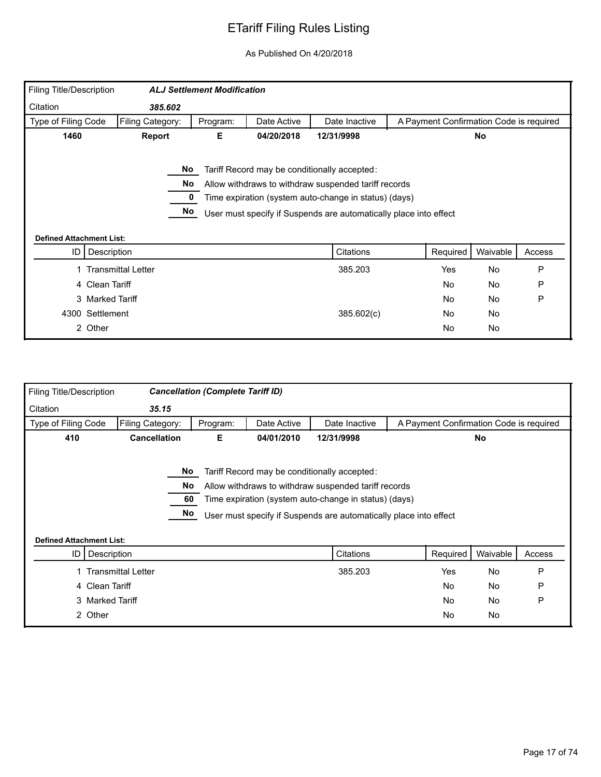| Filing Title/Description        |                           | <b>ALJ Settlement Modification</b> |             |                                                                   |                                         |           |        |
|---------------------------------|---------------------------|------------------------------------|-------------|-------------------------------------------------------------------|-----------------------------------------|-----------|--------|
| Citation                        | 385.602                   |                                    |             |                                                                   |                                         |           |        |
| Type of Filing Code             | Filing Category:          | Program:                           | Date Active | Date Inactive                                                     | A Payment Confirmation Code is required |           |        |
| 1460                            | <b>Report</b>             | Е                                  | 04/20/2018  | 12/31/9998                                                        |                                         | No        |        |
|                                 |                           |                                    |             |                                                                   |                                         |           |        |
|                                 | No                        |                                    |             | Tariff Record may be conditionally accepted:                      |                                         |           |        |
|                                 | No                        |                                    |             | Allow withdraws to withdraw suspended tariff records              |                                         |           |        |
|                                 |                           |                                    |             | Time expiration (system auto-change in status) (days)             |                                         |           |        |
|                                 | No                        |                                    |             | User must specify if Suspends are automatically place into effect |                                         |           |        |
|                                 |                           |                                    |             |                                                                   |                                         |           |        |
| <b>Defined Attachment List:</b> |                           |                                    |             |                                                                   |                                         |           |        |
| Description<br>ID               |                           |                                    |             | Citations                                                         | Required                                | Waivable  | Access |
|                                 | <b>Transmittal Letter</b> |                                    |             | 385.203                                                           | Yes                                     | <b>No</b> | P      |
| 4 Clean Tariff                  |                           |                                    |             |                                                                   | No                                      | No        | P      |
| 3 Marked Tariff                 |                           |                                    |             |                                                                   | No                                      | No        | P      |
| 4300 Settlement                 |                           |                                    |             | 385.602(c)                                                        | No                                      | <b>No</b> |        |
| 2 Other                         |                           |                                    |             |                                                                   | No                                      | No        |        |
|                                 |                           |                                    |             |                                                                   |                                         |           |        |

| Filing Title/Description        |                           | <b>Cancellation (Complete Tariff ID)</b> |             |                                                                                                                                                                                                                                    |                                         |           |        |
|---------------------------------|---------------------------|------------------------------------------|-------------|------------------------------------------------------------------------------------------------------------------------------------------------------------------------------------------------------------------------------------|-----------------------------------------|-----------|--------|
| Citation                        | 35.15                     |                                          |             |                                                                                                                                                                                                                                    |                                         |           |        |
| Type of Filing Code             | Filing Category:          | Program:                                 | Date Active | Date Inactive                                                                                                                                                                                                                      | A Payment Confirmation Code is required |           |        |
| 410                             | <b>Cancellation</b>       | Е                                        | 04/01/2010  | 12/31/9998                                                                                                                                                                                                                         |                                         | <b>No</b> |        |
| <b>Defined Attachment List:</b> | No.<br>No<br>60<br>No     |                                          |             | Tariff Record may be conditionally accepted:<br>Allow withdraws to withdraw suspended tariff records<br>Time expiration (system auto-change in status) (days)<br>User must specify if Suspends are automatically place into effect |                                         |           |        |
| ID I                            | Description               |                                          |             | Citations                                                                                                                                                                                                                          | Required                                | Waivable  | Access |
|                                 | <b>Transmittal Letter</b> |                                          |             | 385.203                                                                                                                                                                                                                            | Yes                                     | No        | P      |
|                                 | 4 Clean Tariff            |                                          |             |                                                                                                                                                                                                                                    | <b>No</b>                               | <b>No</b> | P      |
|                                 | 3 Marked Tariff           |                                          |             |                                                                                                                                                                                                                                    | <b>No</b>                               | <b>No</b> | P      |
|                                 | 2 Other                   |                                          |             |                                                                                                                                                                                                                                    | No                                      | <b>No</b> |        |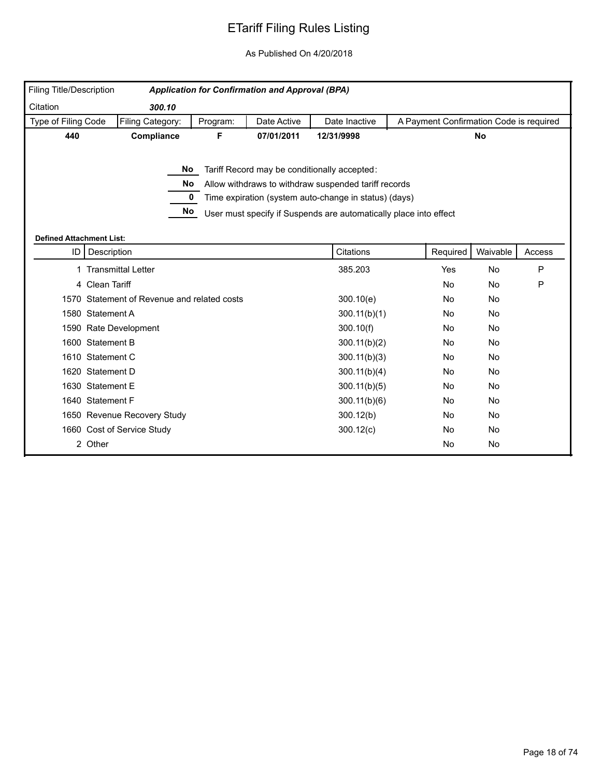| Filing Title/Description              |                                             |          | <b>Application for Confirmation and Approval (BPA)</b> |                                                                                                                                                                                                                                    |           |                                         |        |
|---------------------------------------|---------------------------------------------|----------|--------------------------------------------------------|------------------------------------------------------------------------------------------------------------------------------------------------------------------------------------------------------------------------------------|-----------|-----------------------------------------|--------|
| Citation                              | 300.10                                      |          |                                                        |                                                                                                                                                                                                                                    |           |                                         |        |
| Type of Filing Code                   | Filing Category:                            | Program: | Date Active                                            | Date Inactive                                                                                                                                                                                                                      |           | A Payment Confirmation Code is required |        |
| 440                                   | Compliance                                  | F.       | 07/01/2011                                             | 12/31/9998                                                                                                                                                                                                                         |           | <b>No</b>                               |        |
|                                       | No.<br>No<br>$\mathbf 0$<br>No              |          |                                                        | Tariff Record may be conditionally accepted:<br>Allow withdraws to withdraw suspended tariff records<br>Time expiration (system auto-change in status) (days)<br>User must specify if Suspends are automatically place into effect |           |                                         |        |
| <b>Defined Attachment List:</b><br>ID | Description                                 |          |                                                        | Citations                                                                                                                                                                                                                          | Required  | Waivable                                | Access |
|                                       | 1 Transmittal Letter                        |          |                                                        | 385.203                                                                                                                                                                                                                            | Yes       | No                                      | P      |
|                                       | 4 Clean Tariff                              |          |                                                        |                                                                                                                                                                                                                                    | <b>No</b> | No                                      | P      |
|                                       | 1570 Statement of Revenue and related costs |          |                                                        | 300.10(e)                                                                                                                                                                                                                          | No        | No                                      |        |
|                                       | 1580 Statement A                            |          |                                                        | 300.11(b)(1)                                                                                                                                                                                                                       | <b>No</b> | No                                      |        |
|                                       | 1590 Rate Development                       |          |                                                        | 300.10(f)                                                                                                                                                                                                                          | <b>No</b> | No                                      |        |
|                                       | 1600 Statement B                            |          |                                                        | 300.11(b)(2)                                                                                                                                                                                                                       | No        | No                                      |        |
|                                       | 1610 Statement C                            |          |                                                        | 300.11(b)(3)                                                                                                                                                                                                                       | No        | No                                      |        |
|                                       | 1620 Statement D                            |          |                                                        | 300.11(b)(4)                                                                                                                                                                                                                       | No        | No                                      |        |
|                                       | 1630 Statement E                            |          |                                                        | 300.11(b)(5)                                                                                                                                                                                                                       | No        | No                                      |        |
|                                       | 1640 Statement F                            |          |                                                        | 300.11(b)(6)                                                                                                                                                                                                                       | No.       | No                                      |        |
|                                       | 1650 Revenue Recovery Study                 |          |                                                        | 300.12(b)                                                                                                                                                                                                                          | No        | No                                      |        |
|                                       | 1660 Cost of Service Study                  |          |                                                        | 300.12(c)                                                                                                                                                                                                                          | No.       | No                                      |        |
|                                       | 2 Other                                     |          |                                                        |                                                                                                                                                                                                                                    | <b>No</b> | No                                      |        |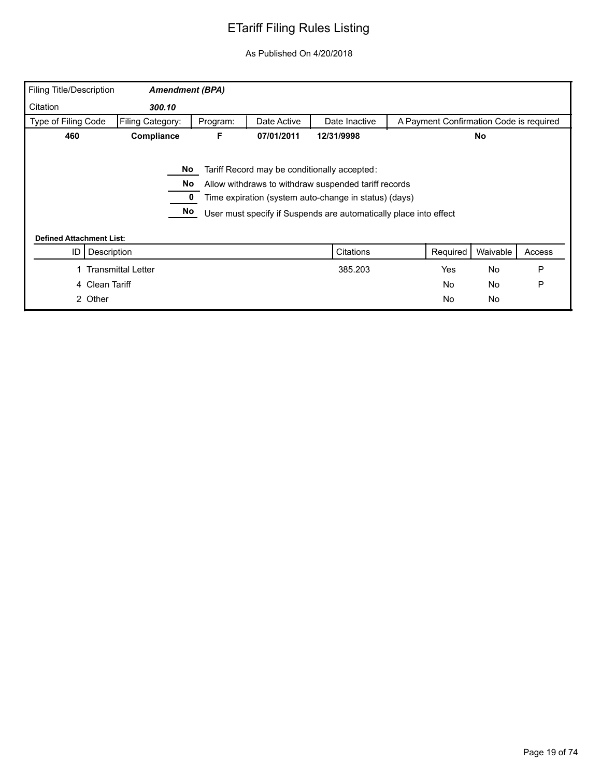| <b>Filing Title/Description</b> | <b>Amendment (BPA)</b>    |          |             |                                                                   |                                         |          |        |
|---------------------------------|---------------------------|----------|-------------|-------------------------------------------------------------------|-----------------------------------------|----------|--------|
| Citation                        | 300.10                    |          |             |                                                                   |                                         |          |        |
| Type of Filing Code             | Filing Category:          | Program: | Date Active | Date Inactive                                                     | A Payment Confirmation Code is required |          |        |
| 460                             | Compliance                | F        | 07/01/2011  | 12/31/9998                                                        |                                         | No       |        |
|                                 | No.                       |          |             | Tariff Record may be conditionally accepted:                      |                                         |          |        |
|                                 | No                        |          |             | Allow withdraws to withdraw suspended tariff records              |                                         |          |        |
|                                 |                           |          |             | Time expiration (system auto-change in status) (days)             |                                         |          |        |
|                                 | No                        |          |             | User must specify if Suspends are automatically place into effect |                                         |          |        |
| <b>Defined Attachment List:</b> |                           |          |             |                                                                   |                                         |          |        |
| ID                              | Description               |          |             | Citations                                                         | Required                                | Waivable | Access |
|                                 | <b>Transmittal Letter</b> |          |             | 385.203                                                           | Yes                                     | No       | P      |
| 4 Clean Tariff                  |                           |          |             |                                                                   | No                                      | No       | P      |
| 2 Other                         |                           |          |             |                                                                   | No                                      | No       |        |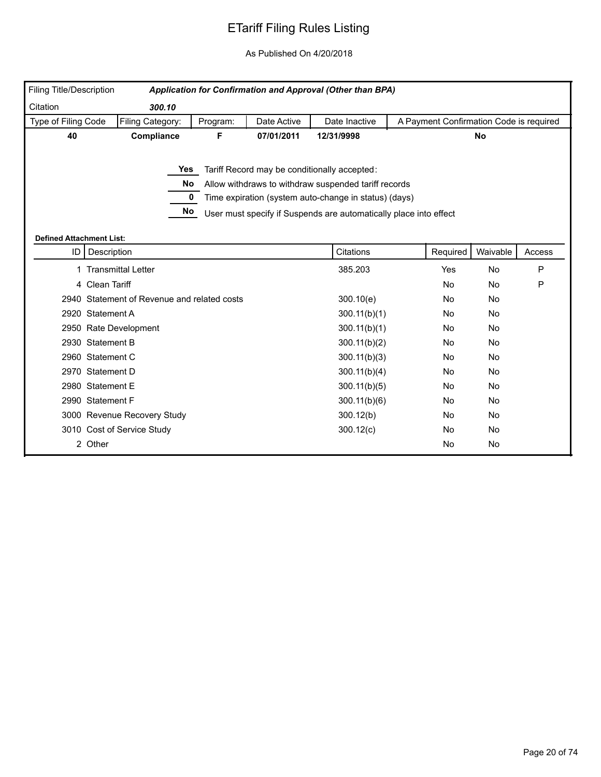| Filing Title/Description              |                                             |          |             | Application for Confirmation and Approval (Other than BPA)                                                                                                                                                                         |           |                                         |        |
|---------------------------------------|---------------------------------------------|----------|-------------|------------------------------------------------------------------------------------------------------------------------------------------------------------------------------------------------------------------------------------|-----------|-----------------------------------------|--------|
| Citation                              | 300.10                                      |          |             |                                                                                                                                                                                                                                    |           |                                         |        |
| Type of Filing Code                   | Filing Category:                            | Program: | Date Active | Date Inactive                                                                                                                                                                                                                      |           | A Payment Confirmation Code is required |        |
| 40                                    | Compliance                                  | F.       | 07/01/2011  | 12/31/9998                                                                                                                                                                                                                         |           | <b>No</b>                               |        |
|                                       | <b>Yes</b><br>No<br>0<br>No                 |          |             | Tariff Record may be conditionally accepted:<br>Allow withdraws to withdraw suspended tariff records<br>Time expiration (system auto-change in status) (days)<br>User must specify if Suspends are automatically place into effect |           |                                         |        |
| <b>Defined Attachment List:</b><br>ID | Description                                 |          |             | Citations                                                                                                                                                                                                                          | Required  | Waivable                                | Access |
|                                       | 1 Transmittal Letter                        |          |             | 385.203                                                                                                                                                                                                                            | Yes       | No                                      | P      |
|                                       | 4 Clean Tariff                              |          |             |                                                                                                                                                                                                                                    | <b>No</b> | No                                      | P      |
|                                       | 2940 Statement of Revenue and related costs |          |             | 300.10(e)                                                                                                                                                                                                                          | No        | No                                      |        |
|                                       | 2920 Statement A                            |          |             | 300.11(b)(1)                                                                                                                                                                                                                       | <b>No</b> | No                                      |        |
|                                       | 2950 Rate Development                       |          |             | 300.11(b)(1)                                                                                                                                                                                                                       | <b>No</b> | No                                      |        |
|                                       | 2930 Statement B                            |          |             | 300.11(b)(2)                                                                                                                                                                                                                       | No        | No                                      |        |
|                                       | 2960 Statement C                            |          |             | 300.11(b)(3)                                                                                                                                                                                                                       | No        | No                                      |        |
|                                       | 2970 Statement D                            |          |             | 300.11(b)(4)                                                                                                                                                                                                                       | No        | No                                      |        |
|                                       | 2980 Statement E                            |          |             | 300.11(b)(5)                                                                                                                                                                                                                       | No        | No                                      |        |
|                                       | 2990 Statement F                            |          |             | 300.11(b)(6)                                                                                                                                                                                                                       | No.       | No                                      |        |
|                                       | 3000 Revenue Recovery Study                 |          |             | 300.12(b)                                                                                                                                                                                                                          | No        | No                                      |        |
|                                       | 3010 Cost of Service Study                  |          |             | 300.12(c)                                                                                                                                                                                                                          | No.       | No                                      |        |
|                                       | 2 Other                                     |          |             |                                                                                                                                                                                                                                    | <b>No</b> | No                                      |        |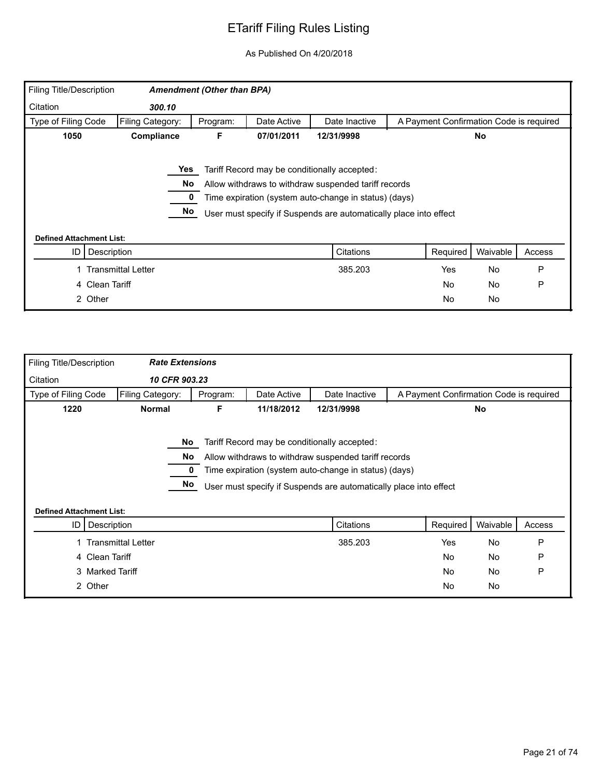| Filing Title/Description        |                           | <b>Amendment (Other than BPA)</b> |             |                                                                   |                                         |           |        |
|---------------------------------|---------------------------|-----------------------------------|-------------|-------------------------------------------------------------------|-----------------------------------------|-----------|--------|
| Citation                        | 300.10                    |                                   |             |                                                                   |                                         |           |        |
| Type of Filing Code             | Filing Category:          | Program:                          | Date Active | Date Inactive                                                     | A Payment Confirmation Code is required |           |        |
| 1050                            | Compliance                | F                                 | 07/01/2011  | 12/31/9998                                                        |                                         | <b>No</b> |        |
|                                 |                           |                                   |             |                                                                   |                                         |           |        |
|                                 | Yes                       |                                   |             | Tariff Record may be conditionally accepted:                      |                                         |           |        |
|                                 | No                        |                                   |             | Allow withdraws to withdraw suspended tariff records              |                                         |           |        |
|                                 |                           |                                   |             | Time expiration (system auto-change in status) (days)             |                                         |           |        |
|                                 | No                        |                                   |             | User must specify if Suspends are automatically place into effect |                                         |           |        |
| <b>Defined Attachment List:</b> |                           |                                   |             |                                                                   |                                         |           |        |
| Description<br>ID               |                           |                                   |             | Citations                                                         | Required                                | Waivable  | Access |
|                                 | <b>Transmittal Letter</b> |                                   |             | 385.203                                                           | Yes                                     | No        | P      |
| 4 Clean Tariff                  |                           |                                   |             |                                                                   | <b>No</b>                               | No        | P      |
| 2 Other                         |                           |                                   |             |                                                                   | <b>No</b>                               | No        |        |

| Filing Title/Description        | <b>Rate Extensions</b>    |          |             |                                                                                                                                                                                                                                    |                                         |           |        |
|---------------------------------|---------------------------|----------|-------------|------------------------------------------------------------------------------------------------------------------------------------------------------------------------------------------------------------------------------------|-----------------------------------------|-----------|--------|
| Citation                        | 10 CFR 903.23             |          |             |                                                                                                                                                                                                                                    |                                         |           |        |
| Type of Filing Code             | Filing Category:          | Program: | Date Active | Date Inactive                                                                                                                                                                                                                      | A Payment Confirmation Code is required |           |        |
| 1220                            | <b>Normal</b>             | F.       | 11/18/2012  | 12/31/9998                                                                                                                                                                                                                         |                                         | <b>No</b> |        |
| <b>Defined Attachment List:</b> | No<br>No<br>No            |          |             | Tariff Record may be conditionally accepted:<br>Allow withdraws to withdraw suspended tariff records<br>Time expiration (system auto-change in status) (days)<br>User must specify if Suspends are automatically place into effect |                                         |           |        |
| ID I                            | Description               |          |             | Citations                                                                                                                                                                                                                          | Required                                | Waivable  | Access |
|                                 |                           |          |             | 385.203                                                                                                                                                                                                                            | Yes                                     | <b>No</b> | P      |
|                                 | <b>Transmittal Letter</b> |          |             |                                                                                                                                                                                                                                    |                                         |           |        |
| 4 Clean Tariff                  |                           |          |             |                                                                                                                                                                                                                                    | <b>No</b>                               | No        | P      |
| 3 Marked Tariff                 |                           |          |             |                                                                                                                                                                                                                                    | <b>No</b>                               | <b>No</b> | P      |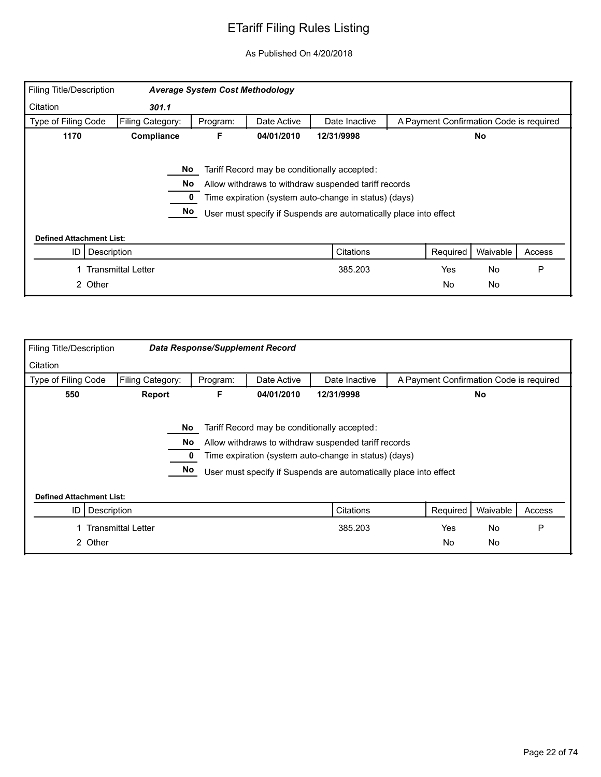| Filing Title/Description        |                    | <b>Average System Cost Methodology</b> |             |                                                                                                                                                                                                                                    |                                         |           |        |
|---------------------------------|--------------------|----------------------------------------|-------------|------------------------------------------------------------------------------------------------------------------------------------------------------------------------------------------------------------------------------------|-----------------------------------------|-----------|--------|
| Citation                        | 301.1              |                                        |             |                                                                                                                                                                                                                                    |                                         |           |        |
| Type of Filing Code             | Filing Category:   | Program:                               | Date Active | Date Inactive                                                                                                                                                                                                                      | A Payment Confirmation Code is required |           |        |
| 1170                            | Compliance         | F.                                     | 04/01/2010  | 12/31/9998                                                                                                                                                                                                                         |                                         | No.       |        |
|                                 | No<br>No<br>No     |                                        |             | Tariff Record may be conditionally accepted:<br>Allow withdraws to withdraw suspended tariff records<br>Time expiration (system auto-change in status) (days)<br>User must specify if Suspends are automatically place into effect |                                         |           |        |
| <b>Defined Attachment List:</b> |                    |                                        |             |                                                                                                                                                                                                                                    |                                         |           |        |
| ID<br>Description               |                    |                                        |             | Citations                                                                                                                                                                                                                          | Required                                | Waivable  | Access |
|                                 | Transmittal Letter |                                        |             | 385.203                                                                                                                                                                                                                            | Yes                                     | <b>No</b> | P      |
| 2 Other                         |                    |                                        |             |                                                                                                                                                                                                                                    | <b>No</b>                               | No        |        |

| <b>Filing Title/Description</b> |                           |          | <b>Data Response/Supplement Record</b> |                                                                                                                                                                                                                                    |                                         |           |        |
|---------------------------------|---------------------------|----------|----------------------------------------|------------------------------------------------------------------------------------------------------------------------------------------------------------------------------------------------------------------------------------|-----------------------------------------|-----------|--------|
| Citation                        |                           |          |                                        |                                                                                                                                                                                                                                    |                                         |           |        |
| Type of Filing Code             | Filing Category:          | Program: | Date Active                            | Date Inactive                                                                                                                                                                                                                      | A Payment Confirmation Code is required |           |        |
| 550                             | Report                    | F        | 04/01/2010                             | 12/31/9998                                                                                                                                                                                                                         |                                         | <b>No</b> |        |
|                                 | No<br>No<br>No            |          |                                        | Tariff Record may be conditionally accepted:<br>Allow withdraws to withdraw suspended tariff records<br>Time expiration (system auto-change in status) (days)<br>User must specify if Suspends are automatically place into effect |                                         |           |        |
| <b>Defined Attachment List:</b> |                           |          |                                        |                                                                                                                                                                                                                                    |                                         |           |        |
| Description<br>ID               |                           |          |                                        | Citations                                                                                                                                                                                                                          | Required                                | Waivable  | Access |
|                                 | <b>Transmittal Letter</b> |          |                                        | 385.203                                                                                                                                                                                                                            | Yes                                     | No        | P      |
| 2 Other                         |                           |          |                                        |                                                                                                                                                                                                                                    | No.                                     | No        |        |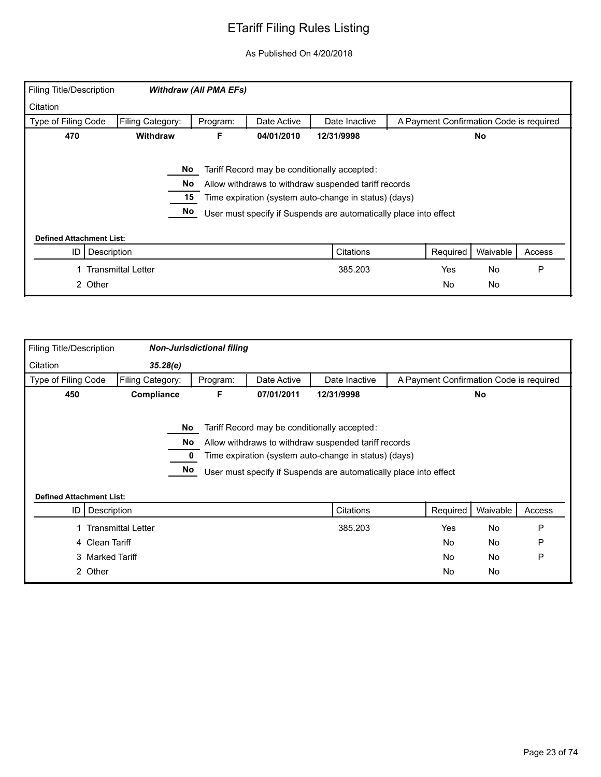| Filing Title/Description        |                             | <b>Withdraw (All PMA EFs)</b> |             |                                                                                                                                                                                                                                    |           |                                         |        |
|---------------------------------|-----------------------------|-------------------------------|-------------|------------------------------------------------------------------------------------------------------------------------------------------------------------------------------------------------------------------------------------|-----------|-----------------------------------------|--------|
| Citation                        |                             |                               |             |                                                                                                                                                                                                                                    |           |                                         |        |
| Type of Filing Code             | Filing Category:            | Program:                      | Date Active | Date Inactive                                                                                                                                                                                                                      |           | A Payment Confirmation Code is required |        |
| 470                             | Withdraw                    | F.                            | 04/01/2010  | 12/31/9998                                                                                                                                                                                                                         |           | No                                      |        |
| <b>Defined Attachment List:</b> | No<br><b>No</b><br>15<br>No |                               |             | Tariff Record may be conditionally accepted:<br>Allow withdraws to withdraw suspended tariff records<br>Time expiration (system auto-change in status) (days)<br>User must specify if Suspends are automatically place into effect |           |                                         |        |
| ID                              | Description                 |                               |             | Citations                                                                                                                                                                                                                          | Required  | Waivable                                | Access |
|                                 | <b>Transmittal Letter</b>   |                               |             | 385.203                                                                                                                                                                                                                            | Yes       | <b>No</b>                               | P      |
| 2 Other                         |                             |                               |             |                                                                                                                                                                                                                                    | <b>No</b> | No                                      |        |

| <b>Filing Title/Description</b> |                           | <b>Non-Jurisdictional filing</b> |             |                                                                                                                                                                                                                                    |                                         |           |        |
|---------------------------------|---------------------------|----------------------------------|-------------|------------------------------------------------------------------------------------------------------------------------------------------------------------------------------------------------------------------------------------|-----------------------------------------|-----------|--------|
| Citation                        | 35.28(e)                  |                                  |             |                                                                                                                                                                                                                                    |                                         |           |        |
| Type of Filing Code             | Filing Category:          | Program:                         | Date Active | Date Inactive                                                                                                                                                                                                                      | A Payment Confirmation Code is required |           |        |
| 450                             | Compliance                | F                                | 07/01/2011  | 12/31/9998                                                                                                                                                                                                                         |                                         | No        |        |
| <b>Defined Attachment List:</b> | No<br>No<br>No            |                                  |             | Tariff Record may be conditionally accepted:<br>Allow withdraws to withdraw suspended tariff records<br>Time expiration (system auto-change in status) (days)<br>User must specify if Suspends are automatically place into effect |                                         |           |        |
| ID                              | Description               |                                  |             | Citations                                                                                                                                                                                                                          | Required                                | Waivable  | Access |
|                                 | <b>Transmittal Letter</b> |                                  |             | 385.203                                                                                                                                                                                                                            | Yes                                     | <b>No</b> | P      |
|                                 | 4 Clean Tariff            |                                  |             |                                                                                                                                                                                                                                    | <b>No</b>                               | No        | P      |
|                                 | 3 Marked Tariff           |                                  |             |                                                                                                                                                                                                                                    | <b>No</b>                               | No        | P      |
| 2 Other                         |                           |                                  |             |                                                                                                                                                                                                                                    | <b>No</b>                               | No        |        |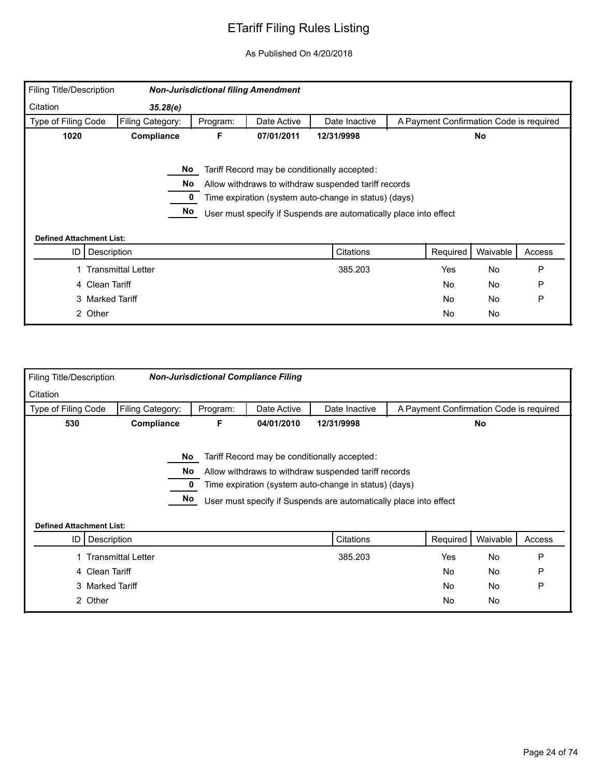| <b>Filing Title/Description</b> |                    |          | <b>Non-Jurisdictional filing Amendment</b> |                                                                                                                                                                                                                                    |                                         |           |        |
|---------------------------------|--------------------|----------|--------------------------------------------|------------------------------------------------------------------------------------------------------------------------------------------------------------------------------------------------------------------------------------|-----------------------------------------|-----------|--------|
| Citation                        | 35.28(e)           |          |                                            |                                                                                                                                                                                                                                    |                                         |           |        |
| Type of Filing Code             | Filing Category:   | Program: | Date Active                                | Date Inactive                                                                                                                                                                                                                      | A Payment Confirmation Code is required |           |        |
| 1020                            | Compliance         | F        | 07/01/2011                                 | 12/31/9998                                                                                                                                                                                                                         |                                         | <b>No</b> |        |
| <b>Defined Attachment List:</b> | No<br>No<br>No     |          |                                            | Tariff Record may be conditionally accepted:<br>Allow withdraws to withdraw suspended tariff records<br>Time expiration (system auto-change in status) (days)<br>User must specify if Suspends are automatically place into effect |                                         |           |        |
| ID                              | Description        |          |                                            | Citations                                                                                                                                                                                                                          | Required                                | Waivable  | Access |
|                                 | Transmittal Letter |          |                                            | 385.203                                                                                                                                                                                                                            | Yes                                     | <b>No</b> | P      |
|                                 | 4 Clean Tariff     |          |                                            |                                                                                                                                                                                                                                    | No                                      | No        | P      |
|                                 | 3 Marked Tariff    |          |                                            |                                                                                                                                                                                                                                    | No                                      | <b>No</b> | P      |
|                                 | 2 Other            |          |                                            |                                                                                                                                                                                                                                    | No                                      | No        |        |

| <b>Filing Title/Description</b> |                           |          | <b>Non-Jurisdictional Compliance Filing</b> |                                                                   |                                         |          |        |
|---------------------------------|---------------------------|----------|---------------------------------------------|-------------------------------------------------------------------|-----------------------------------------|----------|--------|
| Citation                        |                           |          |                                             |                                                                   |                                         |          |        |
| Type of Filing Code             | Filing Category:          | Program: | Date Active                                 | Date Inactive                                                     | A Payment Confirmation Code is required |          |        |
| 530                             | Compliance                | F        | 04/01/2010                                  | 12/31/9998                                                        |                                         | No       |        |
|                                 |                           |          |                                             |                                                                   |                                         |          |        |
|                                 |                           | No       |                                             | Tariff Record may be conditionally accepted:                      |                                         |          |        |
|                                 |                           | No.      |                                             | Allow withdraws to withdraw suspended tariff records              |                                         |          |        |
|                                 |                           |          |                                             | Time expiration (system auto-change in status) (days)             |                                         |          |        |
|                                 |                           | No       |                                             | User must specify if Suspends are automatically place into effect |                                         |          |        |
|                                 |                           |          |                                             |                                                                   |                                         |          |        |
| <b>Defined Attachment List:</b> |                           |          |                                             |                                                                   |                                         |          |        |
| ID                              | Description               |          |                                             | Citations                                                         | Required                                | Waivable | Access |
|                                 | <b>Transmittal Letter</b> |          |                                             | 385.203                                                           | Yes                                     | No       | P      |
|                                 | 4 Clean Tariff            |          |                                             |                                                                   | No                                      | No       | P      |
|                                 | 3 Marked Tariff           |          |                                             |                                                                   | No.                                     | No       | P      |
|                                 | 2 Other                   |          |                                             |                                                                   | No                                      | No       |        |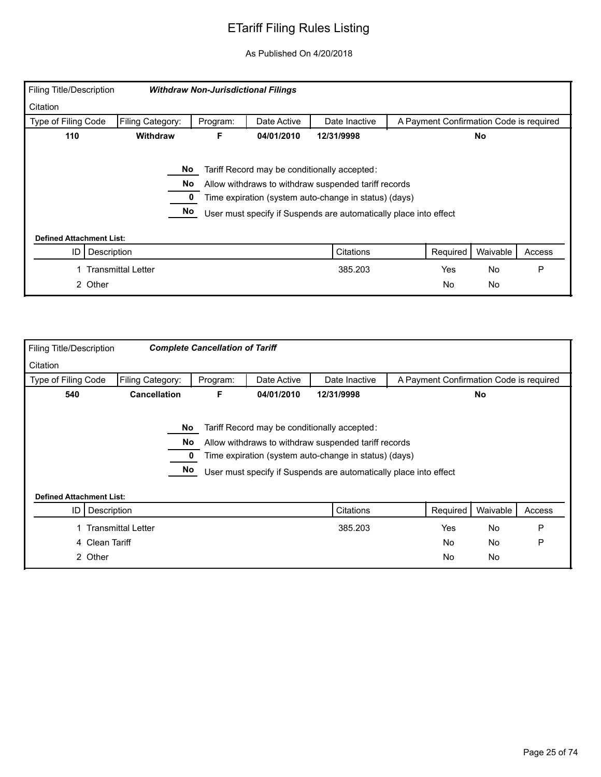| <b>Filing Title/Description</b> |                    | <b>Withdraw Non-Jurisdictional Filings</b> |             |                                                                                                                                                                                                                                    |                                         |           |        |
|---------------------------------|--------------------|--------------------------------------------|-------------|------------------------------------------------------------------------------------------------------------------------------------------------------------------------------------------------------------------------------------|-----------------------------------------|-----------|--------|
| Citation                        |                    |                                            |             |                                                                                                                                                                                                                                    |                                         |           |        |
| Type of Filing Code             | Filing Category:   | Program:                                   | Date Active | Date Inactive                                                                                                                                                                                                                      | A Payment Confirmation Code is required |           |        |
| 110                             | Withdraw           | F                                          | 04/01/2010  | 12/31/9998                                                                                                                                                                                                                         |                                         | No        |        |
|                                 | No<br>No<br>No     |                                            |             | Tariff Record may be conditionally accepted:<br>Allow withdraws to withdraw suspended tariff records<br>Time expiration (system auto-change in status) (days)<br>User must specify if Suspends are automatically place into effect |                                         |           |        |
| <b>Defined Attachment List:</b> |                    |                                            |             |                                                                                                                                                                                                                                    |                                         |           |        |
| Description<br>ID               |                    |                                            |             | Citations                                                                                                                                                                                                                          | Required                                | Waivable  | Access |
|                                 | Transmittal Letter |                                            |             | 385.203                                                                                                                                                                                                                            | Yes                                     | <b>No</b> | P      |
| 2 Other                         |                    |                                            |             |                                                                                                                                                                                                                                    | No.                                     | No        |        |

| <b>Filing Title/Description</b>                      |                           | <b>Complete Cancellation of Tariff</b> |             |                                                                   |                                         |           |        |
|------------------------------------------------------|---------------------------|----------------------------------------|-------------|-------------------------------------------------------------------|-----------------------------------------|-----------|--------|
| Citation                                             |                           |                                        |             |                                                                   |                                         |           |        |
| Type of Filing Code                                  | Filing Category:          | Program:                               | Date Active | Date Inactive                                                     | A Payment Confirmation Code is required |           |        |
| 540                                                  | <b>Cancellation</b>       | F                                      | 04/01/2010  | 12/31/9998                                                        |                                         | <b>No</b> |        |
|                                                      |                           |                                        |             |                                                                   |                                         |           |        |
|                                                      | No.                       |                                        |             | Tariff Record may be conditionally accepted:                      |                                         |           |        |
|                                                      | No                        |                                        |             | Allow withdraws to withdraw suspended tariff records              |                                         |           |        |
|                                                      |                           |                                        |             | Time expiration (system auto-change in status) (days)             |                                         |           |        |
|                                                      | No                        |                                        |             | User must specify if Suspends are automatically place into effect |                                         |           |        |
|                                                      |                           |                                        |             |                                                                   |                                         |           |        |
| <b>Defined Attachment List:</b><br>Description<br>ID |                           |                                        |             | Citations                                                         | Required                                | Waivable  | Access |
|                                                      |                           |                                        |             |                                                                   |                                         |           |        |
|                                                      | <b>Transmittal Letter</b> |                                        |             | 385.203                                                           | Yes                                     | <b>No</b> | P      |
| 4 Clean Tariff                                       |                           |                                        |             |                                                                   | <b>No</b>                               | No        | P      |
| 2 Other                                              |                           |                                        |             |                                                                   | <b>No</b>                               | No        |        |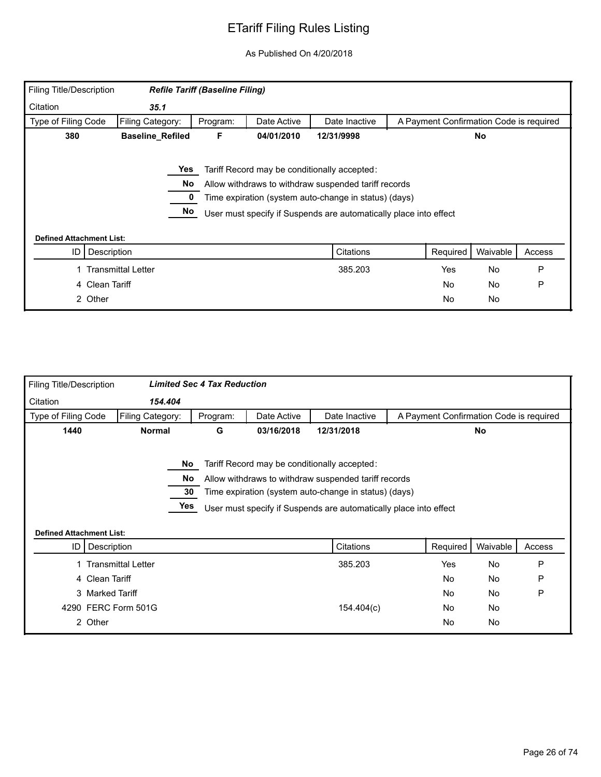| Filing Title/Description        |                           | <b>Refile Tariff (Baseline Filing)</b> |             |                                                                   |                                         |           |        |
|---------------------------------|---------------------------|----------------------------------------|-------------|-------------------------------------------------------------------|-----------------------------------------|-----------|--------|
| Citation                        | 35.1                      |                                        |             |                                                                   |                                         |           |        |
| Type of Filing Code             | Filing Category:          | Program:                               | Date Active | Date Inactive                                                     | A Payment Confirmation Code is required |           |        |
| 380                             | <b>Baseline_Refiled</b>   | F                                      | 04/01/2010  | 12/31/9998                                                        |                                         | No        |        |
|                                 | Yes                       |                                        |             | Tariff Record may be conditionally accepted:                      |                                         |           |        |
|                                 | No                        |                                        |             | Allow withdraws to withdraw suspended tariff records              |                                         |           |        |
|                                 |                           |                                        |             | Time expiration (system auto-change in status) (days)             |                                         |           |        |
|                                 | No                        |                                        |             | User must specify if Suspends are automatically place into effect |                                         |           |        |
| <b>Defined Attachment List:</b> |                           |                                        |             |                                                                   |                                         |           |        |
| ID                              | Description               |                                        |             | Citations                                                         | Required                                | Waivable  | Access |
|                                 | <b>Transmittal Letter</b> |                                        |             | 385.203                                                           | Yes                                     | No        | P      |
|                                 | 4 Clean Tariff            |                                        |             |                                                                   | <b>No</b>                               | <b>No</b> | P      |
|                                 | 2 Other                   |                                        |             |                                                                   | <b>No</b>                               | No        |        |

| <b>Filing Title/Description</b> |                      |                          | <b>Limited Sec 4 Tax Reduction</b> |             |                                                                                                                                                                                                                                    |           |                                         |        |
|---------------------------------|----------------------|--------------------------|------------------------------------|-------------|------------------------------------------------------------------------------------------------------------------------------------------------------------------------------------------------------------------------------------|-----------|-----------------------------------------|--------|
| Citation                        | 154.404              |                          |                                    |             |                                                                                                                                                                                                                                    |           |                                         |        |
| Type of Filing Code             | Filing Category:     |                          | Program:                           | Date Active | Date Inactive                                                                                                                                                                                                                      |           | A Payment Confirmation Code is required |        |
| 1440                            | <b>Normal</b>        |                          | G                                  | 03/16/2018  | 12/31/2018                                                                                                                                                                                                                         |           | No                                      |        |
| <b>Defined Attachment List:</b> |                      | No l<br>No.<br>30<br>Yes |                                    |             | Tariff Record may be conditionally accepted:<br>Allow withdraws to withdraw suspended tariff records<br>Time expiration (system auto-change in status) (days)<br>User must specify if Suspends are automatically place into effect |           |                                         |        |
|                                 | ID   Description     |                          |                                    |             | Citations                                                                                                                                                                                                                          | Required  | Waivable                                | Access |
|                                 | 1 Transmittal Letter |                          |                                    |             | 385.203                                                                                                                                                                                                                            | Yes       | <b>No</b>                               | P      |
|                                 | 4 Clean Tariff       |                          |                                    |             |                                                                                                                                                                                                                                    | <b>No</b> | <b>No</b>                               | P      |
|                                 | 3 Marked Tariff      |                          |                                    |             |                                                                                                                                                                                                                                    | <b>No</b> | <b>No</b>                               | P      |
|                                 | 4290 FERC Form 501G  |                          |                                    |             | 154.404(c)                                                                                                                                                                                                                         | <b>No</b> | <b>No</b>                               |        |
|                                 | 2 Other              |                          |                                    |             |                                                                                                                                                                                                                                    | <b>No</b> | No                                      |        |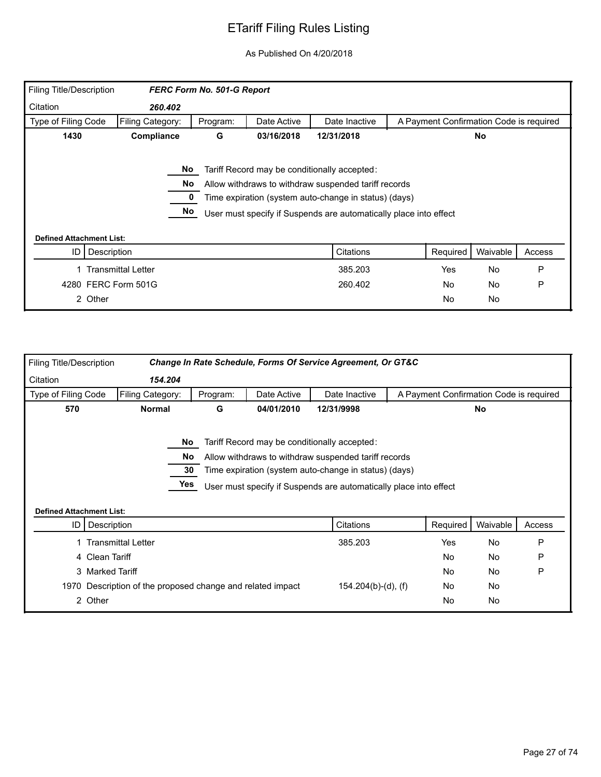| Filing Title/Description        |                           | FERC Form No. 501-G Report |             |                                                                   |                                         |           |        |
|---------------------------------|---------------------------|----------------------------|-------------|-------------------------------------------------------------------|-----------------------------------------|-----------|--------|
| Citation                        | 260.402                   |                            |             |                                                                   |                                         |           |        |
| Type of Filing Code             | Filing Category:          | Program:                   | Date Active | Date Inactive                                                     | A Payment Confirmation Code is required |           |        |
| 1430                            | Compliance                | G                          | 03/16/2018  | 12/31/2018                                                        |                                         | <b>No</b> |        |
|                                 | No.                       |                            |             | Tariff Record may be conditionally accepted:                      |                                         |           |        |
|                                 | No                        |                            |             | Allow withdraws to withdraw suspended tariff records              |                                         |           |        |
|                                 |                           |                            |             | Time expiration (system auto-change in status) (days)             |                                         |           |        |
|                                 | No                        |                            |             | User must specify if Suspends are automatically place into effect |                                         |           |        |
| <b>Defined Attachment List:</b> |                           |                            |             |                                                                   |                                         |           |        |
| ID                              | Description               |                            |             | Citations                                                         | Required                                | Waivable  | Access |
|                                 | <b>Transmittal Letter</b> |                            |             | 385.203                                                           | Yes                                     | <b>No</b> | P      |
|                                 | 4280 FERC Form 501G       |                            |             | 260.402                                                           | <b>No</b>                               | <b>No</b> | P      |
|                                 | 2 Other                   |                            |             |                                                                   | <b>No</b>                               | No        |        |

| Filing Title/Description        |                                                            |          |             | Change In Rate Schedule, Forms Of Service Agreement, Or GT&C                                                                                                  |                                         |           |        |
|---------------------------------|------------------------------------------------------------|----------|-------------|---------------------------------------------------------------------------------------------------------------------------------------------------------------|-----------------------------------------|-----------|--------|
| Citation                        | 154.204                                                    |          |             |                                                                                                                                                               |                                         |           |        |
| Type of Filing Code             | Filing Category:                                           | Program: | Date Active | Date Inactive                                                                                                                                                 | A Payment Confirmation Code is required |           |        |
| 570                             | <b>Normal</b>                                              | G        | 04/01/2010  | 12/31/9998                                                                                                                                                    |                                         | <b>No</b> |        |
|                                 | <b>No</b><br>No.<br>30                                     |          |             | Tariff Record may be conditionally accepted:<br>Allow withdraws to withdraw suspended tariff records<br>Time expiration (system auto-change in status) (days) |                                         |           |        |
| <b>Defined Attachment List:</b> |                                                            | Yes      |             | User must specify if Suspends are automatically place into effect                                                                                             |                                         |           |        |
| ID                              | Description                                                |          |             | Citations                                                                                                                                                     | Required                                | Waivable  | Access |
|                                 | <b>Transmittal Letter</b>                                  |          |             | 385.203                                                                                                                                                       | Yes                                     | No        | P      |
| 4 Clean Tariff                  |                                                            |          |             |                                                                                                                                                               | <b>No</b>                               | <b>No</b> | P      |
|                                 | 3 Marked Tariff                                            |          |             |                                                                                                                                                               | <b>No</b>                               | <b>No</b> | P      |
|                                 | 1970 Description of the proposed change and related impact |          |             | $154.204(b)-(d)$ , (f)                                                                                                                                        | No.                                     | <b>No</b> |        |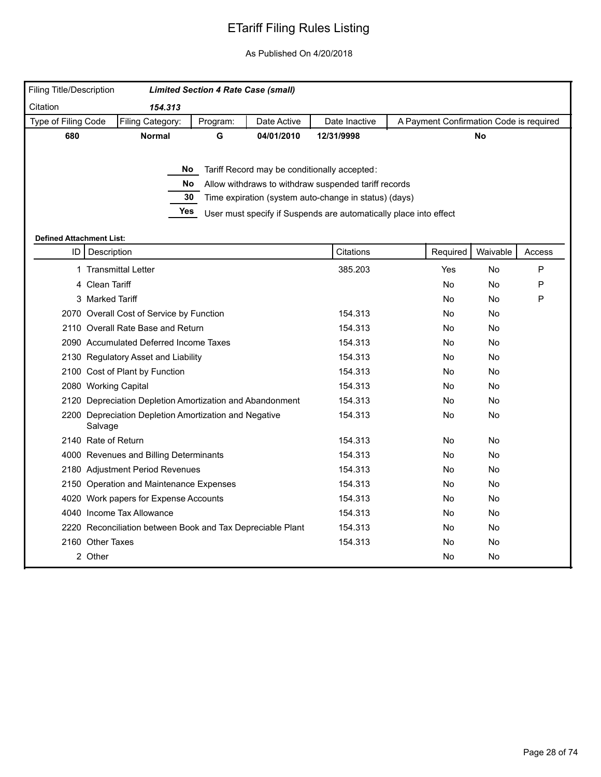| Filing Title/Description        |                                                                  | <b>Limited Section 4 Rate Case (small)</b> |             |                                                                   |                                         |          |        |
|---------------------------------|------------------------------------------------------------------|--------------------------------------------|-------------|-------------------------------------------------------------------|-----------------------------------------|----------|--------|
| Citation                        | 154.313                                                          |                                            |             |                                                                   |                                         |          |        |
| Type of Filing Code             | Filing Category:                                                 | Program:                                   | Date Active | Date Inactive                                                     | A Payment Confirmation Code is required |          |        |
| 680                             | <b>Normal</b>                                                    | G                                          | 04/01/2010  | 12/31/9998                                                        |                                         | No       |        |
|                                 |                                                                  |                                            |             |                                                                   |                                         |          |        |
|                                 |                                                                  |                                            |             | No Tariff Record may be conditionally accepted:                   |                                         |          |        |
|                                 | No.                                                              |                                            |             | Allow withdraws to withdraw suspended tariff records              |                                         |          |        |
|                                 | 30                                                               |                                            |             | Time expiration (system auto-change in status) (days)             |                                         |          |        |
|                                 | Yes                                                              |                                            |             | User must specify if Suspends are automatically place into effect |                                         |          |        |
|                                 |                                                                  |                                            |             |                                                                   |                                         |          |        |
| <b>Defined Attachment List:</b> |                                                                  |                                            |             |                                                                   |                                         |          |        |
| ID                              | Description                                                      |                                            |             | Citations                                                         | Required                                | Waivable | Access |
|                                 | 1 Transmittal Letter                                             |                                            |             | 385.203                                                           | Yes                                     | No       | P      |
|                                 | 4 Clean Tariff                                                   |                                            |             |                                                                   | <b>No</b>                               | No       | P      |
|                                 | 3 Marked Tariff                                                  |                                            |             |                                                                   | No.                                     | No       | P      |
|                                 | 2070 Overall Cost of Service by Function                         |                                            |             | 154.313                                                           | No                                      | No       |        |
|                                 | 2110 Overall Rate Base and Return                                |                                            |             | 154.313                                                           | No                                      | No       |        |
|                                 | 2090 Accumulated Deferred Income Taxes                           |                                            |             | 154.313                                                           | No.                                     | No       |        |
|                                 | 2130 Regulatory Asset and Liability                              |                                            |             | 154.313                                                           | No                                      | No       |        |
|                                 | 2100 Cost of Plant by Function                                   |                                            |             | 154.313                                                           | No                                      | No       |        |
|                                 | 2080 Working Capital                                             |                                            |             | 154.313                                                           | No                                      | No       |        |
|                                 | 2120 Depreciation Depletion Amortization and Abandonment         |                                            |             | 154.313                                                           | No                                      | No       |        |
|                                 | 2200 Depreciation Depletion Amortization and Negative<br>Salvage |                                            |             | 154.313                                                           | No                                      | No       |        |
|                                 | 2140 Rate of Return                                              |                                            |             | 154.313                                                           | No                                      | No       |        |
|                                 | 4000 Revenues and Billing Determinants                           |                                            |             | 154.313                                                           | No                                      | No       |        |
|                                 | 2180 Adjustment Period Revenues                                  |                                            |             | 154.313                                                           | No                                      | No       |        |
|                                 | 2150 Operation and Maintenance Expenses                          |                                            |             | 154.313                                                           | No                                      | No       |        |
|                                 | 4020 Work papers for Expense Accounts                            |                                            |             | 154.313                                                           | No                                      | No       |        |
|                                 | 4040 Income Tax Allowance                                        |                                            |             | 154.313                                                           | No                                      | No       |        |
|                                 | 2220 Reconciliation between Book and Tax Depreciable Plant       |                                            |             | 154.313                                                           | No.                                     | No       |        |
|                                 | 2160 Other Taxes                                                 |                                            |             | 154.313                                                           | No                                      | No       |        |
|                                 | 2 Other                                                          |                                            |             |                                                                   | No                                      | No       |        |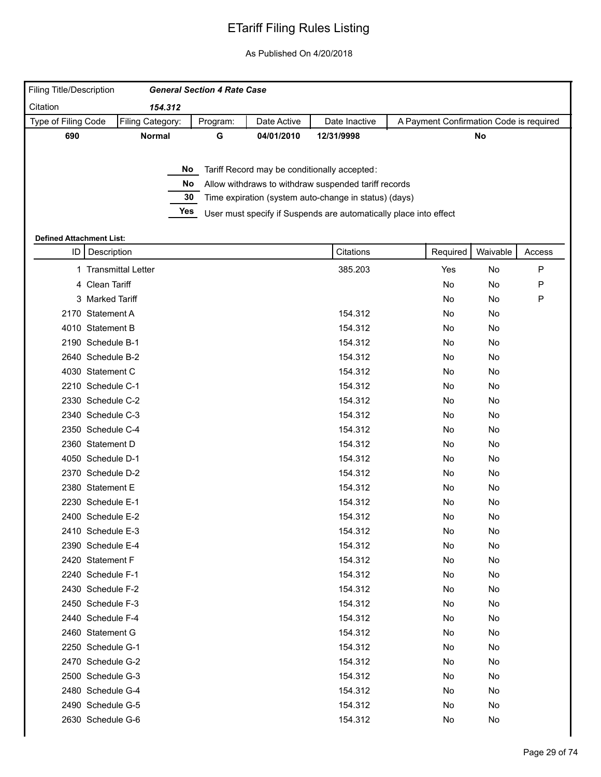| <b>Filing Title/Description</b><br>Citation | 154.312                         |     | <b>General Section 4 Rate Case</b> |             |                                                                   |                                         |          |        |
|---------------------------------------------|---------------------------------|-----|------------------------------------|-------------|-------------------------------------------------------------------|-----------------------------------------|----------|--------|
| Type of Filing Code                         | Filing Category:                |     | Program:                           | Date Active | Date Inactive                                                     | A Payment Confirmation Code is required |          |        |
| 690                                         | <b>Normal</b>                   |     | G                                  | 04/01/2010  | 12/31/9998                                                        |                                         | No       |        |
|                                             |                                 |     |                                    |             |                                                                   |                                         |          |        |
|                                             |                                 | No  |                                    |             | Tariff Record may be conditionally accepted:                      |                                         |          |        |
|                                             |                                 | No  |                                    |             | Allow withdraws to withdraw suspended tariff records              |                                         |          |        |
|                                             |                                 | 30  |                                    |             | Time expiration (system auto-change in status) (days)             |                                         |          |        |
|                                             |                                 | Yes |                                    |             | User must specify if Suspends are automatically place into effect |                                         |          |        |
|                                             | <b>Defined Attachment List:</b> |     |                                    |             |                                                                   |                                         |          |        |
|                                             | ID   Description                |     |                                    |             | Citations                                                         | Required                                | Waivable | Access |
|                                             | 1 Transmittal Letter            |     |                                    |             | 385.203                                                           | Yes                                     | No       | P      |
|                                             | 4 Clean Tariff                  |     |                                    |             |                                                                   | No                                      | No       | P      |
|                                             | 3 Marked Tariff                 |     |                                    |             |                                                                   | No                                      | No       | P      |
|                                             | 2170 Statement A                |     |                                    |             | 154.312                                                           | No                                      | No       |        |
|                                             | 4010 Statement B                |     |                                    |             | 154.312                                                           | No                                      | No       |        |
|                                             | 2190 Schedule B-1               |     |                                    |             | 154.312                                                           | No                                      | No       |        |
|                                             | 2640 Schedule B-2               |     |                                    |             | 154.312                                                           | No                                      | No       |        |
|                                             | 4030 Statement C                |     |                                    |             | 154.312                                                           | No                                      | No       |        |
|                                             | 2210 Schedule C-1               |     |                                    |             | 154.312                                                           | No                                      | No       |        |
|                                             | 2330 Schedule C-2               |     |                                    |             | 154.312                                                           | No                                      | No       |        |
|                                             | 2340 Schedule C-3               |     |                                    |             | 154.312                                                           | No                                      | No       |        |
|                                             | 2350 Schedule C-4               |     |                                    |             | 154.312                                                           | No                                      | No       |        |
|                                             | 2360 Statement D                |     |                                    |             | 154.312                                                           | No                                      | No       |        |
|                                             | 4050 Schedule D-1               |     |                                    |             | 154.312                                                           | No                                      | No       |        |
|                                             | 2370 Schedule D-2               |     |                                    |             | 154.312                                                           | No                                      | No       |        |
|                                             | 2380 Statement E                |     |                                    |             | 154.312                                                           | No                                      | No       |        |
|                                             | 2230 Schedule E-1               |     |                                    |             | 154.312                                                           | No                                      | No       |        |
|                                             | 2400 Schedule E-2               |     |                                    |             | 154.312                                                           | No                                      | No       |        |
|                                             | 2410 Schedule E-3               |     |                                    |             | 154.312                                                           | No                                      | No       |        |
|                                             | 2390 Schedule E-4               |     |                                    |             | 154.312                                                           | No                                      | No       |        |
|                                             | 2420 Statement F                |     |                                    |             | 154.312                                                           | No                                      | No       |        |
|                                             | 2240 Schedule F-1               |     |                                    |             | 154.312                                                           | No                                      | No       |        |
|                                             | 2430 Schedule F-2               |     |                                    |             | 154.312                                                           | No                                      | No       |        |
|                                             | 2450 Schedule F-3               |     |                                    |             | 154.312                                                           | No                                      | No       |        |
|                                             | 2440 Schedule F-4               |     |                                    |             | 154.312                                                           | No                                      | No       |        |
|                                             | 2460 Statement G                |     |                                    |             | 154.312                                                           | No                                      | No       |        |
|                                             | 2250 Schedule G-1               |     |                                    |             | 154.312                                                           | No                                      | No       |        |
|                                             | 2470 Schedule G-2               |     |                                    |             | 154.312                                                           | No                                      | No       |        |
|                                             | 2500 Schedule G-3               |     |                                    |             | 154.312                                                           | No                                      | No       |        |
|                                             | 2480 Schedule G-4               |     |                                    |             | 154.312                                                           | No                                      | No       |        |
|                                             | 2490 Schedule G-5               |     |                                    |             | 154.312                                                           | No                                      | No       |        |
|                                             | 2630 Schedule G-6               |     |                                    |             | 154.312                                                           | No                                      | No       |        |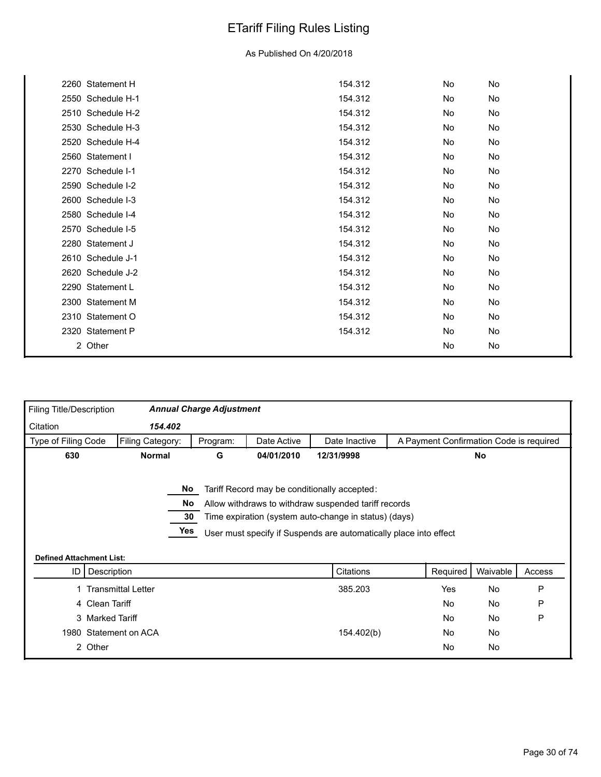| 2260 Statement H  | 154.312 | No  | No |  |
|-------------------|---------|-----|----|--|
| 2550 Schedule H-1 | 154.312 | No  | No |  |
| 2510 Schedule H-2 | 154.312 | No  | No |  |
| 2530 Schedule H-3 | 154.312 | No  | No |  |
| 2520 Schedule H-4 | 154.312 | No. | No |  |
| 2560 Statement I  | 154.312 | No  | No |  |
| 2270 Schedule I-1 | 154.312 | No  | No |  |
| 2590 Schedule I-2 | 154.312 | No  | No |  |
| 2600 Schedule I-3 | 154.312 | No  | No |  |
| 2580 Schedule I-4 | 154.312 | No  | No |  |
| 2570 Schedule I-5 | 154.312 | No. | No |  |
| 2280 Statement J  | 154.312 | No. | No |  |
| 2610 Schedule J-1 | 154.312 | No. | No |  |
| 2620 Schedule J-2 | 154.312 | No  | No |  |
| 2290 Statement L  | 154.312 | No  | No |  |
| 2300 Statement M  | 154.312 | No  | No |  |
| 2310 Statement O  | 154.312 | No  | No |  |
| 2320 Statement P  | 154.312 | No  | No |  |
| 2 Other           |         | No  | No |  |
|                   |         |     |    |  |

| Filing Title/Description        |                           | <b>Annual Charge Adjustment</b> |             |                                                                                                                                                                                                                                    |                                         |           |        |
|---------------------------------|---------------------------|---------------------------------|-------------|------------------------------------------------------------------------------------------------------------------------------------------------------------------------------------------------------------------------------------|-----------------------------------------|-----------|--------|
| Citation                        | 154.402                   |                                 |             |                                                                                                                                                                                                                                    |                                         |           |        |
| Type of Filing Code             | Filing Category:          | Program:                        | Date Active | Date Inactive                                                                                                                                                                                                                      | A Payment Confirmation Code is required |           |        |
| 630                             | <b>Normal</b>             | G                               | 04/01/2010  | 12/31/9998                                                                                                                                                                                                                         |                                         | No        |        |
| <b>Defined Attachment List:</b> |                           | No.<br>No.<br>30<br>Yes         |             | Tariff Record may be conditionally accepted:<br>Allow withdraws to withdraw suspended tariff records<br>Time expiration (system auto-change in status) (days)<br>User must specify if Suspends are automatically place into effect |                                         |           |        |
| ID                              | Description               |                                 |             | Citations                                                                                                                                                                                                                          | Required                                | Waivable  | Access |
|                                 | <b>Transmittal Letter</b> |                                 |             | 385.203                                                                                                                                                                                                                            | Yes                                     | No        | P      |
|                                 | 4 Clean Tariff            |                                 |             |                                                                                                                                                                                                                                    | <b>No</b>                               | <b>No</b> | P      |
|                                 | 3 Marked Tariff           |                                 |             |                                                                                                                                                                                                                                    | No.                                     | <b>No</b> | P      |
|                                 | 1980 Statement on ACA     |                                 |             | 154.402(b)                                                                                                                                                                                                                         | No.                                     | <b>No</b> |        |
|                                 |                           |                                 |             |                                                                                                                                                                                                                                    |                                         | No        |        |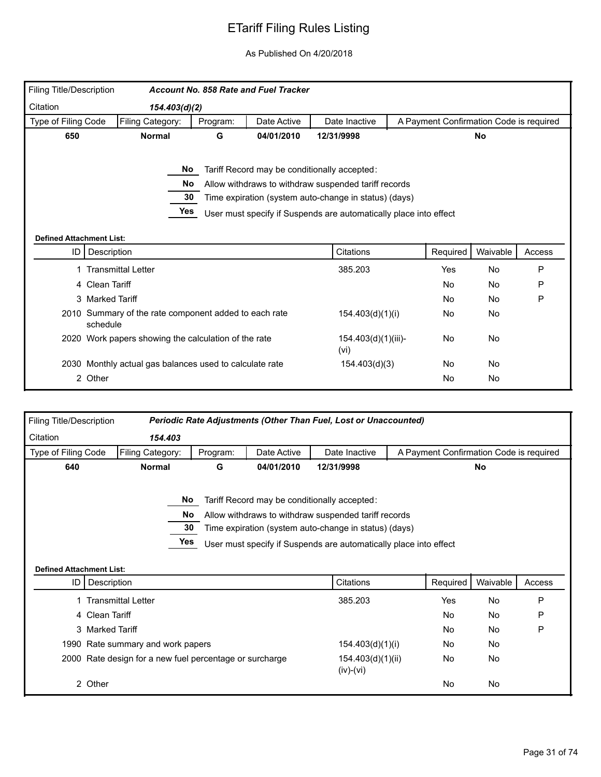| Filing Title/Description        |                                                                   |                  | Account No. 858 Rate and Fuel Tracker |                                                                                                                                                                                                                                    |                     |                                         |           |        |
|---------------------------------|-------------------------------------------------------------------|------------------|---------------------------------------|------------------------------------------------------------------------------------------------------------------------------------------------------------------------------------------------------------------------------------|---------------------|-----------------------------------------|-----------|--------|
| Citation                        | 154.403(d)(2)                                                     |                  |                                       |                                                                                                                                                                                                                                    |                     |                                         |           |        |
| Type of Filing Code             | Filing Category:                                                  | Program:         | Date Active                           | Date Inactive                                                                                                                                                                                                                      |                     | A Payment Confirmation Code is required |           |        |
| 650                             | <b>Normal</b>                                                     | 12/31/9998       |                                       |                                                                                                                                                                                                                                    | <b>No</b>           |                                         |           |        |
| <b>Defined Attachment List:</b> | No.<br>No<br>30<br>Yes                                            |                  |                                       | Tariff Record may be conditionally accepted:<br>Allow withdraws to withdraw suspended tariff records<br>Time expiration (system auto-change in status) (days)<br>User must specify if Suspends are automatically place into effect |                     |                                         |           |        |
| ID I                            | Description                                                       |                  |                                       | Citations                                                                                                                                                                                                                          |                     | Required                                | Waivable  | Access |
|                                 | <b>Transmittal Letter</b>                                         |                  |                                       | 385.203                                                                                                                                                                                                                            |                     | Yes                                     | No        | P      |
|                                 | 4 Clean Tariff                                                    |                  |                                       |                                                                                                                                                                                                                                    |                     | <b>No</b>                               | <b>No</b> | P      |
|                                 | 3 Marked Tariff                                                   |                  |                                       |                                                                                                                                                                                                                                    |                     | <b>No</b>                               | <b>No</b> | P      |
|                                 | 2010 Summary of the rate component added to each rate<br>schedule | 154.403(d)(1)(i) |                                       | No                                                                                                                                                                                                                                 | <b>No</b>           |                                         |           |        |
|                                 | 2020 Work papers showing the calculation of the rate              |                  |                                       |                                                                                                                                                                                                                                    | 154.403(d)(1)(iii)- | No                                      | No        |        |
|                                 | 2030 Monthly actual gas balances used to calculate rate           |                  |                                       | 154.403(d)(3)                                                                                                                                                                                                                      |                     | No                                      | No        |        |
|                                 | 2 Other                                                           |                  |                                       |                                                                                                                                                                                                                                    |                     | No                                      | No        |        |

| Filing Title/Description        |                                                         |          |             | Periodic Rate Adjustments (Other Than Fuel, Lost or Unaccounted)  |                                         |           |        |
|---------------------------------|---------------------------------------------------------|----------|-------------|-------------------------------------------------------------------|-----------------------------------------|-----------|--------|
| Citation                        | 154.403                                                 |          |             |                                                                   |                                         |           |        |
| Type of Filing Code             | Filing Category:                                        | Program: | Date Active | Date Inactive                                                     | A Payment Confirmation Code is required |           |        |
| 640                             | <b>Normal</b>                                           | G        | 04/01/2010  | 12/31/9998                                                        |                                         | <b>No</b> |        |
|                                 | No.                                                     |          |             | Tariff Record may be conditionally accepted:                      |                                         |           |        |
|                                 | No.                                                     |          |             | Allow withdraws to withdraw suspended tariff records              |                                         |           |        |
|                                 | 30                                                      |          |             | Time expiration (system auto-change in status) (days)             |                                         |           |        |
|                                 | Yes                                                     |          |             | User must specify if Suspends are automatically place into effect |                                         |           |        |
|                                 |                                                         |          |             |                                                                   |                                         |           |        |
|                                 |                                                         |          |             |                                                                   |                                         |           |        |
| <b>Defined Attachment List:</b> |                                                         |          |             |                                                                   |                                         |           |        |
| ID.                             | Description                                             |          |             | Citations                                                         | Required                                | Waivable  | Access |
|                                 | 1 Transmittal Letter                                    |          |             | 385.203                                                           | Yes                                     | No        | P      |
|                                 | 4 Clean Tariff                                          |          |             |                                                                   | <b>No</b>                               | <b>No</b> | P      |
|                                 | 3 Marked Tariff                                         |          |             |                                                                   | <b>No</b>                               | No        | P      |
|                                 | 1990 Rate summary and work papers                       |          |             |                                                                   | No.                                     | No        |        |
|                                 | 2000 Rate design for a new fuel percentage or surcharge |          |             | 154.403(d)(1)(i)<br>154.403(d)(1)(ii)<br>$(iv)-(vi)$              | No                                      | No        |        |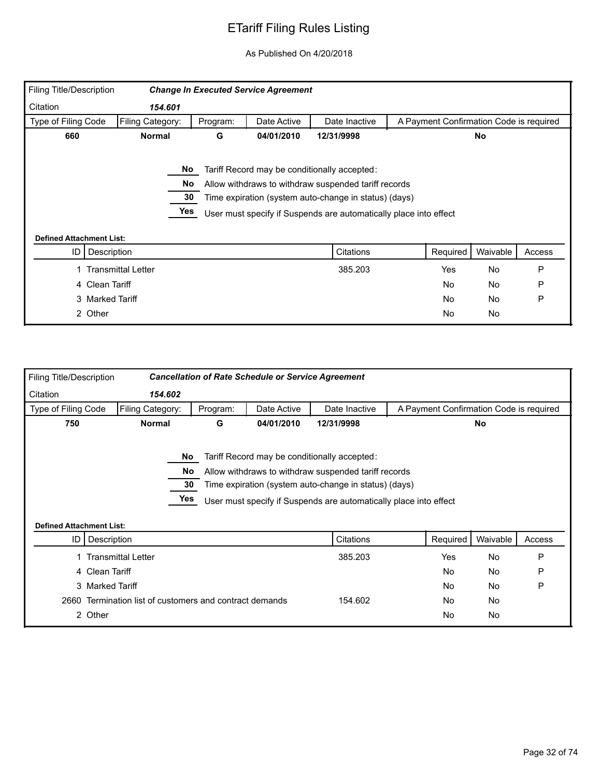| <b>Filing Title/Description</b> |                    |          | <b>Change In Executed Service Agreement</b> |                                                                   |                                         |           |        |  |
|---------------------------------|--------------------|----------|---------------------------------------------|-------------------------------------------------------------------|-----------------------------------------|-----------|--------|--|
| Citation                        | 154.601            |          |                                             |                                                                   |                                         |           |        |  |
| Type of Filing Code             | Filing Category:   | Program: | Date Active                                 | Date Inactive                                                     | A Payment Confirmation Code is required |           |        |  |
| 660                             | <b>Normal</b>      | G        | 04/01/2010                                  | 12/31/9998                                                        | <b>No</b>                               |           |        |  |
|                                 |                    |          |                                             |                                                                   |                                         |           |        |  |
|                                 | No                 |          |                                             | Tariff Record may be conditionally accepted:                      |                                         |           |        |  |
|                                 | No                 |          |                                             | Allow withdraws to withdraw suspended tariff records              |                                         |           |        |  |
|                                 | 30                 |          |                                             | Time expiration (system auto-change in status) (days)             |                                         |           |        |  |
|                                 | Yes                |          |                                             | User must specify if Suspends are automatically place into effect |                                         |           |        |  |
|                                 |                    |          |                                             |                                                                   |                                         |           |        |  |
| <b>Defined Attachment List:</b> |                    |          |                                             |                                                                   |                                         |           |        |  |
| ID                              | Description        |          |                                             | Citations                                                         | Required                                | Waivable  | Access |  |
|                                 | Transmittal Letter |          |                                             | 385.203                                                           | Yes                                     | <b>No</b> | P      |  |
|                                 | 4 Clean Tariff     |          |                                             |                                                                   | No                                      | No        | P      |  |
|                                 | 3 Marked Tariff    |          |                                             |                                                                   | No                                      | <b>No</b> | P      |  |
|                                 | 2 Other            |          |                                             |                                                                   | No                                      | No        |        |  |

| <b>Filing Title/Description</b> |                                                             |          | <b>Cancellation of Rate Schedule or Service Agreement</b> |                                                                                                                                                                                                                                                 |                                         |           |        |  |
|---------------------------------|-------------------------------------------------------------|----------|-----------------------------------------------------------|-------------------------------------------------------------------------------------------------------------------------------------------------------------------------------------------------------------------------------------------------|-----------------------------------------|-----------|--------|--|
| Citation                        | 154.602                                                     |          |                                                           |                                                                                                                                                                                                                                                 |                                         |           |        |  |
| Type of Filing Code             | Filing Category:                                            | Program: | Date Active                                               | Date Inactive                                                                                                                                                                                                                                   | A Payment Confirmation Code is required |           |        |  |
| 750                             | 04/01/2010<br>12/31/9998<br><b>Normal</b><br>G<br><b>No</b> |          |                                                           |                                                                                                                                                                                                                                                 |                                         |           |        |  |
| <b>Defined Attachment List:</b> | No.<br><b>No</b><br>30<br>Yes<br>ID   Description           |          |                                                           | Tariff Record may be conditionally accepted:<br>Allow withdraws to withdraw suspended tariff records<br>Time expiration (system auto-change in status) (days)<br>User must specify if Suspends are automatically place into effect<br>Citations | Required                                | Waivable  | Access |  |
|                                 | <b>Transmittal Letter</b>                                   |          |                                                           | 385.203                                                                                                                                                                                                                                         | Yes                                     | <b>No</b> | P      |  |
|                                 | 4 Clean Tariff                                              |          |                                                           |                                                                                                                                                                                                                                                 | <b>No</b>                               | <b>No</b> | P      |  |
|                                 | 3 Marked Tariff                                             |          |                                                           |                                                                                                                                                                                                                                                 | <b>No</b>                               | No        | P      |  |
| 2660                            | Termination list of customers and contract demands          |          |                                                           | 154.602                                                                                                                                                                                                                                         | No                                      | No        |        |  |
|                                 | 2 Other                                                     |          |                                                           |                                                                                                                                                                                                                                                 | No                                      | No        |        |  |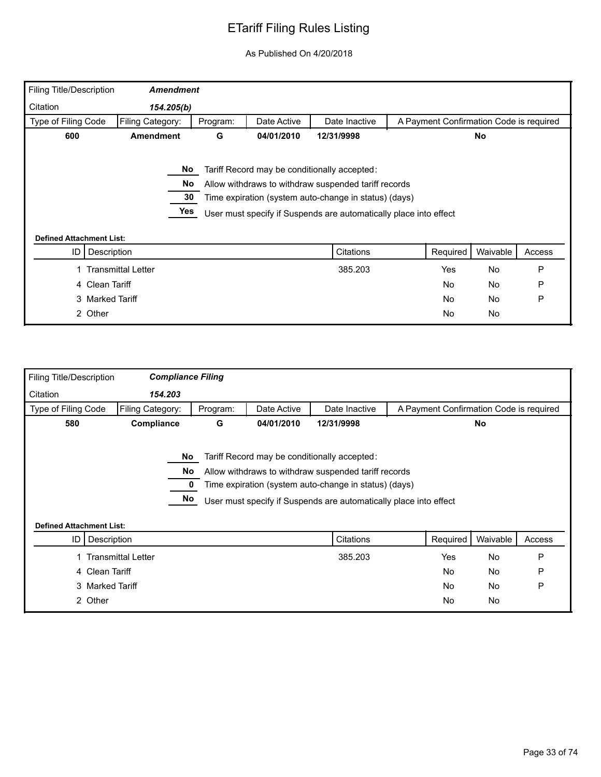| <b>Filing Title/Description</b> | <b>Amendment</b>          |          |             |                                                                   |                                         |           |        |  |
|---------------------------------|---------------------------|----------|-------------|-------------------------------------------------------------------|-----------------------------------------|-----------|--------|--|
| Citation                        | 154.205(b)                |          |             |                                                                   |                                         |           |        |  |
| Type of Filing Code             | Filing Category:          | Program: | Date Active | Date Inactive                                                     | A Payment Confirmation Code is required |           |        |  |
| 600                             | <b>Amendment</b>          | G        | 04/01/2010  | 12/31/9998                                                        | <b>No</b>                               |           |        |  |
|                                 |                           |          |             |                                                                   |                                         |           |        |  |
|                                 | No                        |          |             | Tariff Record may be conditionally accepted:                      |                                         |           |        |  |
|                                 | No                        |          |             | Allow withdraws to withdraw suspended tariff records              |                                         |           |        |  |
|                                 | 30                        |          |             | Time expiration (system auto-change in status) (days)             |                                         |           |        |  |
|                                 | Yes                       |          |             | User must specify if Suspends are automatically place into effect |                                         |           |        |  |
|                                 |                           |          |             |                                                                   |                                         |           |        |  |
| <b>Defined Attachment List:</b> |                           |          |             |                                                                   |                                         |           |        |  |
| ID                              | Description               |          |             | Citations                                                         | Required                                | Waivable  | Access |  |
|                                 | <b>Transmittal Letter</b> |          |             | 385.203                                                           | Yes                                     | <b>No</b> | P      |  |
| 4 Clean Tariff                  |                           |          |             |                                                                   | No                                      | <b>No</b> | P      |  |
|                                 | 3 Marked Tariff           |          |             |                                                                   | No                                      | <b>No</b> | P      |  |
|                                 |                           |          |             |                                                                   |                                         |           |        |  |

| Filing Title/Description        | <b>Compliance Filing</b>  |          |             |                                                                                                                                                                                                                                    |                                         |           |        |  |  |
|---------------------------------|---------------------------|----------|-------------|------------------------------------------------------------------------------------------------------------------------------------------------------------------------------------------------------------------------------------|-----------------------------------------|-----------|--------|--|--|
| Citation                        | 154.203                   |          |             |                                                                                                                                                                                                                                    |                                         |           |        |  |  |
| Type of Filing Code             | Filing Category:          | Program: | Date Active | Date Inactive                                                                                                                                                                                                                      | A Payment Confirmation Code is required |           |        |  |  |
| 580                             | Compliance                | G        | 04/01/2010  | 12/31/9998                                                                                                                                                                                                                         | No                                      |           |        |  |  |
| <b>Defined Attachment List:</b> | No<br>No<br>No            |          |             | Tariff Record may be conditionally accepted:<br>Allow withdraws to withdraw suspended tariff records<br>Time expiration (system auto-change in status) (days)<br>User must specify if Suspends are automatically place into effect |                                         |           |        |  |  |
| ID                              | Description               |          |             | Citations                                                                                                                                                                                                                          | Required                                | Waivable  | Access |  |  |
|                                 | <b>Transmittal Letter</b> |          |             | 385.203                                                                                                                                                                                                                            | Yes                                     | <b>No</b> | P      |  |  |
|                                 | 4 Clean Tariff            |          |             |                                                                                                                                                                                                                                    | No                                      | No        | P      |  |  |
|                                 | 3 Marked Tariff           |          |             |                                                                                                                                                                                                                                    | No                                      | No        | P      |  |  |
|                                 | 2 Other                   |          |             |                                                                                                                                                                                                                                    | No                                      | No        |        |  |  |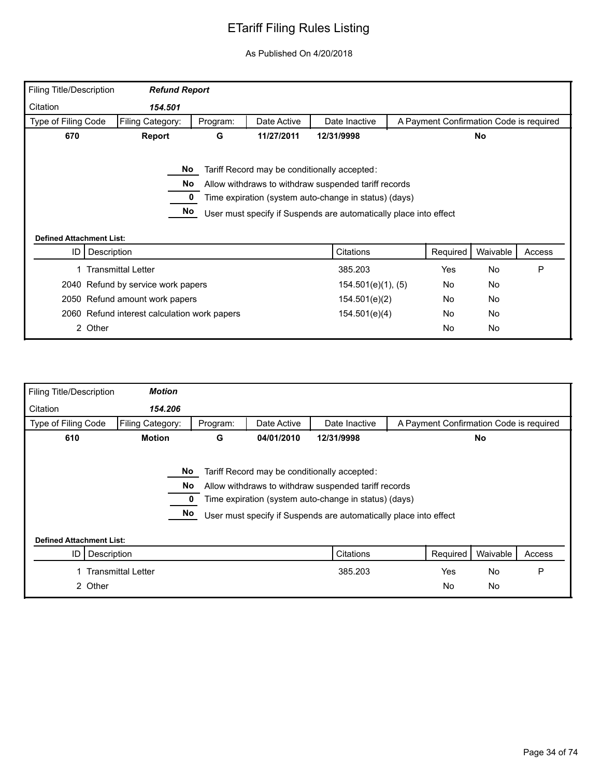|                     | Filing Title/Description<br><b>Refund Report</b> |          |             |                                                                                                                                                               |                                         |           |        |
|---------------------|--------------------------------------------------|----------|-------------|---------------------------------------------------------------------------------------------------------------------------------------------------------------|-----------------------------------------|-----------|--------|
| Citation            | 154.501                                          |          |             |                                                                                                                                                               |                                         |           |        |
| Type of Filing Code | Filing Category:                                 | Program: | Date Active | Date Inactive                                                                                                                                                 | A Payment Confirmation Code is required |           |        |
| 670                 | <b>Report</b>                                    | G        | 11/27/2011  | 12/31/9998                                                                                                                                                    |                                         | No        |        |
|                     | No<br>No.                                        |          |             | Tariff Record may be conditionally accepted:<br>Allow withdraws to withdraw suspended tariff records<br>Time expiration (system auto-change in status) (days) |                                         |           |        |
|                     | No<br><b>Defined Attachment List:</b>            |          |             | User must specify if Suspends are automatically place into effect                                                                                             |                                         |           |        |
| ID                  | Description                                      |          |             | Citations                                                                                                                                                     | Required                                | Waivable  | Access |
|                     | <b>Transmittal Letter</b>                        |          |             | 385.203                                                                                                                                                       | Yes                                     | <b>No</b> | P      |
|                     | 2040 Refund by service work papers               |          |             | $154.501(e)(1)$ , (5)                                                                                                                                         | No                                      | No        |        |
|                     | 2050 Refund amount work papers                   |          |             | 154.501(e)(2)                                                                                                                                                 | No                                      | No        |        |
|                     | 2060 Refund interest calculation work papers     |          |             | 154.501(e)(4)                                                                                                                                                 | No                                      | No        |        |

| Filing Title/Description        | <b>Motion</b>             |                 |             |                                                                                                                                                                                                                                    |                                         |           |        |
|---------------------------------|---------------------------|-----------------|-------------|------------------------------------------------------------------------------------------------------------------------------------------------------------------------------------------------------------------------------------|-----------------------------------------|-----------|--------|
| Citation                        | 154.206                   |                 |             |                                                                                                                                                                                                                                    |                                         |           |        |
| Type of Filing Code             | Filing Category:          | Program:        | Date Active | Date Inactive                                                                                                                                                                                                                      | A Payment Confirmation Code is required |           |        |
| 610                             | <b>Motion</b>             | G               | 04/01/2010  | 12/31/9998                                                                                                                                                                                                                         |                                         | <b>No</b> |        |
|                                 |                           | No.<br>No<br>No |             | Tariff Record may be conditionally accepted:<br>Allow withdraws to withdraw suspended tariff records<br>Time expiration (system auto-change in status) (days)<br>User must specify if Suspends are automatically place into effect |                                         |           |        |
| <b>Defined Attachment List:</b> |                           |                 |             |                                                                                                                                                                                                                                    |                                         |           |        |
| ID                              | Description               |                 |             | Citations                                                                                                                                                                                                                          | Required                                | Waivable  | Access |
|                                 | <b>Transmittal Letter</b> |                 |             | 385.203                                                                                                                                                                                                                            | Yes                                     | <b>No</b> | P      |
|                                 | 2 Other                   |                 |             |                                                                                                                                                                                                                                    | <b>No</b>                               | <b>No</b> |        |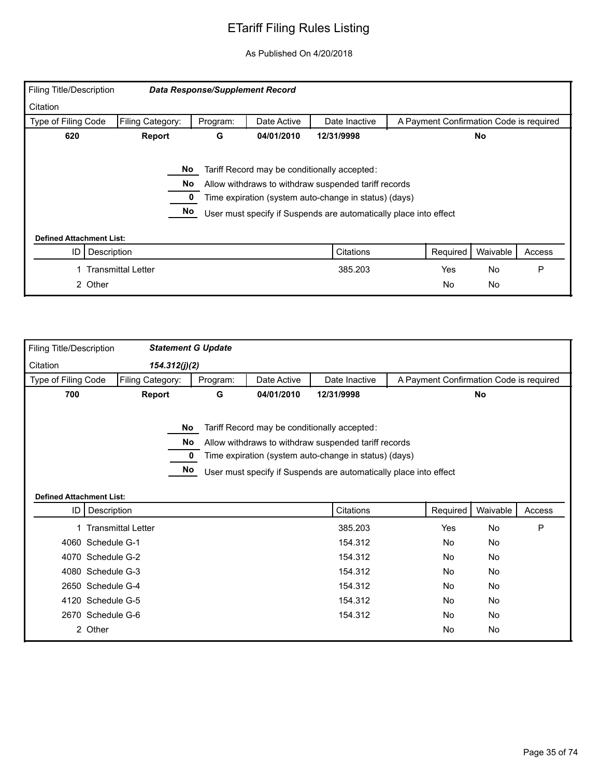| <b>Filing Title/Description</b> |                                                                                                                                                                                                                                                      | <b>Data Response/Supplement Record</b> |             |               |                                         |           |        |  |
|---------------------------------|------------------------------------------------------------------------------------------------------------------------------------------------------------------------------------------------------------------------------------------------------|----------------------------------------|-------------|---------------|-----------------------------------------|-----------|--------|--|
| Citation                        |                                                                                                                                                                                                                                                      |                                        |             |               |                                         |           |        |  |
| Type of Filing Code             | Filing Category:                                                                                                                                                                                                                                     | Program:                               | Date Active | Date Inactive | A Payment Confirmation Code is required |           |        |  |
| 620                             | Report                                                                                                                                                                                                                                               | G                                      | 04/01/2010  | 12/31/9998    |                                         | <b>No</b> |        |  |
|                                 | No<br>Tariff Record may be conditionally accepted:<br>No<br>Allow withdraws to withdraw suspended tariff records<br>Time expiration (system auto-change in status) (days)<br>No<br>User must specify if Suspends are automatically place into effect |                                        |             |               |                                         |           |        |  |
| <b>Defined Attachment List:</b> |                                                                                                                                                                                                                                                      |                                        |             |               |                                         |           |        |  |
| ID                              | Description                                                                                                                                                                                                                                          |                                        |             | Citations     | Required                                | Waivable  | Access |  |
|                                 | <b>Transmittal Letter</b>                                                                                                                                                                                                                            |                                        |             | 385.203       | Yes                                     | <b>No</b> | P      |  |
| 2 Other                         |                                                                                                                                                                                                                                                      |                                        |             |               | <b>No</b>                               | No        |        |  |

| Filing Title/Description        |                           | <b>Statement G Update</b> |             |                                                                                                                                                                                                                                    |          |                                         |        |
|---------------------------------|---------------------------|---------------------------|-------------|------------------------------------------------------------------------------------------------------------------------------------------------------------------------------------------------------------------------------------|----------|-----------------------------------------|--------|
| Citation                        | 154.312(j)(2)             |                           |             |                                                                                                                                                                                                                                    |          |                                         |        |
| Type of Filing Code             | Filing Category:          | Program:                  | Date Active | Date Inactive                                                                                                                                                                                                                      |          | A Payment Confirmation Code is required |        |
| 700                             | Report                    | G                         | 04/01/2010  | 12/31/9998                                                                                                                                                                                                                         |          | No                                      |        |
| <b>Defined Attachment List:</b> | No.<br><b>No</b><br>No    | 0                         |             | Tariff Record may be conditionally accepted:<br>Allow withdraws to withdraw suspended tariff records<br>Time expiration (system auto-change in status) (days)<br>User must specify if Suspends are automatically place into effect |          |                                         |        |
|                                 | ID   Description          |                           |             | Citations                                                                                                                                                                                                                          | Required | Waivable                                | Access |
|                                 | <b>Transmittal Letter</b> |                           |             | 385.203                                                                                                                                                                                                                            | Yes      | No                                      | P      |
|                                 | 4060 Schedule G-1         |                           |             | 154.312                                                                                                                                                                                                                            | No       | No                                      |        |
| 4070                            | Schedule G-2              |                           |             | 154.312                                                                                                                                                                                                                            | No       | No                                      |        |
|                                 | 4080 Schedule G-3         |                           |             | 154.312                                                                                                                                                                                                                            | No       | No                                      |        |
|                                 | 2650 Schedule G-4         |                           |             | 154.312                                                                                                                                                                                                                            | No.      | <b>No</b>                               |        |
| 4120                            | Schedule G-5              |                           |             | 154.312                                                                                                                                                                                                                            | No       | No                                      |        |
|                                 | 2670 Schedule G-6         |                           |             | 154.312                                                                                                                                                                                                                            | No       | No                                      |        |
|                                 | 2 Other                   |                           |             |                                                                                                                                                                                                                                    | No       | No                                      |        |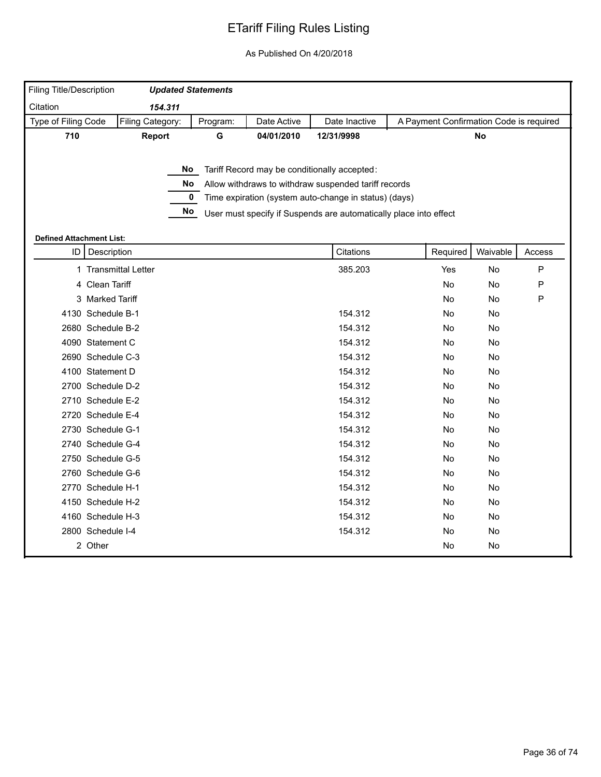| <b>Filing Title/Description</b> |                      | <b>Updated Statements</b> |          |             |                                                                   |          |                                         |           |
|---------------------------------|----------------------|---------------------------|----------|-------------|-------------------------------------------------------------------|----------|-----------------------------------------|-----------|
| Citation                        |                      | 154.311                   |          |             |                                                                   |          |                                         |           |
| Type of Filing Code             |                      | Filing Category:          | Program: | Date Active | Date Inactive                                                     |          | A Payment Confirmation Code is required |           |
| 710                             |                      | Report                    | G        | 04/01/2010  | 12/31/9998                                                        |          | No                                      |           |
|                                 |                      |                           |          |             |                                                                   |          |                                         |           |
|                                 |                      | No                        |          |             | Tariff Record may be conditionally accepted:                      |          |                                         |           |
|                                 |                      | No                        |          |             | Allow withdraws to withdraw suspended tariff records              |          |                                         |           |
|                                 |                      | $\pmb{0}$                 |          |             | Time expiration (system auto-change in status) (days)             |          |                                         |           |
|                                 |                      | No                        |          |             | User must specify if Suspends are automatically place into effect |          |                                         |           |
|                                 |                      |                           |          |             |                                                                   |          |                                         |           |
| <b>Defined Attachment List:</b> |                      |                           |          |             |                                                                   |          |                                         |           |
| ID                              | Description          |                           |          |             | Citations                                                         | Required | Waivable                                | Access    |
|                                 | 1 Transmittal Letter |                           |          |             | 385.203                                                           | Yes      | No                                      | ${\sf P}$ |
|                                 | 4 Clean Tariff       |                           |          |             |                                                                   | No       | No                                      | ${\sf P}$ |
|                                 | 3 Marked Tariff      |                           |          |             |                                                                   | No       | No                                      | ${\sf P}$ |
|                                 | 4130 Schedule B-1    |                           |          |             | 154.312                                                           | No       | No                                      |           |
|                                 | 2680 Schedule B-2    |                           |          |             | 154.312                                                           | No       | No                                      |           |
|                                 | 4090 Statement C     |                           |          |             | 154.312                                                           | No       | No                                      |           |
|                                 | 2690 Schedule C-3    |                           |          |             | 154.312                                                           | No       | No                                      |           |
|                                 | 4100 Statement D     |                           |          |             | 154.312                                                           | No       | No                                      |           |
|                                 | 2700 Schedule D-2    |                           |          |             | 154.312                                                           | No       | No                                      |           |
|                                 | 2710 Schedule E-2    |                           |          |             | 154.312                                                           | No       | No                                      |           |
|                                 | 2720 Schedule E-4    |                           |          |             | 154.312                                                           | No       | No                                      |           |
|                                 | 2730 Schedule G-1    |                           |          |             | 154.312                                                           | No       | No                                      |           |
|                                 | 2740 Schedule G-4    |                           |          |             | 154.312                                                           | No       | No                                      |           |
|                                 | 2750 Schedule G-5    |                           |          |             | 154.312                                                           | No       | No                                      |           |
|                                 | 2760 Schedule G-6    |                           |          |             | 154.312                                                           | No       | No                                      |           |
|                                 | 2770 Schedule H-1    |                           |          |             | 154.312                                                           | No       | No                                      |           |
|                                 | 4150 Schedule H-2    |                           |          |             | 154.312                                                           | No       | No                                      |           |
|                                 | 4160 Schedule H-3    |                           |          |             | 154.312                                                           | No       | No                                      |           |
|                                 | 2800 Schedule I-4    |                           |          |             | 154.312                                                           | No       | No                                      |           |
|                                 | 2 Other              |                           |          |             |                                                                   | No       | No                                      |           |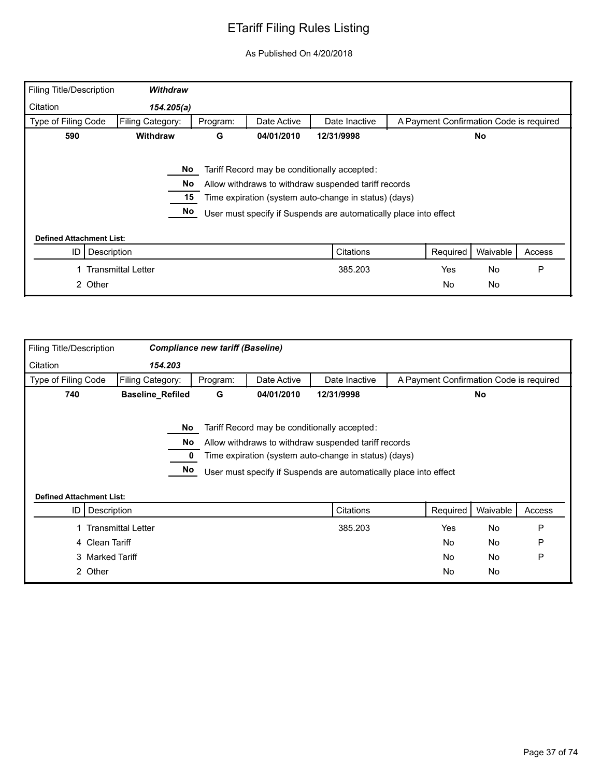| <b>Filing Title/Description</b> | Withdraw                  |          |             |                                                                                                                                                                                                                                    |                                         |           |        |
|---------------------------------|---------------------------|----------|-------------|------------------------------------------------------------------------------------------------------------------------------------------------------------------------------------------------------------------------------------|-----------------------------------------|-----------|--------|
| Citation                        | 154.205(a)                |          |             |                                                                                                                                                                                                                                    |                                         |           |        |
| Type of Filing Code             | Filing Category:          | Program: | Date Active | Date Inactive                                                                                                                                                                                                                      | A Payment Confirmation Code is required |           |        |
| 590                             | <b>Withdraw</b>           | G        | 04/01/2010  | 12/31/9998                                                                                                                                                                                                                         |                                         | No.       |        |
|                                 | No<br>No.<br>15<br>No     |          |             | Tariff Record may be conditionally accepted:<br>Allow withdraws to withdraw suspended tariff records<br>Time expiration (system auto-change in status) (days)<br>User must specify if Suspends are automatically place into effect |                                         |           |        |
| <b>Defined Attachment List:</b> |                           |          |             |                                                                                                                                                                                                                                    |                                         |           |        |
| Description<br>ID               |                           |          |             | Citations                                                                                                                                                                                                                          | Required                                | Waivable  | Access |
|                                 | <b>Transmittal Letter</b> |          |             | 385.203                                                                                                                                                                                                                            | Yes                                     | <b>No</b> | P      |
| 2 Other                         |                           |          |             |                                                                                                                                                                                                                                    | No                                      | <b>No</b> |        |

| Filing Title/Description        |                           | <b>Compliance new tariff (Baseline)</b> |             |                                                                                                                                                                                                                                    |                                         |           |        |
|---------------------------------|---------------------------|-----------------------------------------|-------------|------------------------------------------------------------------------------------------------------------------------------------------------------------------------------------------------------------------------------------|-----------------------------------------|-----------|--------|
| Citation                        | 154.203                   |                                         |             |                                                                                                                                                                                                                                    |                                         |           |        |
| Type of Filing Code             | Filing Category:          | Program:                                | Date Active | Date Inactive                                                                                                                                                                                                                      | A Payment Confirmation Code is required |           |        |
| 740                             | <b>Baseline_Refiled</b>   | G                                       | 04/01/2010  | 12/31/9998                                                                                                                                                                                                                         |                                         | No        |        |
| <b>Defined Attachment List:</b> | No.<br>No<br>No           |                                         |             | Tariff Record may be conditionally accepted:<br>Allow withdraws to withdraw suspended tariff records<br>Time expiration (system auto-change in status) (days)<br>User must specify if Suspends are automatically place into effect |                                         |           |        |
| ID                              | Description               |                                         |             | Citations                                                                                                                                                                                                                          | Required                                | Waivable  | Access |
|                                 | <b>Transmittal Letter</b> |                                         |             | 385.203                                                                                                                                                                                                                            | Yes                                     | <b>No</b> | P      |
|                                 | 4 Clean Tariff            |                                         |             |                                                                                                                                                                                                                                    | <b>No</b>                               | No        | P      |
|                                 |                           |                                         |             |                                                                                                                                                                                                                                    | <b>No</b>                               | <b>No</b> | P      |
|                                 | 3 Marked Tariff           |                                         |             |                                                                                                                                                                                                                                    |                                         |           |        |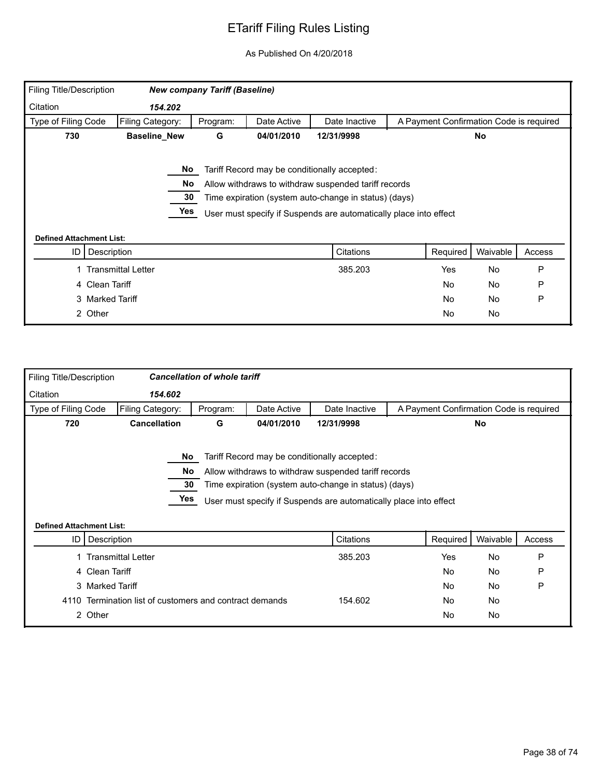| <b>Filing Title/Description</b> |                           | <b>New company Tariff (Baseline)</b> |             |                                                                   |                                         |           |        |
|---------------------------------|---------------------------|--------------------------------------|-------------|-------------------------------------------------------------------|-----------------------------------------|-----------|--------|
| Citation                        | 154.202                   |                                      |             |                                                                   |                                         |           |        |
| Type of Filing Code             | Filing Category:          | Program:                             | Date Active | Date Inactive                                                     | A Payment Confirmation Code is required |           |        |
| 730                             | <b>Baseline_New</b>       | G                                    | 04/01/2010  | 12/31/9998                                                        |                                         | No        |        |
|                                 | No                        |                                      |             | Tariff Record may be conditionally accepted:                      |                                         |           |        |
|                                 | No                        |                                      |             | Allow withdraws to withdraw suspended tariff records              |                                         |           |        |
|                                 | 30                        |                                      |             | Time expiration (system auto-change in status) (days)             |                                         |           |        |
|                                 | Yes                       |                                      |             | User must specify if Suspends are automatically place into effect |                                         |           |        |
|                                 |                           |                                      |             |                                                                   |                                         |           |        |
| <b>Defined Attachment List:</b> |                           |                                      |             |                                                                   |                                         |           |        |
| ID                              | Description               |                                      |             | Citations                                                         | Required                                | Waivable  | Access |
|                                 | <b>Transmittal Letter</b> |                                      |             | 385.203                                                           | Yes                                     | <b>No</b> | P      |
|                                 | 4 Clean Tariff            |                                      |             |                                                                   | No                                      | <b>No</b> | P      |
|                                 | 3 Marked Tariff           |                                      |             |                                                                   | No                                      | <b>No</b> | P      |
|                                 | 2 Other                   |                                      |             |                                                                   | No                                      | No        |        |

| <b>Filing Title/Description</b> |                                                    | <b>Cancellation of whole tariff</b> |             |                                                                                                                                                                                                                                    |                                         |           |        |
|---------------------------------|----------------------------------------------------|-------------------------------------|-------------|------------------------------------------------------------------------------------------------------------------------------------------------------------------------------------------------------------------------------------|-----------------------------------------|-----------|--------|
| Citation                        | 154.602                                            |                                     |             |                                                                                                                                                                                                                                    |                                         |           |        |
| Type of Filing Code             | Filing Category:                                   | Program:                            | Date Active | Date Inactive                                                                                                                                                                                                                      | A Payment Confirmation Code is required |           |        |
| 720                             | <b>Cancellation</b>                                | G                                   | 04/01/2010  | 12/31/9998                                                                                                                                                                                                                         |                                         | <b>No</b> |        |
| <b>Defined Attachment List:</b> | No<br>No.<br>30<br>Yes                             |                                     |             | Tariff Record may be conditionally accepted:<br>Allow withdraws to withdraw suspended tariff records<br>Time expiration (system auto-change in status) (days)<br>User must specify if Suspends are automatically place into effect |                                         |           |        |
|                                 | ID   Description                                   |                                     |             | Citations                                                                                                                                                                                                                          | Required                                | Waivable  | Access |
|                                 | <b>Transmittal Letter</b>                          |                                     |             | 385.203                                                                                                                                                                                                                            | Yes                                     | No        | P      |
|                                 | 4 Clean Tariff                                     |                                     |             |                                                                                                                                                                                                                                    | <b>No</b>                               | <b>No</b> | P      |
|                                 | 3 Marked Tariff                                    |                                     |             |                                                                                                                                                                                                                                    | No.                                     | <b>No</b> | P      |
| 4110                            | Termination list of customers and contract demands |                                     |             | 154.602                                                                                                                                                                                                                            | No.                                     | <b>No</b> |        |
|                                 | 2 Other                                            |                                     |             |                                                                                                                                                                                                                                    | No                                      | No        |        |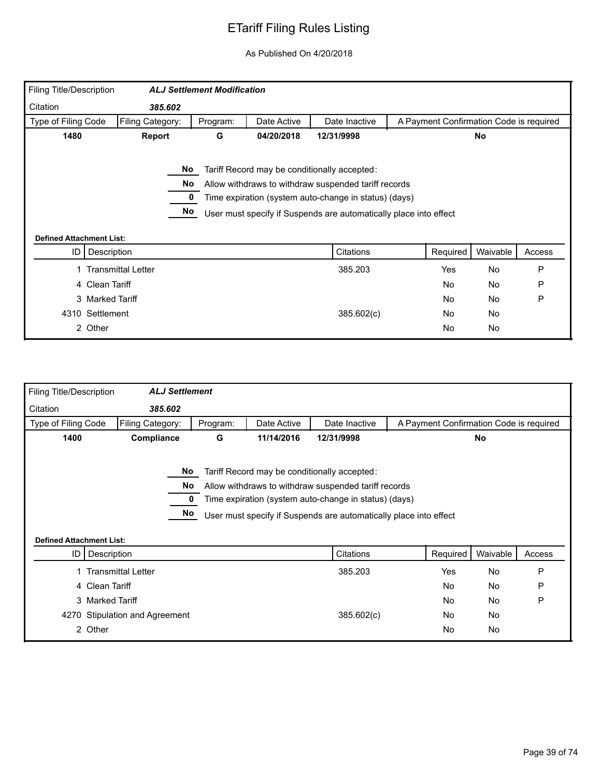| Filing Title/Description        |                           | <b>ALJ Settlement Modification</b> |             |                                                                                                                                                                                                                                    |                                         |           |        |
|---------------------------------|---------------------------|------------------------------------|-------------|------------------------------------------------------------------------------------------------------------------------------------------------------------------------------------------------------------------------------------|-----------------------------------------|-----------|--------|
| Citation                        | 385.602                   |                                    |             |                                                                                                                                                                                                                                    |                                         |           |        |
| Type of Filing Code             | Filing Category:          | Program:                           | Date Active | Date Inactive                                                                                                                                                                                                                      | A Payment Confirmation Code is required |           |        |
| 1480                            | Report                    | G                                  | 04/20/2018  | 12/31/9998                                                                                                                                                                                                                         |                                         | No        |        |
|                                 | No<br>No<br>No            |                                    |             | Tariff Record may be conditionally accepted:<br>Allow withdraws to withdraw suspended tariff records<br>Time expiration (system auto-change in status) (days)<br>User must specify if Suspends are automatically place into effect |                                         |           |        |
| <b>Defined Attachment List:</b> |                           |                                    |             |                                                                                                                                                                                                                                    |                                         |           |        |
| ID                              | Description               |                                    |             | Citations                                                                                                                                                                                                                          | Required                                | Waivable  | Access |
|                                 | <b>Transmittal Letter</b> |                                    |             |                                                                                                                                                                                                                                    | Yes                                     | <b>No</b> | P      |
| 4 Clean Tariff                  |                           |                                    |             | 385.203                                                                                                                                                                                                                            | No                                      | No        | P      |
|                                 | 3 Marked Tariff           |                                    |             |                                                                                                                                                                                                                                    | No                                      | <b>No</b> | P      |
| 4310 Settlement                 |                           |                                    |             | 385.602(c)                                                                                                                                                                                                                         | No                                      | No        |        |

| Filing Title/Description        | <b>ALJ Settlement</b>          |          |             |                                                                                                                                                                                                                                    |                                         |           |        |
|---------------------------------|--------------------------------|----------|-------------|------------------------------------------------------------------------------------------------------------------------------------------------------------------------------------------------------------------------------------|-----------------------------------------|-----------|--------|
| Citation                        | 385.602                        |          |             |                                                                                                                                                                                                                                    |                                         |           |        |
| Type of Filing Code             | Filing Category:               | Program: | Date Active | Date Inactive                                                                                                                                                                                                                      | A Payment Confirmation Code is required |           |        |
| 1400                            | Compliance                     | G        | 11/14/2016  | 12/31/9998                                                                                                                                                                                                                         |                                         | <b>No</b> |        |
| <b>Defined Attachment List:</b> | No<br>No<br>No                 |          |             | Tariff Record may be conditionally accepted:<br>Allow withdraws to withdraw suspended tariff records<br>Time expiration (system auto-change in status) (days)<br>User must specify if Suspends are automatically place into effect |                                         |           |        |
| ID                              | Description                    |          |             | Citations                                                                                                                                                                                                                          | Required                                | Waivable  | Access |
|                                 | 1 Transmittal Letter           |          |             | 385.203                                                                                                                                                                                                                            | Yes                                     | <b>No</b> | P      |
|                                 | 4 Clean Tariff                 |          |             |                                                                                                                                                                                                                                    | <b>No</b>                               | No        | P      |
|                                 | 3 Marked Tariff                |          |             |                                                                                                                                                                                                                                    | <b>No</b>                               | <b>No</b> | P      |
|                                 | 4270 Stipulation and Agreement |          |             | 385.602(c)                                                                                                                                                                                                                         | No                                      | No        |        |
|                                 | 2 Other                        |          |             |                                                                                                                                                                                                                                    | No                                      | <b>No</b> |        |
|                                 |                                |          |             |                                                                                                                                                                                                                                    |                                         |           |        |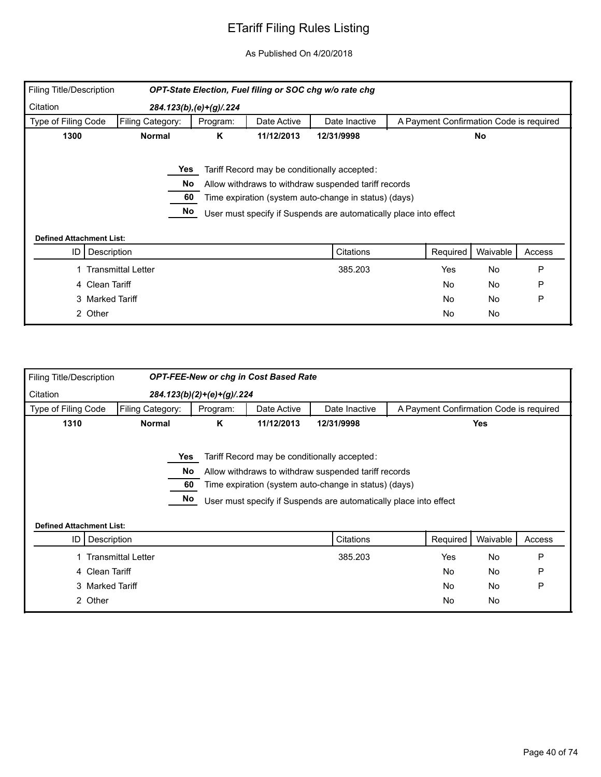| Filing Title/Description        |                           |                              |             | OPT-State Election, Fuel filing or SOC chg w/o rate chg           |                                         |           |        |
|---------------------------------|---------------------------|------------------------------|-------------|-------------------------------------------------------------------|-----------------------------------------|-----------|--------|
| Citation                        |                           | 284.123(b), (e) + (g) / .224 |             |                                                                   |                                         |           |        |
| Type of Filing Code             | Filing Category:          | Program:                     | Date Active | Date Inactive                                                     | A Payment Confirmation Code is required |           |        |
| 1300                            | <b>Normal</b>             | Κ                            | 11/12/2013  | 12/31/9998                                                        |                                         | No        |        |
|                                 |                           |                              |             |                                                                   |                                         |           |        |
|                                 | Yes                       |                              |             | Tariff Record may be conditionally accepted:                      |                                         |           |        |
|                                 | No                        |                              |             | Allow withdraws to withdraw suspended tariff records              |                                         |           |        |
|                                 | 60                        |                              |             | Time expiration (system auto-change in status) (days)             |                                         |           |        |
|                                 | No                        |                              |             | User must specify if Suspends are automatically place into effect |                                         |           |        |
|                                 |                           |                              |             |                                                                   |                                         |           |        |
| <b>Defined Attachment List:</b> |                           |                              |             |                                                                   |                                         |           |        |
| ID                              | Description               |                              |             | Citations                                                         | Required                                | Waivable  | Access |
|                                 | <b>Transmittal Letter</b> |                              |             | 385.203                                                           | Yes                                     | No        | P      |
|                                 | 4 Clean Tariff            |                              |             |                                                                   | <b>No</b>                               | No        | P      |
|                                 | 3 Marked Tariff           |                              |             |                                                                   | <b>No</b>                               | <b>No</b> | P      |
| 2 Other                         |                           |                              |             |                                                                   | No                                      | No        |        |

| <b>Filing Title/Description</b> |                                 |                              | <b>OPT-FEE-New or chg in Cost Based Rate</b> |                                                                   |                                         |            |        |
|---------------------------------|---------------------------------|------------------------------|----------------------------------------------|-------------------------------------------------------------------|-----------------------------------------|------------|--------|
| Citation                        |                                 | $284.123(b)(2)+(e)+(g)/.224$ |                                              |                                                                   |                                         |            |        |
| Type of Filing Code             | Filing Category:                | Program:                     | Date Active                                  | Date Inactive                                                     | A Payment Confirmation Code is required |            |        |
| 1310                            | <b>Normal</b>                   | Κ                            | 11/12/2013                                   | 12/31/9998                                                        |                                         | <b>Yes</b> |        |
|                                 |                                 |                              |                                              |                                                                   |                                         |            |        |
|                                 |                                 | Yes                          |                                              | Tariff Record may be conditionally accepted:                      |                                         |            |        |
|                                 |                                 | No                           |                                              | Allow withdraws to withdraw suspended tariff records              |                                         |            |        |
|                                 |                                 | 60                           |                                              | Time expiration (system auto-change in status) (days)             |                                         |            |        |
|                                 |                                 | No                           |                                              | User must specify if Suspends are automatically place into effect |                                         |            |        |
|                                 |                                 |                              |                                              |                                                                   |                                         |            |        |
|                                 | <b>Defined Attachment List:</b> |                              |                                              |                                                                   |                                         |            |        |
| ID I                            | Description                     |                              |                                              | Citations                                                         | Required                                | Waivable   | Access |
|                                 | 1 Transmittal Letter            |                              |                                              | 385.203                                                           | Yes                                     | No         | P      |
|                                 | 4 Clean Tariff                  |                              |                                              |                                                                   | <b>No</b>                               | No         | P      |
|                                 | 3 Marked Tariff                 |                              |                                              |                                                                   | <b>No</b>                               | No         | P      |
|                                 | 2 Other                         |                              |                                              |                                                                   | No                                      | No         |        |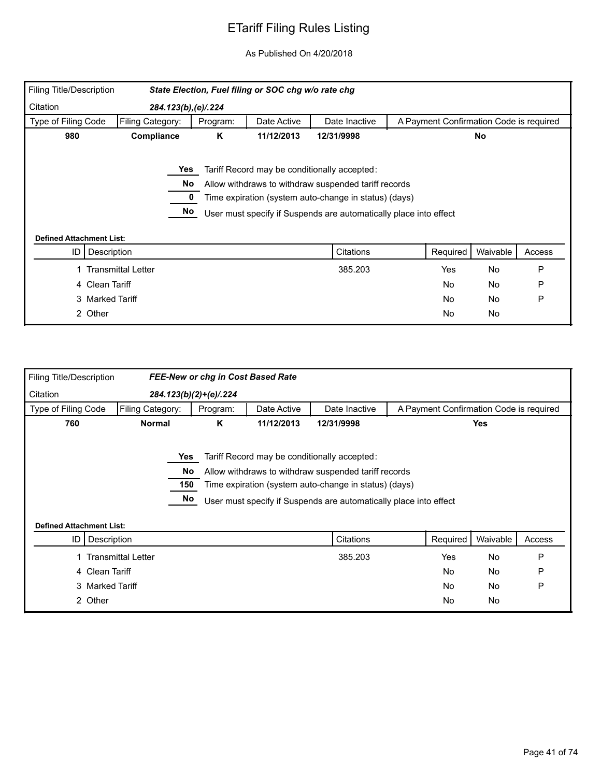| <b>Filing Title/Description</b> |                           |          | State Election, Fuel filing or SOC chg w/o rate chg |                                                                   |                                         |           |        |
|---------------------------------|---------------------------|----------|-----------------------------------------------------|-------------------------------------------------------------------|-----------------------------------------|-----------|--------|
| Citation                        | 284.123(b), (e)/.224      |          |                                                     |                                                                   |                                         |           |        |
| Type of Filing Code             | Filing Category:          | Program: | Date Active                                         | Date Inactive                                                     | A Payment Confirmation Code is required |           |        |
| 980                             | Compliance                | K        | 11/12/2013                                          | 12/31/9998                                                        |                                         | No        |        |
|                                 |                           |          |                                                     |                                                                   |                                         |           |        |
|                                 | Yes                       |          |                                                     | Tariff Record may be conditionally accepted:                      |                                         |           |        |
|                                 | No                        |          |                                                     | Allow withdraws to withdraw suspended tariff records              |                                         |           |        |
|                                 |                           |          |                                                     | Time expiration (system auto-change in status) (days)             |                                         |           |        |
|                                 | No                        |          |                                                     | User must specify if Suspends are automatically place into effect |                                         |           |        |
|                                 |                           |          |                                                     |                                                                   |                                         |           |        |
| <b>Defined Attachment List:</b> |                           |          |                                                     |                                                                   |                                         |           |        |
| ID                              | Description               |          |                                                     | Citations                                                         | Required                                | Waivable  | Access |
|                                 | <b>Transmittal Letter</b> |          |                                                     | 385.203                                                           | Yes                                     | No        | P      |
|                                 | 4 Clean Tariff            |          |                                                     |                                                                   | <b>No</b>                               | <b>No</b> | P      |
|                                 | 3 Marked Tariff           |          |                                                     |                                                                   | No.                                     | No        | P      |
|                                 | 2 Other                   |          |                                                     |                                                                   | <b>No</b>                               | No        |        |

| <b>Filing Title/Description</b> |                           | FEE-New or chg in Cost Based Rate |             |                                                                                                                                                                                                                                    |                                         |          |        |
|---------------------------------|---------------------------|-----------------------------------|-------------|------------------------------------------------------------------------------------------------------------------------------------------------------------------------------------------------------------------------------------|-----------------------------------------|----------|--------|
| Citation                        |                           | 284.123(b)(2)+(e)/.224            |             |                                                                                                                                                                                                                                    |                                         |          |        |
| Type of Filing Code             | Filing Category:          | Program:                          | Date Active | Date Inactive                                                                                                                                                                                                                      | A Payment Confirmation Code is required |          |        |
| 760                             | <b>Normal</b>             | Κ                                 | 11/12/2013  | 12/31/9998                                                                                                                                                                                                                         |                                         | Yes      |        |
| <b>Defined Attachment List:</b> |                           | Yes<br>No.<br>150<br>No           |             | Tariff Record may be conditionally accepted:<br>Allow withdraws to withdraw suspended tariff records<br>Time expiration (system auto-change in status) (days)<br>User must specify if Suspends are automatically place into effect |                                         |          |        |
| ID                              | Description               |                                   |             | Citations                                                                                                                                                                                                                          | Required                                | Waivable | Access |
|                                 | <b>Transmittal Letter</b> |                                   |             | 385.203                                                                                                                                                                                                                            | Yes                                     | No       | P      |
|                                 | 4 Clean Tariff            |                                   |             |                                                                                                                                                                                                                                    | No                                      | No       | P      |
|                                 | 3 Marked Tariff           |                                   |             |                                                                                                                                                                                                                                    | No                                      | No       | P      |
|                                 | 2 Other                   |                                   |             |                                                                                                                                                                                                                                    | <b>No</b>                               | No       |        |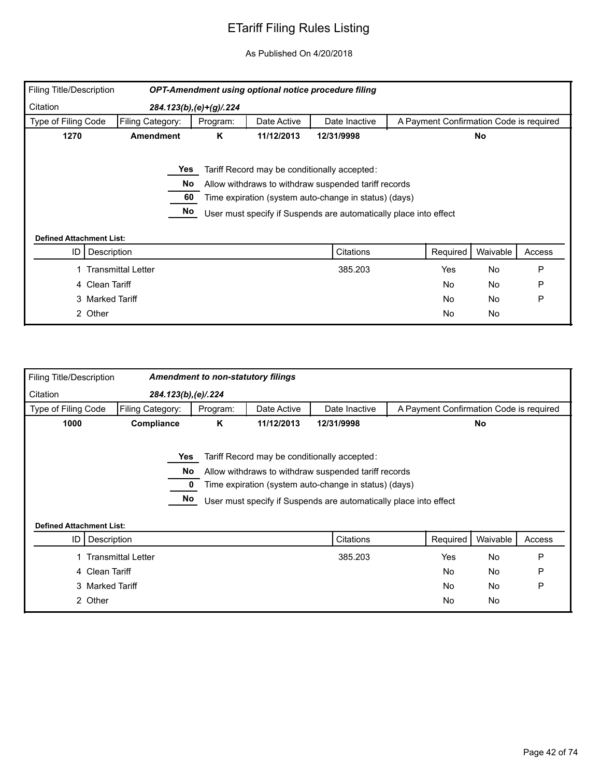| Filing Title/Description        |                           |                           |             | OPT-Amendment using optional notice procedure filing              |                                         |          |        |
|---------------------------------|---------------------------|---------------------------|-------------|-------------------------------------------------------------------|-----------------------------------------|----------|--------|
| Citation                        |                           | $284.123(b), (e)+(g)/224$ |             |                                                                   |                                         |          |        |
| Type of Filing Code             | Filing Category:          | Program:                  | Date Active | Date Inactive                                                     | A Payment Confirmation Code is required |          |        |
| 1270                            | <b>Amendment</b>          | K                         | 11/12/2013  | 12/31/9998                                                        |                                         | No       |        |
|                                 | Yes                       |                           |             | Tariff Record may be conditionally accepted:                      |                                         |          |        |
|                                 | No                        |                           |             | Allow withdraws to withdraw suspended tariff records              |                                         |          |        |
|                                 | 60                        |                           |             | Time expiration (system auto-change in status) (days)             |                                         |          |        |
|                                 | No                        |                           |             | User must specify if Suspends are automatically place into effect |                                         |          |        |
|                                 |                           |                           |             |                                                                   |                                         |          |        |
| <b>Defined Attachment List:</b> |                           |                           |             |                                                                   |                                         |          |        |
| ID                              | Description               |                           |             | Citations                                                         | Required                                | Waivable | Access |
|                                 | <b>Transmittal Letter</b> |                           |             | 385.203                                                           | Yes                                     | No       | P      |
|                                 | 4 Clean Tariff            |                           |             |                                                                   | <b>No</b>                               | No       | P      |
|                                 | 3 Marked Tariff           |                           |             |                                                                   | <b>No</b>                               | No       | P      |
|                                 | 2 Other                   |                           |             |                                                                   | <b>No</b>                               | No       |        |

| <b>Filing Title/Description</b> |                           | <b>Amendment to non-statutory filings</b> |             |                                                                                                                                                                                                                                    |                                         |           |        |
|---------------------------------|---------------------------|-------------------------------------------|-------------|------------------------------------------------------------------------------------------------------------------------------------------------------------------------------------------------------------------------------------|-----------------------------------------|-----------|--------|
| Citation                        | 284.123(b), (e)/.224      |                                           |             |                                                                                                                                                                                                                                    |                                         |           |        |
| Type of Filing Code             | Filing Category:          | Program:                                  | Date Active | Date Inactive                                                                                                                                                                                                                      | A Payment Confirmation Code is required |           |        |
| 1000                            | Compliance                | Κ                                         | 11/12/2013  | 12/31/9998                                                                                                                                                                                                                         |                                         | No        |        |
|                                 | Yes                       | No.<br>No                                 |             | Tariff Record may be conditionally accepted:<br>Allow withdraws to withdraw suspended tariff records<br>Time expiration (system auto-change in status) (days)<br>User must specify if Suspends are automatically place into effect |                                         |           |        |
| <b>Defined Attachment List:</b> |                           |                                           |             |                                                                                                                                                                                                                                    |                                         |           |        |
| ID                              | Description               |                                           |             | Citations                                                                                                                                                                                                                          | Required                                | Waivable  | Access |
|                                 | <b>Transmittal Letter</b> |                                           |             | 385.203                                                                                                                                                                                                                            | Yes                                     | No        | P      |
|                                 | 4 Clean Tariff            |                                           |             |                                                                                                                                                                                                                                    | No                                      | No        | P      |
|                                 | 3 Marked Tariff           |                                           |             |                                                                                                                                                                                                                                    | No.                                     | <b>No</b> | P      |
|                                 | 2 Other                   |                                           |             |                                                                                                                                                                                                                                    | No                                      | No        |        |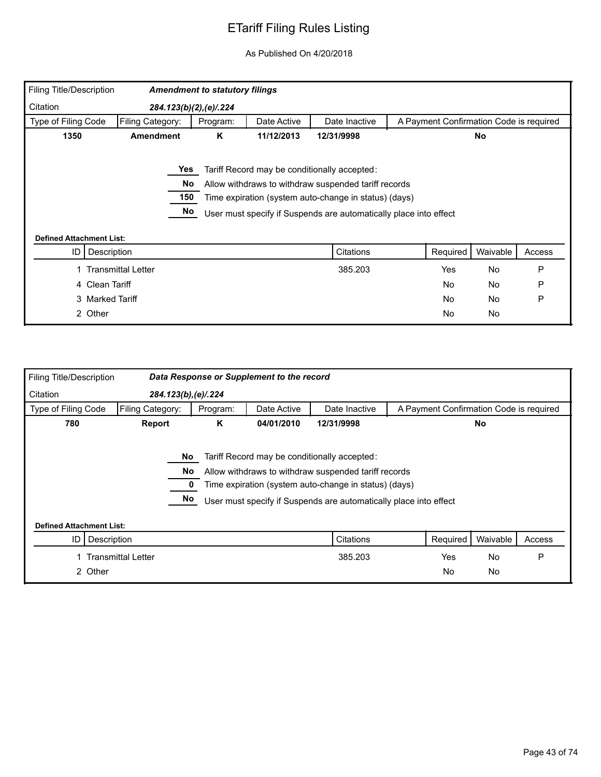| <b>Filing Title/Description</b>       |                           | <b>Amendment to statutory filings</b> |             |                                                                   |                                         |           |        |
|---------------------------------------|---------------------------|---------------------------------------|-------------|-------------------------------------------------------------------|-----------------------------------------|-----------|--------|
| Citation                              | 284.123(b)(2),(e)/.224    |                                       |             |                                                                   |                                         |           |        |
| Type of Filing Code                   | Filing Category:          | Program:                              | Date Active | Date Inactive                                                     | A Payment Confirmation Code is required |           |        |
| 1350                                  | <b>Amendment</b>          | Κ                                     | 11/12/2013  | 12/31/9998                                                        |                                         | No        |        |
|                                       | Yes                       |                                       |             | Tariff Record may be conditionally accepted:                      |                                         |           |        |
|                                       | No                        |                                       |             | Allow withdraws to withdraw suspended tariff records              |                                         |           |        |
|                                       | 150                       |                                       |             | Time expiration (system auto-change in status) (days)             |                                         |           |        |
|                                       | No                        |                                       |             | User must specify if Suspends are automatically place into effect |                                         |           |        |
|                                       |                           |                                       |             |                                                                   |                                         |           |        |
| <b>Defined Attachment List:</b><br>ID | Description               |                                       |             | Citations                                                         | Required                                | Waivable  | Access |
|                                       | <b>Transmittal Letter</b> |                                       |             | 385.203                                                           | Yes                                     | <b>No</b> | P      |
|                                       | 4 Clean Tariff            |                                       |             |                                                                   | <b>No</b>                               | No        | P      |
|                                       | 3 Marked Tariff           |                                       |             |                                                                   | <b>No</b>                               | <b>No</b> | P      |
| 2 Other                               |                           |                                       |             |                                                                   | <b>No</b>                               | No        |        |

| Filing Title/Description        |                           |          | Data Response or Supplement to the record |                                                                                                                                                                                                                                    |                                         |           |        |
|---------------------------------|---------------------------|----------|-------------------------------------------|------------------------------------------------------------------------------------------------------------------------------------------------------------------------------------------------------------------------------------|-----------------------------------------|-----------|--------|
| Citation                        | 284.123(b), (e)/.224      |          |                                           |                                                                                                                                                                                                                                    |                                         |           |        |
| Type of Filing Code             | Filing Category:          | Program: | Date Active                               | Date Inactive                                                                                                                                                                                                                      | A Payment Confirmation Code is required |           |        |
| 780                             | Report                    | Κ        | 04/01/2010                                | 12/31/9998                                                                                                                                                                                                                         |                                         | <b>No</b> |        |
|                                 | No.<br>No                 | No.      |                                           | Tariff Record may be conditionally accepted:<br>Allow withdraws to withdraw suspended tariff records<br>Time expiration (system auto-change in status) (days)<br>User must specify if Suspends are automatically place into effect |                                         |           |        |
| <b>Defined Attachment List:</b> |                           |          |                                           |                                                                                                                                                                                                                                    |                                         |           |        |
| ID                              | Description               |          |                                           | Citations                                                                                                                                                                                                                          | Required                                | Waivable  | Access |
|                                 | <b>Transmittal Letter</b> |          |                                           | 385.203                                                                                                                                                                                                                            | Yes                                     | <b>No</b> | P      |
|                                 | 2 Other                   |          |                                           |                                                                                                                                                                                                                                    | <b>No</b>                               | No        |        |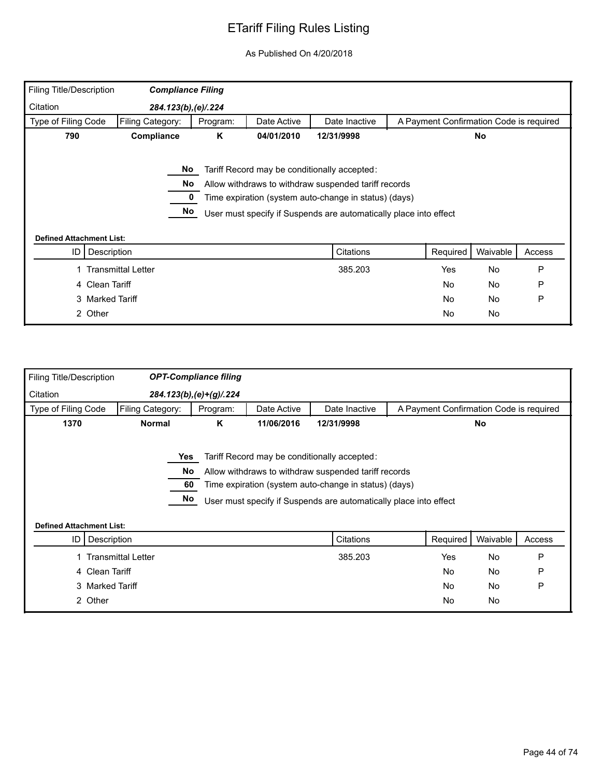| <b>Filing Title/Description</b> | <b>Compliance Filing</b>  |          |             |                                                                                                                                                                                                                                    |                                         |           |        |
|---------------------------------|---------------------------|----------|-------------|------------------------------------------------------------------------------------------------------------------------------------------------------------------------------------------------------------------------------------|-----------------------------------------|-----------|--------|
| Citation                        | 284.123(b), (e)/.224      |          |             |                                                                                                                                                                                                                                    |                                         |           |        |
| Type of Filing Code             | Filing Category:          | Program: | Date Active | Date Inactive                                                                                                                                                                                                                      | A Payment Confirmation Code is required |           |        |
| 790                             | Compliance                | Κ        | 04/01/2010  | 12/31/9998                                                                                                                                                                                                                         |                                         | No        |        |
| <b>Defined Attachment List:</b> | No<br>No<br>No            |          |             | Tariff Record may be conditionally accepted:<br>Allow withdraws to withdraw suspended tariff records<br>Time expiration (system auto-change in status) (days)<br>User must specify if Suspends are automatically place into effect |                                         |           |        |
| ID                              | Description               |          |             | Citations                                                                                                                                                                                                                          | Required                                | Waivable  | Access |
|                                 | <b>Transmittal Letter</b> |          |             | 385.203                                                                                                                                                                                                                            | Yes                                     | No        | P      |
|                                 | 4 Clean Tariff            |          |             |                                                                                                                                                                                                                                    | No                                      | No        | P      |
|                                 | 3 Marked Tariff           |          |             |                                                                                                                                                                                                                                    | No                                      | <b>No</b> | P      |
|                                 | 2 Other                   |          |             |                                                                                                                                                                                                                                    | No                                      | No        |        |

| <b>Filing Title/Description</b> |                                 |     | <b>OPT-Compliance filing</b> |             |                                                                   |                                         |           |        |
|---------------------------------|---------------------------------|-----|------------------------------|-------------|-------------------------------------------------------------------|-----------------------------------------|-----------|--------|
| Citation                        |                                 |     | 284.123(b), (e) + (g) / .224 |             |                                                                   |                                         |           |        |
| Type of Filing Code             | Filing Category:                |     | Program:                     | Date Active | Date Inactive                                                     | A Payment Confirmation Code is required |           |        |
| 1370                            | <b>Normal</b>                   |     | K                            | 11/06/2016  | 12/31/9998                                                        |                                         | <b>No</b> |        |
|                                 |                                 |     |                              |             |                                                                   |                                         |           |        |
|                                 |                                 | Yes |                              |             | Tariff Record may be conditionally accepted:                      |                                         |           |        |
|                                 |                                 | No. |                              |             | Allow withdraws to withdraw suspended tariff records              |                                         |           |        |
|                                 |                                 | 60  |                              |             | Time expiration (system auto-change in status) (days)             |                                         |           |        |
|                                 |                                 | No  |                              |             | User must specify if Suspends are automatically place into effect |                                         |           |        |
|                                 |                                 |     |                              |             |                                                                   |                                         |           |        |
|                                 | <b>Defined Attachment List:</b> |     |                              |             |                                                                   |                                         |           |        |
| ID                              | Description                     |     |                              |             | Citations                                                         | Required                                | Waivable  | Access |
|                                 | 1 Transmittal Letter            |     |                              |             | 385.203                                                           | Yes                                     | No        | P      |
|                                 | 4 Clean Tariff                  |     |                              |             |                                                                   | <b>No</b>                               | <b>No</b> | P      |
|                                 | 3 Marked Tariff                 |     |                              |             |                                                                   | <b>No</b>                               | No        | P      |
|                                 |                                 |     |                              |             |                                                                   | <b>No</b>                               | No        |        |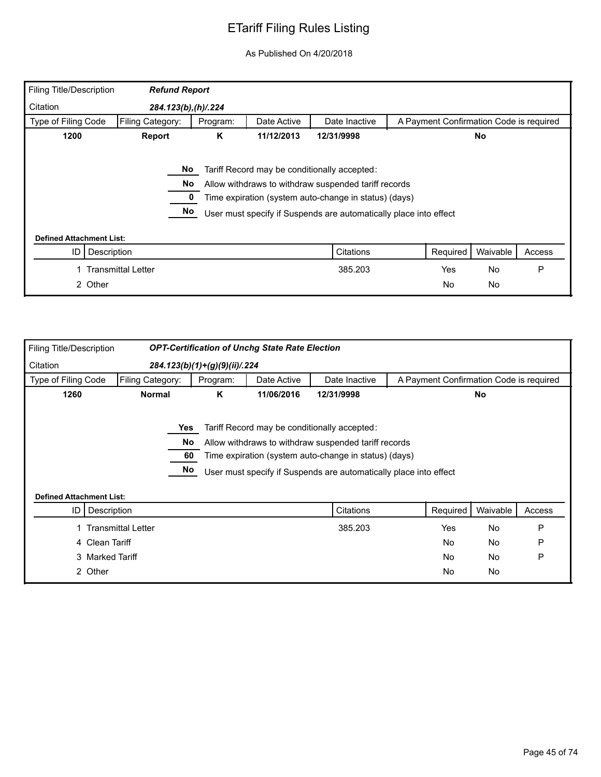| Filing Title/Description        | <b>Refund Report</b>      |          |             |                                                                                                                                                                                                                                    |                                         |           |        |
|---------------------------------|---------------------------|----------|-------------|------------------------------------------------------------------------------------------------------------------------------------------------------------------------------------------------------------------------------------|-----------------------------------------|-----------|--------|
| Citation                        | 284.123(b),(h)/.224       |          |             |                                                                                                                                                                                                                                    |                                         |           |        |
| Type of Filing Code             | Filing Category:          | Program: | Date Active | Date Inactive                                                                                                                                                                                                                      | A Payment Confirmation Code is required |           |        |
| 1200                            | Report                    | K        | 11/12/2013  | 12/31/9998                                                                                                                                                                                                                         |                                         | No        |        |
|                                 | No.<br>No.<br>No          |          |             | Tariff Record may be conditionally accepted:<br>Allow withdraws to withdraw suspended tariff records<br>Time expiration (system auto-change in status) (days)<br>User must specify if Suspends are automatically place into effect |                                         |           |        |
| <b>Defined Attachment List:</b> |                           |          |             |                                                                                                                                                                                                                                    |                                         |           |        |
| ID                              | Description               |          |             | Citations                                                                                                                                                                                                                          | Required                                | Waivable  | Access |
|                                 | <b>Transmittal Letter</b> |          |             | 385.203                                                                                                                                                                                                                            | Yes                                     | <b>No</b> | P      |
| 2 Other                         |                           |          |             |                                                                                                                                                                                                                                    | <b>No</b>                               | No        |        |

| Filing Title/Description        |                           |                       |                                 | <b>OPT-Certification of Unchg State Rate Election</b> |                                                                                                                                                                                                                                    |                                         |           |        |
|---------------------------------|---------------------------|-----------------------|---------------------------------|-------------------------------------------------------|------------------------------------------------------------------------------------------------------------------------------------------------------------------------------------------------------------------------------------|-----------------------------------------|-----------|--------|
| Citation                        |                           |                       | $284.123(b)(1)+(g)(9)(ii)/.224$ |                                                       |                                                                                                                                                                                                                                    |                                         |           |        |
| Type of Filing Code             | Filing Category:          |                       | Program:                        | Date Active                                           | Date Inactive                                                                                                                                                                                                                      | A Payment Confirmation Code is required |           |        |
| 1260                            | <b>Normal</b>             |                       | K                               | 11/06/2016                                            | 12/31/9998                                                                                                                                                                                                                         |                                         | No        |        |
| <b>Defined Attachment List:</b> |                           | Yes<br>No<br>60<br>No |                                 |                                                       | Tariff Record may be conditionally accepted:<br>Allow withdraws to withdraw suspended tariff records<br>Time expiration (system auto-change in status) (days)<br>User must specify if Suspends are automatically place into effect |                                         |           |        |
| ID I                            | Description               |                       |                                 |                                                       | Citations                                                                                                                                                                                                                          | Required                                | Waivable  | Access |
|                                 | <b>Transmittal Letter</b> |                       |                                 |                                                       | 385.203                                                                                                                                                                                                                            | Yes                                     | <b>No</b> | P      |
|                                 | 4 Clean Tariff            |                       |                                 |                                                       |                                                                                                                                                                                                                                    | <b>No</b>                               | No        | P      |
|                                 | 3 Marked Tariff           |                       |                                 |                                                       |                                                                                                                                                                                                                                    | <b>No</b>                               | No        | P      |
|                                 | 2 Other                   |                       |                                 |                                                       |                                                                                                                                                                                                                                    | No.                                     | No        |        |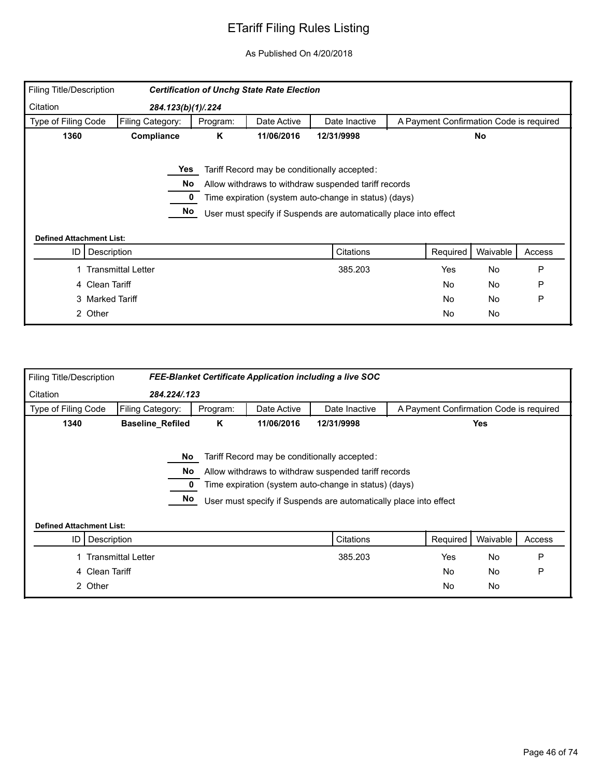| Filing Title/Description              |                           |          | <b>Certification of Unchg State Rate Election</b> |                                                                                                                                                                                                                                    |                                         |           |        |
|---------------------------------------|---------------------------|----------|---------------------------------------------------|------------------------------------------------------------------------------------------------------------------------------------------------------------------------------------------------------------------------------------|-----------------------------------------|-----------|--------|
| Citation                              | 284.123(b)(1)/.224        |          |                                                   |                                                                                                                                                                                                                                    |                                         |           |        |
| Type of Filing Code                   | Filing Category:          | Program: | Date Active                                       | Date Inactive                                                                                                                                                                                                                      | A Payment Confirmation Code is required |           |        |
| 1360                                  | Compliance                | K        | 11/06/2016                                        | 12/31/9998                                                                                                                                                                                                                         |                                         | <b>No</b> |        |
|                                       | Yes<br>No<br>No           |          |                                                   | Tariff Record may be conditionally accepted:<br>Allow withdraws to withdraw suspended tariff records<br>Time expiration (system auto-change in status) (days)<br>User must specify if Suspends are automatically place into effect |                                         |           |        |
| <b>Defined Attachment List:</b><br>ID | Description               |          |                                                   | Citations                                                                                                                                                                                                                          | Required                                | Waivable  | Access |
|                                       | <b>Transmittal Letter</b> |          |                                                   | 385.203                                                                                                                                                                                                                            | Yes                                     | No        | P      |
|                                       | 4 Clean Tariff            |          |                                                   |                                                                                                                                                                                                                                    | <b>No</b>                               | No        | P      |
|                                       | 3 Marked Tariff           |          |                                                   |                                                                                                                                                                                                                                    | No.                                     | No        | P      |
|                                       | 2 Other                   |          |                                                   |                                                                                                                                                                                                                                    | <b>No</b>                               | No        |        |

| <b>Filing Title/Description</b> |                           |          |             | FEE-Blanket Certificate Application including a live SOC          |                                         |            |        |
|---------------------------------|---------------------------|----------|-------------|-------------------------------------------------------------------|-----------------------------------------|------------|--------|
| Citation                        | 284.224/.123              |          |             |                                                                   |                                         |            |        |
| Type of Filing Code             | Filing Category:          | Program: | Date Active | Date Inactive                                                     | A Payment Confirmation Code is required |            |        |
| 1340                            | <b>Baseline_Refiled</b>   | Κ        | 11/06/2016  | 12/31/9998                                                        |                                         | <b>Yes</b> |        |
|                                 |                           |          |             |                                                                   |                                         |            |        |
|                                 | No.                       |          |             | Tariff Record may be conditionally accepted:                      |                                         |            |        |
|                                 | No                        |          |             | Allow withdraws to withdraw suspended tariff records              |                                         |            |        |
|                                 |                           |          |             | Time expiration (system auto-change in status) (days)             |                                         |            |        |
|                                 | No                        |          |             | User must specify if Suspends are automatically place into effect |                                         |            |        |
|                                 |                           |          |             |                                                                   |                                         |            |        |
| <b>Defined Attachment List:</b> |                           |          |             |                                                                   |                                         |            |        |
| ID I                            | Description               |          |             | Citations                                                         | Required                                | Waivable   | Access |
|                                 | <b>Transmittal Letter</b> |          |             | 385.203                                                           | Yes                                     | <b>No</b>  | P      |
|                                 | 4 Clean Tariff            |          |             |                                                                   | <b>No</b>                               | <b>No</b>  | P      |
| 2 Other                         |                           |          |             |                                                                   | <b>No</b>                               | <b>No</b>  |        |
|                                 |                           |          |             |                                                                   |                                         |            |        |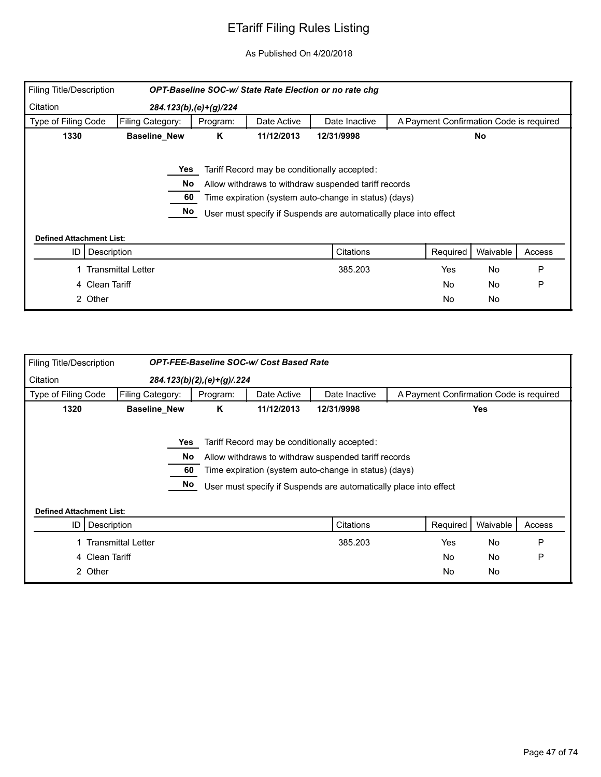| Filing Title/Description        |                           |                           |             | OPT-Baseline SOC-w/ State Rate Election or no rate chg            |                                         |           |        |
|---------------------------------|---------------------------|---------------------------|-------------|-------------------------------------------------------------------|-----------------------------------------|-----------|--------|
| Citation                        |                           | 284.123(b), (e) + (g)/224 |             |                                                                   |                                         |           |        |
| Type of Filing Code             | Filing Category:          | Program:                  | Date Active | Date Inactive                                                     | A Payment Confirmation Code is required |           |        |
| 1330                            | <b>Baseline_New</b>       | Κ                         | 11/12/2013  | 12/31/9998                                                        |                                         | <b>No</b> |        |
|                                 |                           |                           |             |                                                                   |                                         |           |        |
|                                 | Yes                       |                           |             | Tariff Record may be conditionally accepted:                      |                                         |           |        |
|                                 | No.                       |                           |             | Allow withdraws to withdraw suspended tariff records              |                                         |           |        |
|                                 | 60                        |                           |             | Time expiration (system auto-change in status) (days)             |                                         |           |        |
|                                 | No                        |                           |             | User must specify if Suspends are automatically place into effect |                                         |           |        |
|                                 |                           |                           |             |                                                                   |                                         |           |        |
| <b>Defined Attachment List:</b> |                           |                           |             |                                                                   |                                         |           |        |
| Description<br>ID               |                           |                           |             | Citations                                                         | Required                                | Waivable  | Access |
|                                 | <b>Transmittal Letter</b> |                           |             | 385.203                                                           | Yes                                     | <b>No</b> | P      |
| Clean Tariff<br>4               |                           |                           |             |                                                                   | <b>No</b>                               | No        | P      |
| 2 Other                         |                           |                           |             |                                                                   | <b>No</b>                               | No        |        |

| <b>Filing Title/Description</b> |                           |                            | <b>OPT-FEE-Baseline SOC-w/ Cost Based Rate</b> |                                                                   |                                         |            |        |
|---------------------------------|---------------------------|----------------------------|------------------------------------------------|-------------------------------------------------------------------|-----------------------------------------|------------|--------|
| Citation                        |                           | 284.123(b)(2),(e)+(g)/.224 |                                                |                                                                   |                                         |            |        |
| Type of Filing Code             | Filing Category:          | Program:                   | Date Active                                    | Date Inactive                                                     | A Payment Confirmation Code is required |            |        |
| 1320                            | <b>Baseline_New</b>       | K                          | 11/12/2013                                     | 12/31/9998                                                        |                                         | <b>Yes</b> |        |
|                                 |                           |                            |                                                |                                                                   |                                         |            |        |
|                                 | Yes                       |                            |                                                | Tariff Record may be conditionally accepted:                      |                                         |            |        |
|                                 | No                        |                            |                                                | Allow withdraws to withdraw suspended tariff records              |                                         |            |        |
|                                 | 60                        |                            |                                                | Time expiration (system auto-change in status) (days)             |                                         |            |        |
|                                 | No                        |                            |                                                | User must specify if Suspends are automatically place into effect |                                         |            |        |
|                                 |                           |                            |                                                |                                                                   |                                         |            |        |
| <b>Defined Attachment List:</b> |                           |                            |                                                |                                                                   |                                         |            |        |
| ID                              | Description               |                            |                                                | Citations                                                         | Required                                | Waivable   | Access |
|                                 | <b>Transmittal Letter</b> |                            |                                                | 385.203                                                           | Yes                                     | <b>No</b>  | P      |
| 4 Clean Tariff                  |                           |                            |                                                |                                                                   | <b>No</b>                               | <b>No</b>  | P      |
| 2 Other                         |                           |                            |                                                |                                                                   | <b>No</b>                               | No         |        |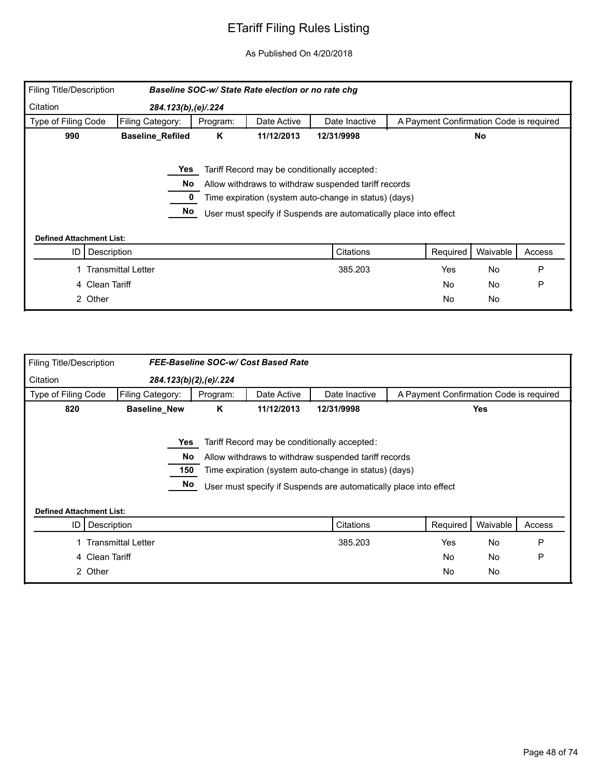| Filing Title/Description        |                           |          | Baseline SOC-w/ State Rate election or no rate chg |                                                                   |                                         |           |        |
|---------------------------------|---------------------------|----------|----------------------------------------------------|-------------------------------------------------------------------|-----------------------------------------|-----------|--------|
| Citation                        | 284.123(b), (e)/.224      |          |                                                    |                                                                   |                                         |           |        |
| Type of Filing Code             | Filing Category:          | Program: | Date Active                                        | Date Inactive                                                     | A Payment Confirmation Code is required |           |        |
| 990                             | <b>Baseline_Refiled</b>   | K        | 11/12/2013                                         | 12/31/9998                                                        |                                         | <b>No</b> |        |
|                                 |                           |          |                                                    |                                                                   |                                         |           |        |
|                                 | Yes                       |          |                                                    | Tariff Record may be conditionally accepted:                      |                                         |           |        |
|                                 | No.                       |          |                                                    | Allow withdraws to withdraw suspended tariff records              |                                         |           |        |
|                                 |                           |          |                                                    | Time expiration (system auto-change in status) (days)             |                                         |           |        |
|                                 | No                        |          |                                                    | User must specify if Suspends are automatically place into effect |                                         |           |        |
|                                 |                           |          |                                                    |                                                                   |                                         |           |        |
| <b>Defined Attachment List:</b> |                           |          |                                                    |                                                                   |                                         |           |        |
| Description<br>ID               |                           |          |                                                    | Citations                                                         | Required                                | Waivable  | Access |
|                                 | <b>Transmittal Letter</b> |          |                                                    | 385.203                                                           | Yes                                     | <b>No</b> | P      |
| Clean Tariff<br>4               |                           |          |                                                    |                                                                   | No.                                     | No        | P      |
| 2 Other                         |                           |          |                                                    |                                                                   | <b>No</b>                               | No        |        |

| Filing Title/Description        |                           |                        | FEE-Baseline SOC-w/ Cost Based Rate |                                                                   |                                         |            |        |
|---------------------------------|---------------------------|------------------------|-------------------------------------|-------------------------------------------------------------------|-----------------------------------------|------------|--------|
| Citation                        |                           | 284.123(b)(2),(e)/.224 |                                     |                                                                   |                                         |            |        |
| Type of Filing Code             | Filing Category:          | Program:               | Date Active                         | Date Inactive                                                     | A Payment Confirmation Code is required |            |        |
| 820                             | <b>Baseline_New</b>       | K                      | 11/12/2013                          | 12/31/9998                                                        |                                         | <b>Yes</b> |        |
|                                 |                           |                        |                                     |                                                                   |                                         |            |        |
|                                 | Yes                       |                        |                                     | Tariff Record may be conditionally accepted:                      |                                         |            |        |
|                                 | No.                       |                        |                                     | Allow withdraws to withdraw suspended tariff records              |                                         |            |        |
|                                 | 150                       |                        |                                     | Time expiration (system auto-change in status) (days)             |                                         |            |        |
|                                 | No                        |                        |                                     | User must specify if Suspends are automatically place into effect |                                         |            |        |
|                                 |                           |                        |                                     |                                                                   |                                         |            |        |
| <b>Defined Attachment List:</b> |                           |                        |                                     |                                                                   |                                         |            |        |
| ID                              | Description               |                        |                                     | Citations                                                         | Required                                | Waivable   | Access |
|                                 | <b>Transmittal Letter</b> |                        |                                     | 385.203                                                           | Yes                                     | <b>No</b>  | P      |
| 4                               | Clean Tariff              |                        |                                     |                                                                   | <b>No</b>                               | No         | P      |
| 2 Other                         |                           |                        |                                     |                                                                   | No                                      | No         |        |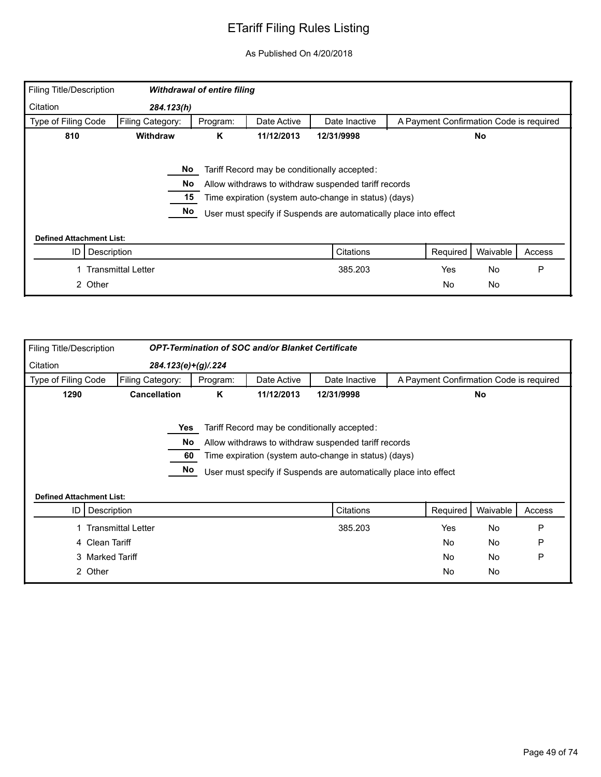| Filing Title/Description        |                                                 | <b>Withdrawal of entire filing</b> |             |                                                                                                                                                                                                                                    |                                         |           |        |
|---------------------------------|-------------------------------------------------|------------------------------------|-------------|------------------------------------------------------------------------------------------------------------------------------------------------------------------------------------------------------------------------------------|-----------------------------------------|-----------|--------|
| Citation                        | 284.123(h)                                      |                                    |             |                                                                                                                                                                                                                                    |                                         |           |        |
| Type of Filing Code             | Filing Category:                                | Program:                           | Date Active | Date Inactive                                                                                                                                                                                                                      | A Payment Confirmation Code is required |           |        |
| 810                             | Withdraw<br>K<br>11/12/2013<br>12/31/9998<br>No |                                    |             |                                                                                                                                                                                                                                    |                                         |           |        |
|                                 | No<br>No.<br>15<br>No                           |                                    |             | Tariff Record may be conditionally accepted:<br>Allow withdraws to withdraw suspended tariff records<br>Time expiration (system auto-change in status) (days)<br>User must specify if Suspends are automatically place into effect |                                         |           |        |
| <b>Defined Attachment List:</b> |                                                 |                                    |             |                                                                                                                                                                                                                                    |                                         |           |        |
| Description<br>ID               |                                                 |                                    |             | Citations                                                                                                                                                                                                                          | Required                                | Waivable  | Access |
|                                 | Transmittal Letter                              |                                    |             | 385.203                                                                                                                                                                                                                            | Yes                                     | <b>No</b> | P      |
| 2 Other                         |                                                 |                                    |             |                                                                                                                                                                                                                                    | <b>No</b>                               | No        |        |

| Filing Title/Description        |                           |                       | <b>OPT-Termination of SOC and/or Blanket Certificate</b> |                                                                                                                                                                                                                                    |                                         |           |        |
|---------------------------------|---------------------------|-----------------------|----------------------------------------------------------|------------------------------------------------------------------------------------------------------------------------------------------------------------------------------------------------------------------------------------|-----------------------------------------|-----------|--------|
| Citation                        |                           | 284.123(e)+(g)/.224   |                                                          |                                                                                                                                                                                                                                    |                                         |           |        |
| Type of Filing Code             | Filing Category:          | Program:              | Date Active                                              | Date Inactive                                                                                                                                                                                                                      | A Payment Confirmation Code is required |           |        |
| 1290                            | <b>Cancellation</b>       | K                     | 11/12/2013                                               | 12/31/9998                                                                                                                                                                                                                         |                                         | No        |        |
| <b>Defined Attachment List:</b> |                           | Yes<br>No<br>60<br>No |                                                          | Tariff Record may be conditionally accepted:<br>Allow withdraws to withdraw suspended tariff records<br>Time expiration (system auto-change in status) (days)<br>User must specify if Suspends are automatically place into effect |                                         |           |        |
| ID I                            | Description               |                       |                                                          | Citations                                                                                                                                                                                                                          | Required                                | Waivable  | Access |
|                                 | <b>Transmittal Letter</b> |                       |                                                          | 385.203                                                                                                                                                                                                                            | Yes                                     | <b>No</b> | P      |
|                                 | 4 Clean Tariff            |                       |                                                          |                                                                                                                                                                                                                                    | <b>No</b>                               | No        | P      |
|                                 | 3 Marked Tariff           |                       |                                                          |                                                                                                                                                                                                                                    | <b>No</b>                               | No        | P      |
|                                 | 2 Other                   |                       |                                                          |                                                                                                                                                                                                                                    | No.                                     | No        |        |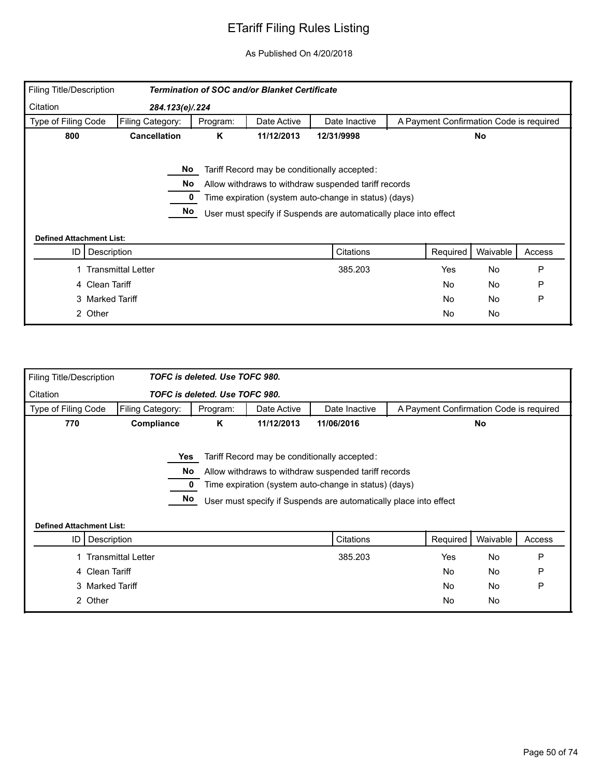| Filing Title/Description        |                           |          | Termination of SOC and/or Blanket Certificate |                                                                                                                                                                                                                                    |                                         |           |        |
|---------------------------------|---------------------------|----------|-----------------------------------------------|------------------------------------------------------------------------------------------------------------------------------------------------------------------------------------------------------------------------------------|-----------------------------------------|-----------|--------|
| Citation                        | 284.123(e)/.224           |          |                                               |                                                                                                                                                                                                                                    |                                         |           |        |
| Type of Filing Code             | Filing Category:          | Program: | Date Active                                   | Date Inactive                                                                                                                                                                                                                      | A Payment Confirmation Code is required |           |        |
| 800                             | <b>Cancellation</b>       | K        | 11/12/2013                                    | 12/31/9998                                                                                                                                                                                                                         |                                         | No        |        |
| <b>Defined Attachment List:</b> | No.<br>No<br>No           |          |                                               | Tariff Record may be conditionally accepted:<br>Allow withdraws to withdraw suspended tariff records<br>Time expiration (system auto-change in status) (days)<br>User must specify if Suspends are automatically place into effect |                                         |           |        |
| ID                              | Description               |          |                                               | Citations                                                                                                                                                                                                                          | Required                                | Waivable  | Access |
|                                 | <b>Transmittal Letter</b> |          |                                               | 385.203                                                                                                                                                                                                                            | Yes                                     | <b>No</b> | P      |
|                                 | 4 Clean Tariff            |          |                                               |                                                                                                                                                                                                                                    | <b>No</b>                               | No        | P      |
|                                 | 3 Marked Tariff           |          |                                               |                                                                                                                                                                                                                                    | No.                                     | No        | P      |
|                                 | 2 Other                   |          |                                               |                                                                                                                                                                                                                                    | <b>No</b>                               | No        |        |

| <b>Filing Title/Description</b> |                           | TOFC is deleted. Use TOFC 980. |             |                                                                                                      |                                         |           |        |
|---------------------------------|---------------------------|--------------------------------|-------------|------------------------------------------------------------------------------------------------------|-----------------------------------------|-----------|--------|
| Citation                        |                           | TOFC is deleted. Use TOFC 980. |             |                                                                                                      |                                         |           |        |
| Type of Filing Code             | Filing Category:          | Program:                       | Date Active | Date Inactive                                                                                        | A Payment Confirmation Code is required |           |        |
| 770                             | Compliance                | Κ                              | 11/12/2013  | 11/06/2016                                                                                           |                                         | No        |        |
|                                 | Yes                       | No.                            |             | Tariff Record may be conditionally accepted:<br>Allow withdraws to withdraw suspended tariff records |                                         |           |        |
|                                 |                           |                                |             | Time expiration (system auto-change in status) (days)                                                |                                         |           |        |
|                                 |                           | No                             |             | User must specify if Suspends are automatically place into effect                                    |                                         |           |        |
| <b>Defined Attachment List:</b> |                           |                                |             |                                                                                                      |                                         |           |        |
| ID                              | Description               |                                |             | Citations                                                                                            | Required                                | Waivable  | Access |
|                                 | <b>Transmittal Letter</b> |                                |             | 385.203                                                                                              | Yes                                     | No        | P      |
|                                 | 4 Clean Tariff            |                                |             |                                                                                                      | No                                      | No        | P      |
|                                 | 3 Marked Tariff           |                                |             |                                                                                                      | No                                      | <b>No</b> | P      |
|                                 | 2 Other                   |                                |             |                                                                                                      | No                                      | No        |        |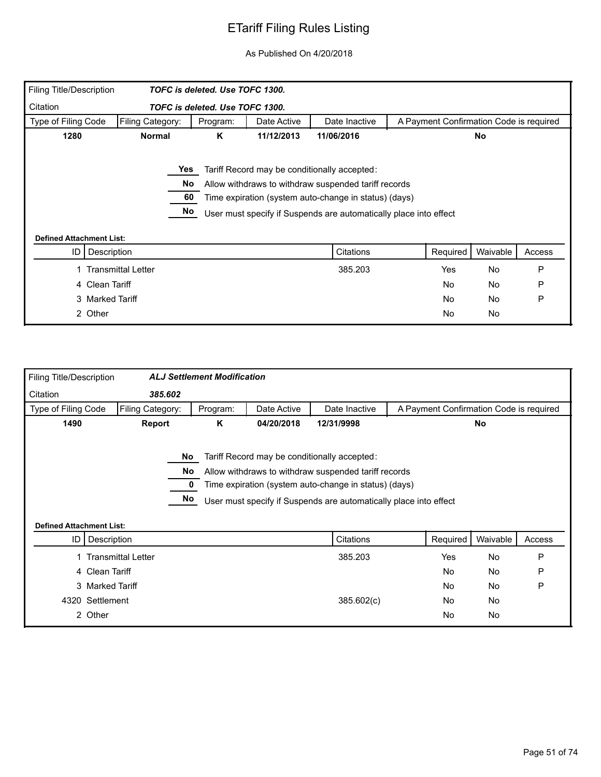| Filing Title/Description        |                           | TOFC is deleted. Use TOFC 1300. |             |                                                                   |                                         |           |        |
|---------------------------------|---------------------------|---------------------------------|-------------|-------------------------------------------------------------------|-----------------------------------------|-----------|--------|
| Citation                        |                           | TOFC is deleted. Use TOFC 1300. |             |                                                                   |                                         |           |        |
| Type of Filing Code             | Filing Category:          | Program:                        | Date Active | Date Inactive                                                     | A Payment Confirmation Code is required |           |        |
| 1280                            | <b>Normal</b>             | K                               | 11/12/2013  | 11/06/2016                                                        |                                         | <b>No</b> |        |
|                                 |                           |                                 |             |                                                                   |                                         |           |        |
|                                 | Yes                       |                                 |             | Tariff Record may be conditionally accepted:                      |                                         |           |        |
|                                 | No                        |                                 |             | Allow withdraws to withdraw suspended tariff records              |                                         |           |        |
|                                 | 60                        |                                 |             | Time expiration (system auto-change in status) (days)             |                                         |           |        |
|                                 | No                        |                                 |             | User must specify if Suspends are automatically place into effect |                                         |           |        |
| <b>Defined Attachment List:</b> |                           |                                 |             |                                                                   |                                         |           |        |
| ID                              | Description               |                                 |             | Citations                                                         | Required                                | Waivable  | Access |
|                                 | <b>Transmittal Letter</b> |                                 |             | 385.203                                                           | Yes                                     | No        | P      |
|                                 | 4 Clean Tariff            |                                 |             |                                                                   | <b>No</b>                               | No        | P      |
|                                 | 3 Marked Tariff           |                                 |             |                                                                   | No.                                     | No        | P      |
|                                 | 2 Other                   |                                 |             |                                                                   | <b>No</b>                               | No        |        |

| Filing Title/Description        |                           | <b>ALJ Settlement Modification</b> |             |                                                                                                                                                                                                                                                 |                                         |          |        |
|---------------------------------|---------------------------|------------------------------------|-------------|-------------------------------------------------------------------------------------------------------------------------------------------------------------------------------------------------------------------------------------------------|-----------------------------------------|----------|--------|
| Citation                        | 385.602                   |                                    |             |                                                                                                                                                                                                                                                 |                                         |          |        |
| Type of Filing Code             | Filing Category:          | Program:                           | Date Active | Date Inactive                                                                                                                                                                                                                                   | A Payment Confirmation Code is required |          |        |
| 1490                            | Report                    | Κ                                  | 04/20/2018  | 12/31/9998                                                                                                                                                                                                                                      |                                         | No       |        |
| <b>Defined Attachment List:</b> | No.<br>No<br>No           |                                    |             | Tariff Record may be conditionally accepted:<br>Allow withdraws to withdraw suspended tariff records<br>Time expiration (system auto-change in status) (days)<br>User must specify if Suspends are automatically place into effect<br>Citations |                                         |          |        |
|                                 | ID   Description          |                                    |             |                                                                                                                                                                                                                                                 | Required                                | Waivable | Access |
|                                 | <b>Transmittal Letter</b> |                                    |             | 385.203                                                                                                                                                                                                                                         | Yes                                     | No       | P      |
|                                 | 4 Clean Tariff            |                                    |             |                                                                                                                                                                                                                                                 | No                                      | No       | P      |
|                                 | 3 Marked Tariff           |                                    |             |                                                                                                                                                                                                                                                 | No                                      | No       | P      |
| 4320                            | Settlement                |                                    |             | 385.602(c)                                                                                                                                                                                                                                      | No                                      | No       |        |
|                                 | 2 Other                   |                                    |             |                                                                                                                                                                                                                                                 | No                                      | No       |        |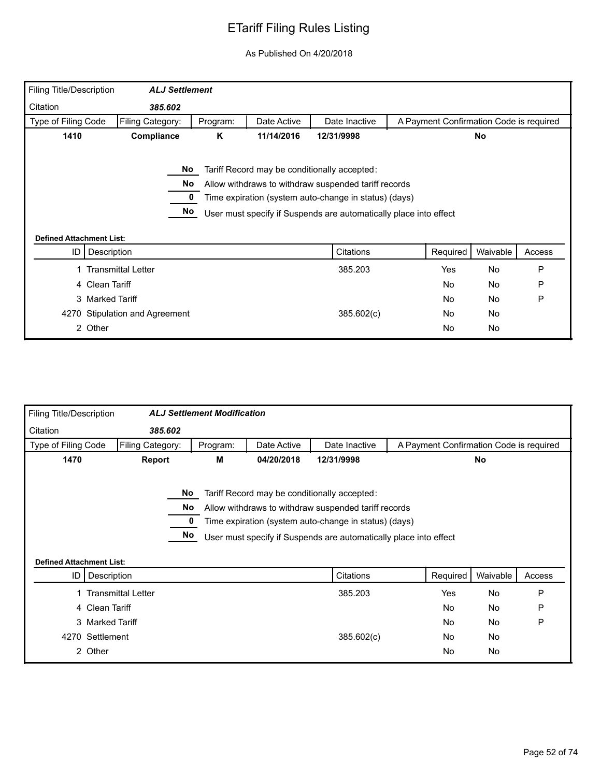| Filing Title/Description        | <b>ALJ Settlement</b>          |          |             |                                                                                                                                                                                                                                    |                                         |           |        |
|---------------------------------|--------------------------------|----------|-------------|------------------------------------------------------------------------------------------------------------------------------------------------------------------------------------------------------------------------------------|-----------------------------------------|-----------|--------|
| Citation                        | 385.602                        |          |             |                                                                                                                                                                                                                                    |                                         |           |        |
| Type of Filing Code             | Filing Category:               | Program: | Date Active | Date Inactive                                                                                                                                                                                                                      | A Payment Confirmation Code is required |           |        |
| 1410                            | Compliance                     | Κ        | 11/14/2016  | 12/31/9998                                                                                                                                                                                                                         |                                         | No        |        |
| <b>Defined Attachment List:</b> | No<br>No<br>No                 |          |             | Tariff Record may be conditionally accepted:<br>Allow withdraws to withdraw suspended tariff records<br>Time expiration (system auto-change in status) (days)<br>User must specify if Suspends are automatically place into effect |                                         |           |        |
| ID                              | Description                    |          |             | Citations                                                                                                                                                                                                                          | Required                                | Waivable  | Access |
|                                 | <b>Transmittal Letter</b>      |          |             | 385.203                                                                                                                                                                                                                            | Yes                                     | <b>No</b> | P      |
|                                 | 4 Clean Tariff                 |          |             |                                                                                                                                                                                                                                    | No                                      | <b>No</b> | P      |
|                                 | 3 Marked Tariff                |          |             |                                                                                                                                                                                                                                    | No                                      | <b>No</b> | P      |
|                                 |                                |          |             |                                                                                                                                                                                                                                    |                                         |           |        |
|                                 | 4270 Stipulation and Agreement |          |             | 385.602(c)                                                                                                                                                                                                                         | No                                      | No        |        |

| <b>Filing Title/Description</b> |                           | <b>ALJ Settlement Modification</b> |             |                                                                                                                                                                                                                                    |                                         |          |           |        |
|---------------------------------|---------------------------|------------------------------------|-------------|------------------------------------------------------------------------------------------------------------------------------------------------------------------------------------------------------------------------------------|-----------------------------------------|----------|-----------|--------|
| Citation                        | 385.602                   |                                    |             |                                                                                                                                                                                                                                    |                                         |          |           |        |
| Type of Filing Code             | Filing Category:          | Program:                           | Date Active | Date Inactive                                                                                                                                                                                                                      | A Payment Confirmation Code is required |          |           |        |
| 1470                            | Report                    | M                                  | 04/20/2018  | 12/31/9998                                                                                                                                                                                                                         |                                         |          | No        |        |
| <b>Defined Attachment List:</b> |                           | No.<br>No<br>No                    |             | Tariff Record may be conditionally accepted:<br>Allow withdraws to withdraw suspended tariff records<br>Time expiration (system auto-change in status) (days)<br>User must specify if Suspends are automatically place into effect |                                         |          |           |        |
|                                 | ID   Description          |                                    |             | Citations                                                                                                                                                                                                                          |                                         | Required | Waivable  | Access |
|                                 | <b>Transmittal Letter</b> |                                    |             | 385.203                                                                                                                                                                                                                            |                                         | Yes      | No        | P      |
|                                 | 4 Clean Tariff            |                                    |             |                                                                                                                                                                                                                                    |                                         | No       | No        | P      |
|                                 | 3 Marked Tariff           |                                    |             |                                                                                                                                                                                                                                    |                                         | No       | <b>No</b> | P      |
|                                 | 4270 Settlement           |                                    |             | 385.602(c)                                                                                                                                                                                                                         |                                         | No       | <b>No</b> |        |
|                                 | 2 Other                   |                                    |             |                                                                                                                                                                                                                                    |                                         | No       | No        |        |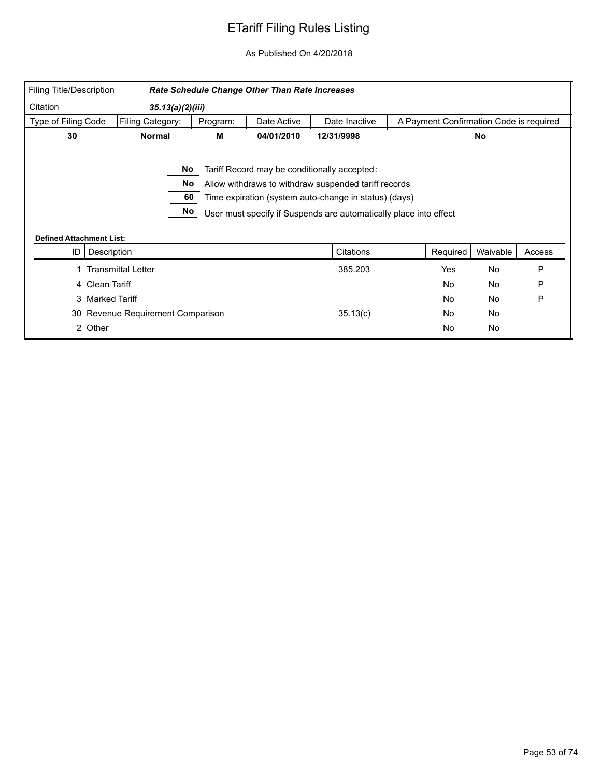| Filing Title/Description        |                                   |          | Rate Schedule Change Other Than Rate Increases |                                                                                                                                                                                                                                    |                                         |           |        |
|---------------------------------|-----------------------------------|----------|------------------------------------------------|------------------------------------------------------------------------------------------------------------------------------------------------------------------------------------------------------------------------------------|-----------------------------------------|-----------|--------|
| Citation                        | 35.13(a)(2)(iii)                  |          |                                                |                                                                                                                                                                                                                                    |                                         |           |        |
| Type of Filing Code             | Filing Category:                  | Program: | Date Active                                    | Date Inactive                                                                                                                                                                                                                      | A Payment Confirmation Code is required |           |        |
| 30                              | <b>Normal</b>                     | М        | 04/01/2010                                     | 12/31/9998                                                                                                                                                                                                                         |                                         | No        |        |
| <b>Defined Attachment List:</b> | No<br>No<br>60<br>No              |          |                                                | Tariff Record may be conditionally accepted:<br>Allow withdraws to withdraw suspended tariff records<br>Time expiration (system auto-change in status) (days)<br>User must specify if Suspends are automatically place into effect |                                         |           |        |
| ID                              | Description                       |          |                                                | Citations                                                                                                                                                                                                                          | Required                                | Waivable  | Access |
|                                 |                                   |          |                                                |                                                                                                                                                                                                                                    |                                         |           |        |
|                                 | <b>Transmittal Letter</b>         |          |                                                | 385.203                                                                                                                                                                                                                            | Yes                                     | <b>No</b> | P      |
|                                 | 4 Clean Tariff                    |          |                                                |                                                                                                                                                                                                                                    | <b>No</b>                               | No        | P      |
|                                 | 3 Marked Tariff                   |          |                                                |                                                                                                                                                                                                                                    | <b>No</b>                               | No        | P      |
|                                 | 30 Revenue Requirement Comparison |          |                                                | 35.13(c)                                                                                                                                                                                                                           | <b>No</b>                               | No        |        |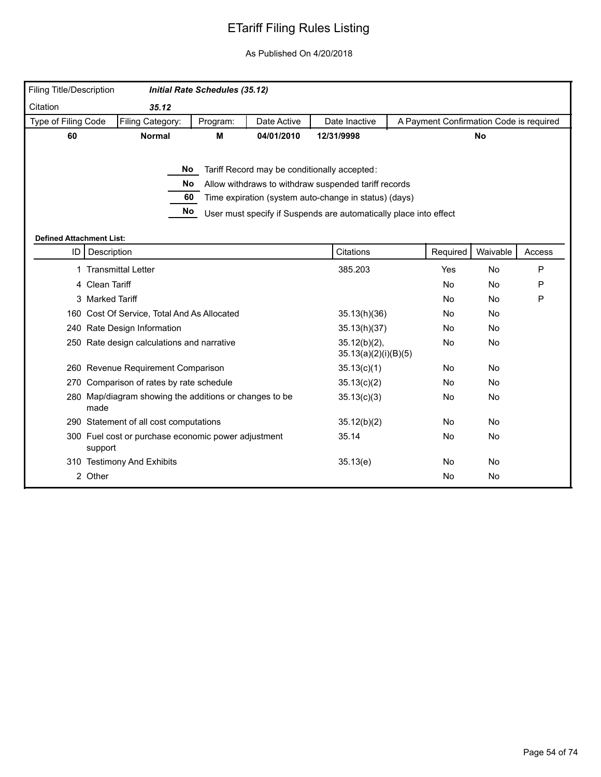| <b>Filing Title/Description</b> |                                                                | <b>Initial Rate Schedules (35.12)</b> |             |                                                                   |                                         |           |           |
|---------------------------------|----------------------------------------------------------------|---------------------------------------|-------------|-------------------------------------------------------------------|-----------------------------------------|-----------|-----------|
|                                 |                                                                |                                       |             |                                                                   |                                         |           |           |
| Citation                        | 35.12                                                          |                                       |             |                                                                   |                                         |           |           |
| Type of Filing Code             | Filing Category:                                               | Program:                              | Date Active | Date Inactive                                                     | A Payment Confirmation Code is required |           |           |
| 60                              | <b>Normal</b>                                                  | M                                     | 04/01/2010  | 12/31/9998                                                        |                                         | No        |           |
|                                 |                                                                |                                       |             |                                                                   |                                         |           |           |
|                                 |                                                                | No l                                  |             | Tariff Record may be conditionally accepted:                      |                                         |           |           |
|                                 | No.                                                            |                                       |             | Allow withdraws to withdraw suspended tariff records              |                                         |           |           |
|                                 | 60                                                             |                                       |             | Time expiration (system auto-change in status) (days)             |                                         |           |           |
|                                 | No                                                             |                                       |             | User must specify if Suspends are automatically place into effect |                                         |           |           |
|                                 |                                                                |                                       |             |                                                                   |                                         |           |           |
| <b>Defined Attachment List:</b> |                                                                |                                       |             |                                                                   |                                         |           |           |
|                                 | ID   Description                                               |                                       |             | Citations                                                         | Required                                | Waivable  | Access    |
| 1                               | <b>Transmittal Letter</b>                                      |                                       |             | 385.203                                                           | Yes                                     | No        | P         |
|                                 | 4 Clean Tariff                                                 |                                       |             |                                                                   | No                                      | No        | P         |
|                                 | 3 Marked Tariff                                                |                                       |             |                                                                   | No                                      | No        | ${\sf P}$ |
|                                 | 160 Cost Of Service, Total And As Allocated                    |                                       |             | 35.13(h)(36)                                                      | <b>No</b>                               | <b>No</b> |           |
|                                 | 240 Rate Design Information                                    |                                       |             | 35.13(h)(37)                                                      | No.                                     | <b>No</b> |           |
|                                 | 250 Rate design calculations and narrative                     |                                       |             | $35.12(b)(2)$ ,<br>35.13(a)(2)(i)(B)(5)                           | No                                      | No        |           |
|                                 | 260 Revenue Requirement Comparison                             |                                       |             | 35.13(c)(1)                                                       | No                                      | No        |           |
|                                 | 270 Comparison of rates by rate schedule                       |                                       |             | 35.13(c)(2)                                                       | No                                      | <b>No</b> |           |
|                                 | 280 Map/diagram showing the additions or changes to be<br>made |                                       |             | 35.13(c)(3)                                                       | No                                      | No        |           |
|                                 | 290 Statement of all cost computations                         |                                       |             | 35.12(b)(2)                                                       | No                                      | <b>No</b> |           |
|                                 | 300 Fuel cost or purchase economic power adjustment<br>support |                                       |             | 35.14                                                             | No                                      | No        |           |
|                                 | 310 Testimony And Exhibits                                     |                                       |             | 35.13(e)                                                          | No                                      | <b>No</b> |           |
|                                 | 2 Other                                                        |                                       |             |                                                                   | No                                      | <b>No</b> |           |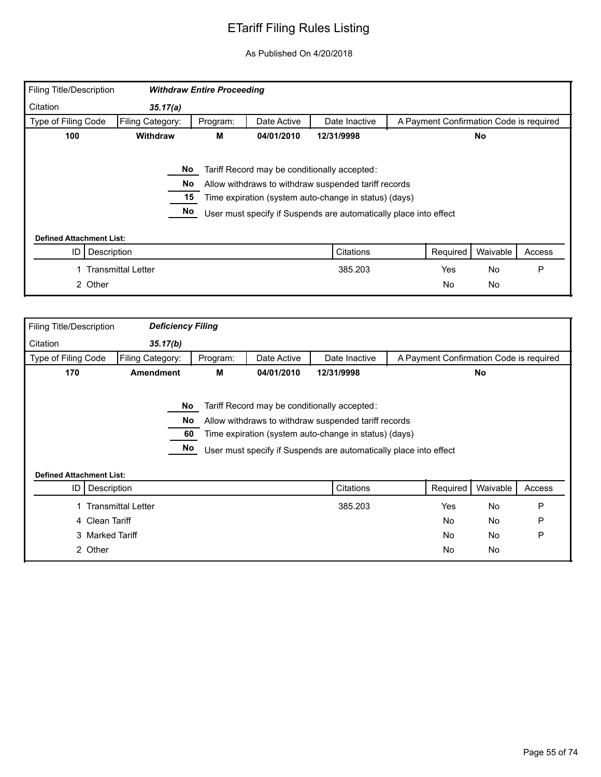| Filing Title/Description        |                           | <b>Withdraw Entire Proceeding</b> |             |                                                                                                                                                                                                                                    |                                         |           |        |
|---------------------------------|---------------------------|-----------------------------------|-------------|------------------------------------------------------------------------------------------------------------------------------------------------------------------------------------------------------------------------------------|-----------------------------------------|-----------|--------|
| Citation                        | 35.17(a)                  |                                   |             |                                                                                                                                                                                                                                    |                                         |           |        |
| Type of Filing Code             | Filing Category:          | Program:                          | Date Active | Date Inactive                                                                                                                                                                                                                      | A Payment Confirmation Code is required |           |        |
| 100                             | <b>Withdraw</b>           | М                                 | 04/01/2010  | 12/31/9998                                                                                                                                                                                                                         |                                         | No.       |        |
| <b>Defined Attachment List:</b> | No<br>No<br>15<br>No      |                                   |             | Tariff Record may be conditionally accepted:<br>Allow withdraws to withdraw suspended tariff records<br>Time expiration (system auto-change in status) (days)<br>User must specify if Suspends are automatically place into effect |                                         |           |        |
| ID                              | Description               |                                   |             | Citations                                                                                                                                                                                                                          | Required                                | Waivable  | Access |
|                                 | <b>Transmittal Letter</b> |                                   |             | 385.203                                                                                                                                                                                                                            | Yes                                     | <b>No</b> | P      |
|                                 | 2 Other                   |                                   |             |                                                                                                                                                                                                                                    | No                                      | <b>No</b> |        |

| Filing Title/Description        | <b>Deficiency Filing</b>  |          |             |                                                                   |                                         |           |        |
|---------------------------------|---------------------------|----------|-------------|-------------------------------------------------------------------|-----------------------------------------|-----------|--------|
| Citation                        | 35.17(b)                  |          |             |                                                                   |                                         |           |        |
| Type of Filing Code             | Filing Category:          | Program: | Date Active | Date Inactive                                                     | A Payment Confirmation Code is required |           |        |
| 170                             | <b>Amendment</b>          | M        | 04/01/2010  | 12/31/9998                                                        |                                         | No        |        |
|                                 |                           |          |             |                                                                   |                                         |           |        |
|                                 | No.                       |          |             | Tariff Record may be conditionally accepted:                      |                                         |           |        |
|                                 | No                        |          |             | Allow withdraws to withdraw suspended tariff records              |                                         |           |        |
|                                 | 60                        |          |             | Time expiration (system auto-change in status) (days)             |                                         |           |        |
|                                 | No                        |          |             | User must specify if Suspends are automatically place into effect |                                         |           |        |
|                                 |                           |          |             |                                                                   |                                         |           |        |
| <b>Defined Attachment List:</b> |                           |          |             |                                                                   |                                         |           |        |
| ID                              | Description               |          |             | Citations                                                         | Required                                | Waivable  | Access |
|                                 | <b>Transmittal Letter</b> |          |             | 385.203                                                           | Yes                                     | <b>No</b> | P      |
| 4 Clean Tariff                  |                           |          |             |                                                                   | <b>No</b>                               | <b>No</b> | P      |
|                                 | 3 Marked Tariff           |          |             |                                                                   | <b>No</b>                               | No        | P      |
| 2 Other                         |                           |          |             |                                                                   | No                                      | No        |        |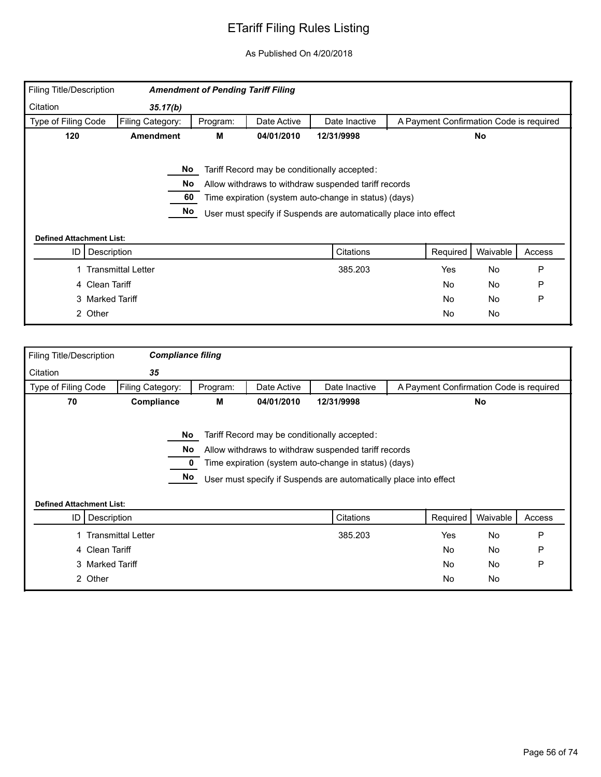| Filing Title/Description        |                           | <b>Amendment of Pending Tariff Filing</b> |             |                                                                   |                                         |           |           |        |
|---------------------------------|---------------------------|-------------------------------------------|-------------|-------------------------------------------------------------------|-----------------------------------------|-----------|-----------|--------|
| Citation                        | 35.17(b)                  |                                           |             |                                                                   |                                         |           |           |        |
| Type of Filing Code             | Filing Category:          | Program:                                  | Date Active | Date Inactive                                                     | A Payment Confirmation Code is required |           |           |        |
| 120                             | <b>Amendment</b>          | М                                         | 04/01/2010  | 12/31/9998                                                        |                                         |           | <b>No</b> |        |
|                                 |                           |                                           |             |                                                                   |                                         |           |           |        |
|                                 | No                        |                                           |             | Tariff Record may be conditionally accepted:                      |                                         |           |           |        |
|                                 | No                        |                                           |             | Allow withdraws to withdraw suspended tariff records              |                                         |           |           |        |
|                                 | 60                        |                                           |             | Time expiration (system auto-change in status) (days)             |                                         |           |           |        |
|                                 | No                        |                                           |             | User must specify if Suspends are automatically place into effect |                                         |           |           |        |
|                                 |                           |                                           |             |                                                                   |                                         |           |           |        |
| <b>Defined Attachment List:</b> |                           |                                           |             |                                                                   |                                         |           |           |        |
| ID                              | Description               |                                           |             | Citations                                                         |                                         | Required  | Waivable  | Access |
|                                 | <b>Transmittal Letter</b> |                                           |             | 385.203                                                           |                                         | Yes       | No        | P      |
|                                 | 4 Clean Tariff            |                                           |             |                                                                   |                                         | <b>No</b> | No        | P      |
|                                 | 3 Marked Tariff           |                                           |             |                                                                   |                                         | <b>No</b> | No        | P      |
|                                 | 2 Other                   |                                           |             |                                                                   |                                         | <b>No</b> | No        |        |

| Filing Title/Description        | <b>Compliance filing</b>  |          |             |                                                                                                                                                                                                                                    |                                         |          |        |
|---------------------------------|---------------------------|----------|-------------|------------------------------------------------------------------------------------------------------------------------------------------------------------------------------------------------------------------------------------|-----------------------------------------|----------|--------|
| Citation                        | 35                        |          |             |                                                                                                                                                                                                                                    |                                         |          |        |
| Type of Filing Code             | Filing Category:          | Program: | Date Active | Date Inactive                                                                                                                                                                                                                      | A Payment Confirmation Code is required |          |        |
| 70                              | Compliance                | М        | 04/01/2010  | 12/31/9998                                                                                                                                                                                                                         |                                         | No       |        |
| <b>Defined Attachment List:</b> | No.<br>No<br>No           |          |             | Tariff Record may be conditionally accepted:<br>Allow withdraws to withdraw suspended tariff records<br>Time expiration (system auto-change in status) (days)<br>User must specify if Suspends are automatically place into effect |                                         |          |        |
| ID                              | Description               |          |             | Citations                                                                                                                                                                                                                          | Required                                | Waivable | Access |
|                                 | <b>Transmittal Letter</b> |          |             | 385.203                                                                                                                                                                                                                            | Yes                                     | No       | P      |
|                                 |                           |          |             |                                                                                                                                                                                                                                    |                                         |          |        |
|                                 | 4 Clean Tariff            |          |             |                                                                                                                                                                                                                                    | <b>No</b>                               | No       | P      |
|                                 | 3 Marked Tariff           |          |             |                                                                                                                                                                                                                                    | <b>No</b>                               | No       | P      |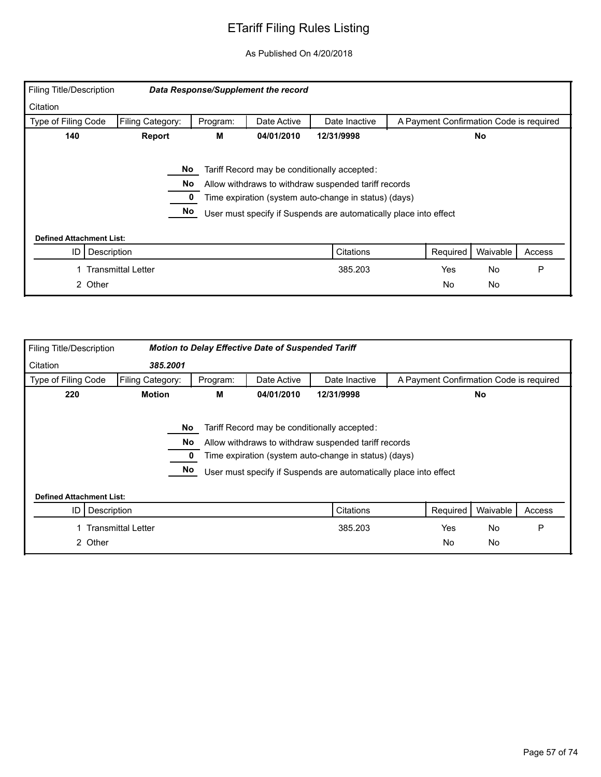| Filing Title/Description        |                           |          | Data Response/Supplement the record |                                                                   |                                         |           |        |
|---------------------------------|---------------------------|----------|-------------------------------------|-------------------------------------------------------------------|-----------------------------------------|-----------|--------|
| Citation                        |                           |          |                                     |                                                                   |                                         |           |        |
| Type of Filing Code             | Filing Category:          | Program: | Date Active                         | Date Inactive                                                     | A Payment Confirmation Code is required |           |        |
| 140                             | Report                    | м        | 12/31/9998                          |                                                                   | No                                      |           |        |
|                                 |                           |          |                                     |                                                                   |                                         |           |        |
|                                 | No                        |          |                                     | Tariff Record may be conditionally accepted:                      |                                         |           |        |
|                                 | No                        |          |                                     | Allow withdraws to withdraw suspended tariff records              |                                         |           |        |
|                                 |                           |          |                                     | Time expiration (system auto-change in status) (days)             |                                         |           |        |
|                                 | No                        |          |                                     | User must specify if Suspends are automatically place into effect |                                         |           |        |
| <b>Defined Attachment List:</b> |                           |          |                                     |                                                                   |                                         |           |        |
| ID<br>Description               |                           |          |                                     | Citations                                                         | Required                                | Waivable  | Access |
|                                 | <b>Transmittal Letter</b> |          |                                     | 385.203                                                           | Yes                                     | <b>No</b> | P      |
| 2 Other                         |                           |          |                                     |                                                                   | <b>No</b>                               | No        |        |

| Filing Title/Description                                     |                           |          | <b>Motion to Delay Effective Date of Suspended Tariff</b> |                                                                                                                                                                                                                                    |                                         |          |        |
|--------------------------------------------------------------|---------------------------|----------|-----------------------------------------------------------|------------------------------------------------------------------------------------------------------------------------------------------------------------------------------------------------------------------------------------|-----------------------------------------|----------|--------|
| Citation                                                     | 385,2001                  |          |                                                           |                                                                                                                                                                                                                                    |                                         |          |        |
| Type of Filing Code                                          | Filing Category:          | Program: | Date Active                                               | Date Inactive                                                                                                                                                                                                                      | A Payment Confirmation Code is required |          |        |
| 220<br><b>Motion</b><br>04/01/2010<br>12/31/9998<br>No.<br>М |                           |          |                                                           |                                                                                                                                                                                                                                    |                                         |          |        |
|                                                              | No.<br>No<br>No           |          |                                                           | Tariff Record may be conditionally accepted:<br>Allow withdraws to withdraw suspended tariff records<br>Time expiration (system auto-change in status) (days)<br>User must specify if Suspends are automatically place into effect |                                         |          |        |
| <b>Defined Attachment List:</b>                              |                           |          |                                                           |                                                                                                                                                                                                                                    |                                         |          |        |
| Description<br>ID                                            |                           |          |                                                           | Citations                                                                                                                                                                                                                          | Required                                | Waivable | Access |
|                                                              | <b>Transmittal Letter</b> |          |                                                           | 385.203                                                                                                                                                                                                                            | Yes                                     | No       | P      |
| 2 Other                                                      |                           |          |                                                           |                                                                                                                                                                                                                                    | No.                                     | No       |        |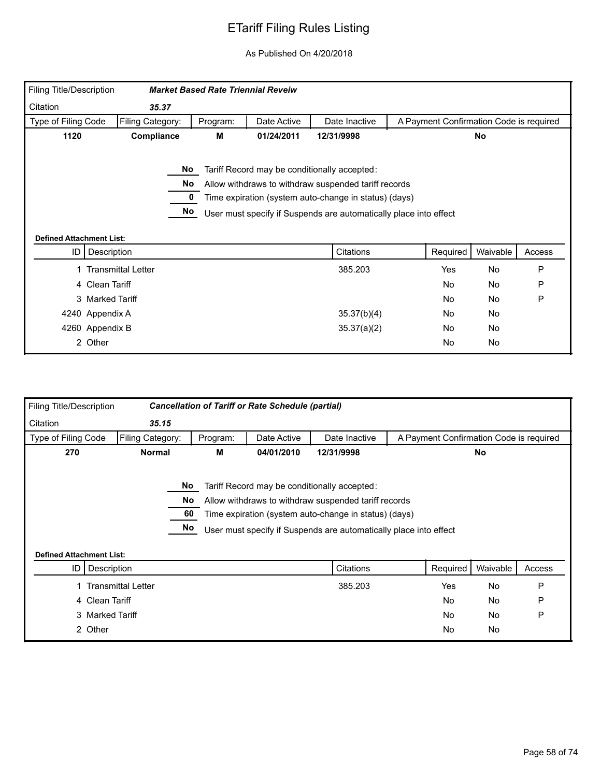| Filing Title/Description        |                           | <b>Market Based Rate Triennial Reveiw</b> |             |                                                                                                                                                                                                                                    |                                         |           |        |
|---------------------------------|---------------------------|-------------------------------------------|-------------|------------------------------------------------------------------------------------------------------------------------------------------------------------------------------------------------------------------------------------|-----------------------------------------|-----------|--------|
| Citation                        | 35.37                     |                                           |             |                                                                                                                                                                                                                                    |                                         |           |        |
| Type of Filing Code             | Filing Category:          | Program:                                  | Date Active | Date Inactive                                                                                                                                                                                                                      | A Payment Confirmation Code is required |           |        |
| 1120                            | Compliance                | М                                         | 01/24/2011  | 12/31/9998                                                                                                                                                                                                                         |                                         | <b>No</b> |        |
|                                 | No<br>No<br>No            |                                           |             | Tariff Record may be conditionally accepted:<br>Allow withdraws to withdraw suspended tariff records<br>Time expiration (system auto-change in status) (days)<br>User must specify if Suspends are automatically place into effect |                                         |           |        |
| <b>Defined Attachment List:</b> |                           |                                           |             |                                                                                                                                                                                                                                    |                                         |           |        |
|                                 |                           |                                           |             |                                                                                                                                                                                                                                    |                                         |           |        |
| ID                              | Description               |                                           |             | Citations                                                                                                                                                                                                                          | Required                                | Waivable  | Access |
|                                 | <b>Transmittal Letter</b> |                                           |             | 385.203                                                                                                                                                                                                                            | Yes                                     | No        | P      |
|                                 | 4 Clean Tariff            |                                           |             |                                                                                                                                                                                                                                    | <b>No</b>                               | No        | P      |
|                                 | 3 Marked Tariff           |                                           |             |                                                                                                                                                                                                                                    | <b>No</b>                               | No        | P      |
|                                 | 4240 Appendix A           |                                           |             | 35.37(b)(4)                                                                                                                                                                                                                        | <b>No</b>                               | No        |        |
|                                 | 4260 Appendix B           |                                           |             | 35.37(a)(2)                                                                                                                                                                                                                        | No.                                     | No        |        |

| Filing Title/Description                |                           |                | <b>Cancellation of Tariff or Rate Schedule (partial)</b> |                                                                                                                                                                                                                                    |                                         |           |        |
|-----------------------------------------|---------------------------|----------------|----------------------------------------------------------|------------------------------------------------------------------------------------------------------------------------------------------------------------------------------------------------------------------------------------|-----------------------------------------|-----------|--------|
| Citation                                | 35.15                     |                |                                                          |                                                                                                                                                                                                                                    |                                         |           |        |
| Type of Filing Code                     | Filing Category:          | Program:       | Date Active                                              | Date Inactive                                                                                                                                                                                                                      | A Payment Confirmation Code is required |           |        |
| 270                                     | <b>Normal</b>             | М              | 04/01/2010                                               | 12/31/9998                                                                                                                                                                                                                         |                                         | No        |        |
|                                         | No.                       | No<br>60<br>No |                                                          | Tariff Record may be conditionally accepted:<br>Allow withdraws to withdraw suspended tariff records<br>Time expiration (system auto-change in status) (days)<br>User must specify if Suspends are automatically place into effect |                                         |           |        |
| <b>Defined Attachment List:</b><br>ID I | Description               |                |                                                          | Citations                                                                                                                                                                                                                          | Required                                | Waivable  | Access |
|                                         | <b>Transmittal Letter</b> |                |                                                          | 385.203                                                                                                                                                                                                                            | Yes                                     | <b>No</b> | P      |
|                                         | 4 Clean Tariff            |                |                                                          |                                                                                                                                                                                                                                    | <b>No</b>                               | No        | P      |
|                                         |                           |                |                                                          |                                                                                                                                                                                                                                    |                                         |           |        |
|                                         | 3 Marked Tariff           |                |                                                          |                                                                                                                                                                                                                                    | <b>No</b>                               | <b>No</b> | P      |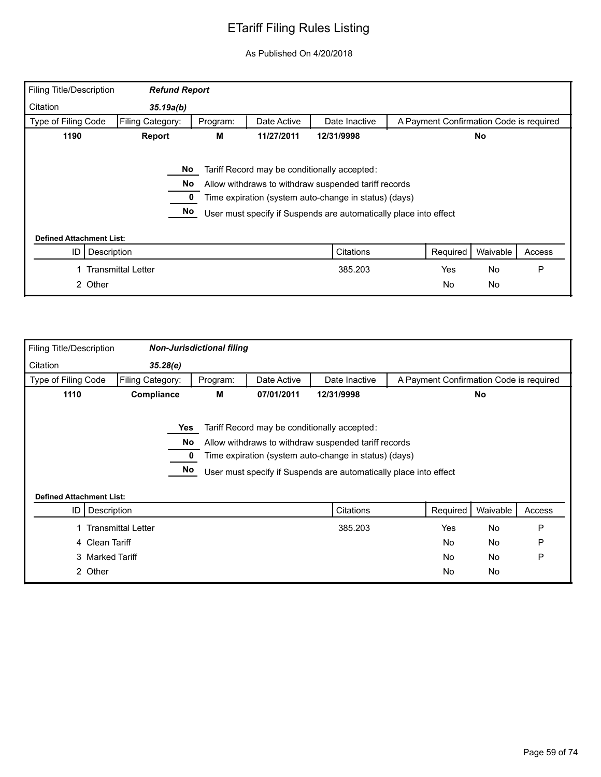| Filing Title/Description                             | <b>Refund Report</b> |          |             |                                                                                                                                                                                                                                    |                                         |                 |        |
|------------------------------------------------------|----------------------|----------|-------------|------------------------------------------------------------------------------------------------------------------------------------------------------------------------------------------------------------------------------------|-----------------------------------------|-----------------|--------|
| Citation                                             | 35.19a(b)            |          |             |                                                                                                                                                                                                                                    |                                         |                 |        |
| Type of Filing Code                                  | Filing Category:     | Program: | Date Active | Date Inactive                                                                                                                                                                                                                      | A Payment Confirmation Code is required |                 |        |
| 1190                                                 | Report               | М        | 12/31/9998  |                                                                                                                                                                                                                                    | No                                      |                 |        |
|                                                      | No.<br>No<br>No      |          |             | Tariff Record may be conditionally accepted:<br>Allow withdraws to withdraw suspended tariff records<br>Time expiration (system auto-change in status) (days)<br>User must specify if Suspends are automatically place into effect |                                         |                 |        |
| <b>Defined Attachment List:</b><br>ID<br>Description |                      |          |             | Citations                                                                                                                                                                                                                          | Required                                | Waivable        | Access |
| 2 Other                                              | Transmittal Letter   |          |             | 385.203                                                                                                                                                                                                                            | Yes<br><b>No</b>                        | <b>No</b><br>No | P      |

| Filing Title/Description        |                           | <b>Non-Jurisdictional filing</b> |             |                                                                                                                                                                                                                                    |                                         |           |        |
|---------------------------------|---------------------------|----------------------------------|-------------|------------------------------------------------------------------------------------------------------------------------------------------------------------------------------------------------------------------------------------|-----------------------------------------|-----------|--------|
| Citation                        | 35.28(e)                  |                                  |             |                                                                                                                                                                                                                                    |                                         |           |        |
| Type of Filing Code             | Filing Category:          | Program:                         | Date Active | Date Inactive                                                                                                                                                                                                                      | A Payment Confirmation Code is required |           |        |
| 1110                            | Compliance                | м                                | 07/01/2011  | 12/31/9998                                                                                                                                                                                                                         |                                         | No        |        |
| <b>Defined Attachment List:</b> | Yes<br>No<br>No           |                                  |             | Tariff Record may be conditionally accepted:<br>Allow withdraws to withdraw suspended tariff records<br>Time expiration (system auto-change in status) (days)<br>User must specify if Suspends are automatically place into effect |                                         |           |        |
| ID                              | Description               |                                  |             | Citations                                                                                                                                                                                                                          | Required                                | Waivable  | Access |
|                                 |                           |                                  |             | 385.203                                                                                                                                                                                                                            | Yes                                     | No        | P      |
|                                 | <b>Transmittal Letter</b> |                                  |             |                                                                                                                                                                                                                                    |                                         |           |        |
|                                 | 4 Clean Tariff            |                                  |             |                                                                                                                                                                                                                                    | <b>No</b>                               | No        | P      |
|                                 | 3 Marked Tariff           |                                  |             |                                                                                                                                                                                                                                    | <b>No</b>                               | <b>No</b> | P      |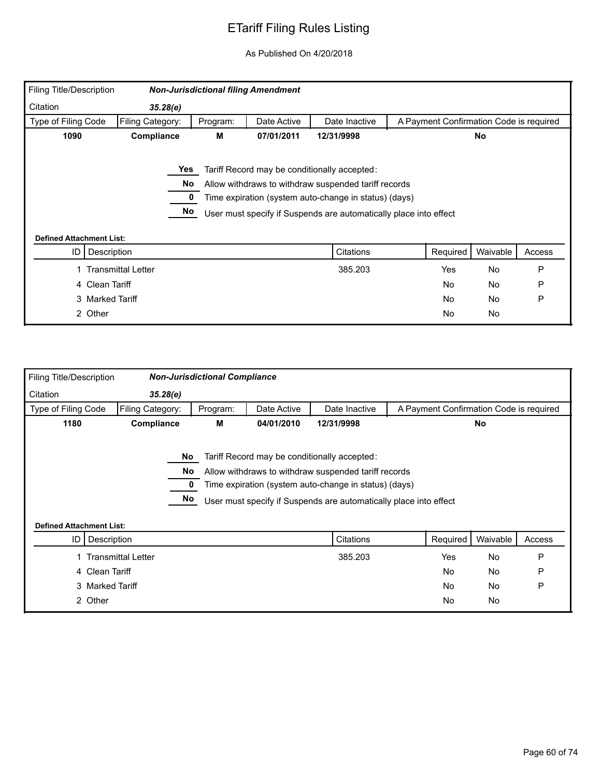| <b>Filing Title/Description</b> |                    |          | <b>Non-Jurisdictional filing Amendment</b> |                                                                   |                                         |           |        |
|---------------------------------|--------------------|----------|--------------------------------------------|-------------------------------------------------------------------|-----------------------------------------|-----------|--------|
| Citation                        | 35.28(e)           |          |                                            |                                                                   |                                         |           |        |
| Type of Filing Code             | Filing Category:   | Program: | Date Active                                | Date Inactive                                                     | A Payment Confirmation Code is required |           |        |
| 1090                            | Compliance         | М        | 07/01/2011                                 | 12/31/9998                                                        |                                         | <b>No</b> |        |
|                                 |                    |          |                                            |                                                                   |                                         |           |        |
|                                 | Yes                |          |                                            | Tariff Record may be conditionally accepted:                      |                                         |           |        |
|                                 | No                 |          |                                            | Allow withdraws to withdraw suspended tariff records              |                                         |           |        |
|                                 |                    |          |                                            | Time expiration (system auto-change in status) (days)             |                                         |           |        |
|                                 | No                 |          |                                            | User must specify if Suspends are automatically place into effect |                                         |           |        |
|                                 |                    |          |                                            |                                                                   |                                         |           |        |
| <b>Defined Attachment List:</b> |                    |          |                                            |                                                                   |                                         |           |        |
| ID                              | Description        |          |                                            | Citations                                                         | Required                                | Waivable  | Access |
|                                 | Transmittal Letter |          |                                            | 385.203                                                           | Yes                                     | <b>No</b> | P      |
|                                 | 4 Clean Tariff     |          |                                            |                                                                   | No                                      | No        | P      |
|                                 | 3 Marked Tariff    |          |                                            |                                                                   | No                                      | <b>No</b> | P      |
|                                 | 2 Other            |          |                                            |                                                                   | No                                      | No        |        |

| Filing Title/Description        |                                                   | <b>Non-Jurisdictional Compliance</b> |             |                                                                                                                                                                                                                                    |                                         |           |        |  |
|---------------------------------|---------------------------------------------------|--------------------------------------|-------------|------------------------------------------------------------------------------------------------------------------------------------------------------------------------------------------------------------------------------------|-----------------------------------------|-----------|--------|--|
| Citation                        | 35.28(e)                                          |                                      |             |                                                                                                                                                                                                                                    |                                         |           |        |  |
| Type of Filing Code             | Filing Category:                                  | Program:                             | Date Active | Date Inactive                                                                                                                                                                                                                      | A Payment Confirmation Code is required |           |        |  |
| 1180                            | Compliance<br>М<br>04/01/2010<br>12/31/9998<br>No |                                      |             |                                                                                                                                                                                                                                    |                                         |           |        |  |
| <b>Defined Attachment List:</b> | No<br>No<br>No                                    |                                      |             | Tariff Record may be conditionally accepted:<br>Allow withdraws to withdraw suspended tariff records<br>Time expiration (system auto-change in status) (days)<br>User must specify if Suspends are automatically place into effect |                                         |           |        |  |
| ID I                            | Description                                       |                                      |             | Citations                                                                                                                                                                                                                          | Required                                | Waivable  | Access |  |
|                                 | 1 Transmittal Letter                              |                                      |             | 385.203                                                                                                                                                                                                                            | Yes                                     | <b>No</b> | P      |  |
|                                 | 4 Clean Tariff                                    |                                      |             |                                                                                                                                                                                                                                    | <b>No</b>                               | No        | P      |  |
|                                 | 3 Marked Tariff                                   |                                      |             |                                                                                                                                                                                                                                    | <b>No</b>                               | No        | P      |  |
|                                 | 2 Other                                           |                                      |             |                                                                                                                                                                                                                                    | No                                      | No        |        |  |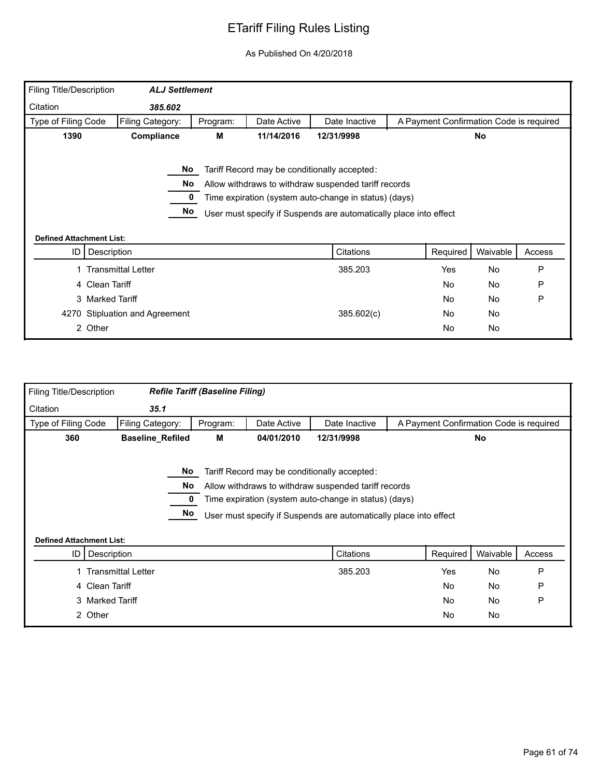| <b>Filing Title/Description</b> | <b>ALJ Settlement</b>          |          |             |                                                                   |                                         |          |        |
|---------------------------------|--------------------------------|----------|-------------|-------------------------------------------------------------------|-----------------------------------------|----------|--------|
| Citation                        | 385.602                        |          |             |                                                                   |                                         |          |        |
| Type of Filing Code             | Filing Category:               | Program: | Date Active | Date Inactive                                                     | A Payment Confirmation Code is required |          |        |
| 1390                            | Compliance                     | М        | 11/14/2016  | 12/31/9998                                                        |                                         | No       |        |
|                                 |                                |          |             |                                                                   |                                         |          |        |
|                                 | No.                            |          |             | Tariff Record may be conditionally accepted:                      |                                         |          |        |
|                                 | No                             |          |             | Allow withdraws to withdraw suspended tariff records              |                                         |          |        |
|                                 |                                |          |             | Time expiration (system auto-change in status) (days)             |                                         |          |        |
|                                 |                                |          |             |                                                                   |                                         |          |        |
|                                 | No                             |          |             | User must specify if Suspends are automatically place into effect |                                         |          |        |
|                                 |                                |          |             |                                                                   |                                         |          |        |
| <b>Defined Attachment List:</b> |                                |          |             |                                                                   |                                         |          |        |
| ID                              | Description                    |          |             | <b>Citations</b>                                                  | Required                                | Waivable | Access |
|                                 | <b>Transmittal Letter</b>      |          |             | 385.203                                                           | Yes                                     | No       | P      |
|                                 | 4 Clean Tariff                 |          |             |                                                                   | No                                      | No       | P      |
|                                 | 3 Marked Tariff                |          |             |                                                                   | No                                      | No       | P      |
|                                 | 4270 Stipluation and Agreement |          |             | 385.602(c)                                                        | No                                      | No       |        |

| <b>Filing Title/Description</b> |                           | <b>Refile Tariff (Baseline Filing)</b> |             |                                                                                                                                                                                                                                    |           |                                         |        |
|---------------------------------|---------------------------|----------------------------------------|-------------|------------------------------------------------------------------------------------------------------------------------------------------------------------------------------------------------------------------------------------|-----------|-----------------------------------------|--------|
| Citation                        | 35.1                      |                                        |             |                                                                                                                                                                                                                                    |           |                                         |        |
| Type of Filing Code             | Filing Category:          | Program:                               | Date Active | Date Inactive                                                                                                                                                                                                                      |           | A Payment Confirmation Code is required |        |
| 360                             | <b>Baseline_Refiled</b>   | М                                      | 04/01/2010  | 12/31/9998                                                                                                                                                                                                                         |           | <b>No</b>                               |        |
| <b>Defined Attachment List:</b> | No.<br>No<br>No           |                                        |             | Tariff Record may be conditionally accepted:<br>Allow withdraws to withdraw suspended tariff records<br>Time expiration (system auto-change in status) (days)<br>User must specify if Suspends are automatically place into effect |           |                                         |        |
|                                 | ID   Description          |                                        |             | Citations                                                                                                                                                                                                                          | Required  | Waivable                                | Access |
|                                 | <b>Transmittal Letter</b> |                                        |             | 385.203                                                                                                                                                                                                                            | Yes       | No                                      | P      |
|                                 | 4 Clean Tariff            |                                        |             |                                                                                                                                                                                                                                    | <b>No</b> | <b>No</b>                               | P      |
|                                 | 3 Marked Tariff           |                                        |             |                                                                                                                                                                                                                                    | <b>No</b> | No                                      | P      |
|                                 | 2 Other                   |                                        |             |                                                                                                                                                                                                                                    | No        | No                                      |        |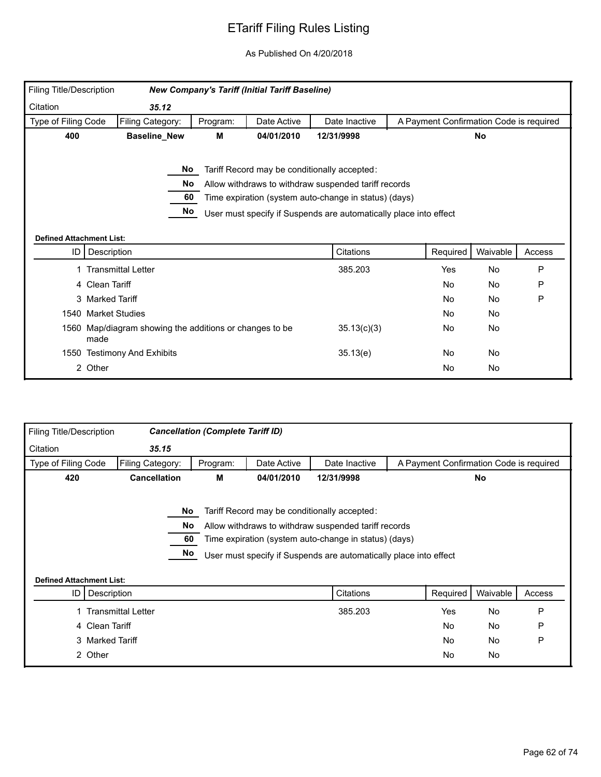| Filing Title/Description        |                                                                 |          | <b>New Company's Tariff (Initial Tariff Baseline)</b> |                                                                                                                                                                                                                                    |                                         |           |        |
|---------------------------------|-----------------------------------------------------------------|----------|-------------------------------------------------------|------------------------------------------------------------------------------------------------------------------------------------------------------------------------------------------------------------------------------------|-----------------------------------------|-----------|--------|
| Citation                        | 35.12                                                           |          |                                                       |                                                                                                                                                                                                                                    |                                         |           |        |
| Type of Filing Code             | Filing Category:                                                | Program: | Date Active                                           | Date Inactive                                                                                                                                                                                                                      | A Payment Confirmation Code is required |           |        |
| 400                             | <b>Baseline_New</b>                                             | М        | 04/01/2010                                            | 12/31/9998                                                                                                                                                                                                                         |                                         | <b>No</b> |        |
| <b>Defined Attachment List:</b> | No.<br>No.<br>60<br>No                                          |          |                                                       | Tariff Record may be conditionally accepted:<br>Allow withdraws to withdraw suspended tariff records<br>Time expiration (system auto-change in status) (days)<br>User must specify if Suspends are automatically place into effect |                                         |           |        |
| ID I                            | Description                                                     |          |                                                       | Citations                                                                                                                                                                                                                          | Required                                | Waivable  | Access |
|                                 | 1 Transmittal Letter                                            |          |                                                       | 385.203                                                                                                                                                                                                                            | Yes                                     | <b>No</b> | P      |
|                                 | 4 Clean Tariff                                                  |          |                                                       |                                                                                                                                                                                                                                    | <b>No</b>                               | No        | P      |
|                                 | 3 Marked Tariff                                                 |          |                                                       |                                                                                                                                                                                                                                    | <b>No</b>                               | <b>No</b> | P      |
|                                 | 1540 Market Studies                                             |          |                                                       |                                                                                                                                                                                                                                    | No.                                     | No        |        |
|                                 | 1560 Map/diagram showing the additions or changes to be<br>made |          |                                                       | 35.13(c)(3)                                                                                                                                                                                                                        | No                                      | No        |        |
|                                 | 1550 Testimony And Exhibits                                     |          |                                                       | 35.13(e)                                                                                                                                                                                                                           | No.                                     | <b>No</b> |        |
|                                 | 2 Other                                                         |          |                                                       |                                                                                                                                                                                                                                    | No.                                     | No        |        |

| Filing Title/Description        |                           | <b>Cancellation (Complete Tariff ID)</b> |             |                                                                   |                                         |           |        |
|---------------------------------|---------------------------|------------------------------------------|-------------|-------------------------------------------------------------------|-----------------------------------------|-----------|--------|
| Citation                        | 35.15                     |                                          |             |                                                                   |                                         |           |        |
| Type of Filing Code             | Filing Category:          | Program:                                 | Date Active | Date Inactive                                                     | A Payment Confirmation Code is required |           |        |
| 420                             | <b>Cancellation</b>       | М                                        | 04/01/2010  | 12/31/9998                                                        |                                         | No        |        |
|                                 |                           |                                          |             |                                                                   |                                         |           |        |
|                                 | No                        |                                          |             | Tariff Record may be conditionally accepted:                      |                                         |           |        |
|                                 | <b>No</b>                 |                                          |             | Allow withdraws to withdraw suspended tariff records              |                                         |           |        |
|                                 | 60                        |                                          |             | Time expiration (system auto-change in status) (days)             |                                         |           |        |
|                                 | No                        |                                          |             | User must specify if Suspends are automatically place into effect |                                         |           |        |
|                                 |                           |                                          |             |                                                                   |                                         |           |        |
| <b>Defined Attachment List:</b> |                           |                                          |             |                                                                   |                                         |           |        |
| ID                              | Description               |                                          |             | Citations                                                         | Required                                | Waivable  | Access |
|                                 | <b>Transmittal Letter</b> |                                          |             | 385.203                                                           | Yes                                     | No        | P      |
| 4 Clean Tariff                  |                           |                                          |             |                                                                   | <b>No</b>                               | No        | P      |
|                                 | 3 Marked Tariff           |                                          |             |                                                                   | <b>No</b>                               | <b>No</b> | P      |
| 2 Other                         |                           |                                          |             |                                                                   | <b>No</b>                               | No        |        |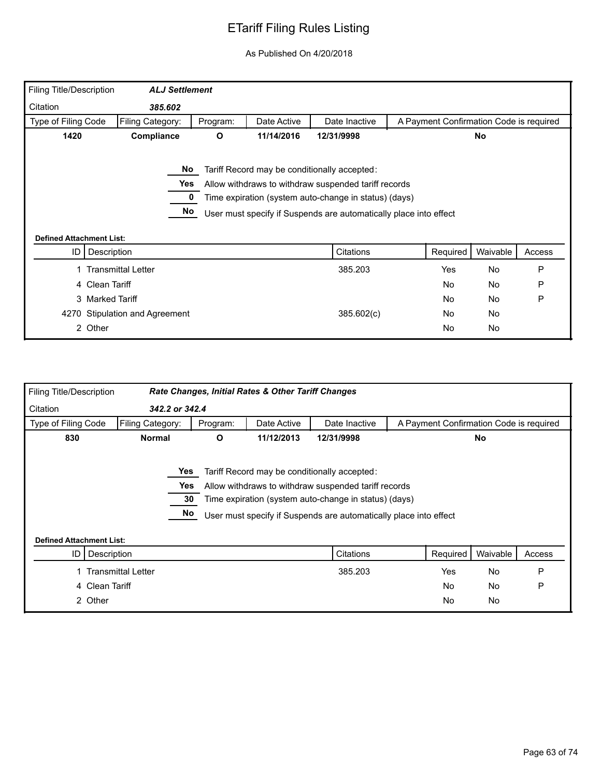| <b>Filing Title/Description</b> | <b>ALJ Settlement</b>           |          |             |                                                                   |                                         |          |        |
|---------------------------------|---------------------------------|----------|-------------|-------------------------------------------------------------------|-----------------------------------------|----------|--------|
| Citation                        | 385.602                         |          |             |                                                                   |                                         |          |        |
| Type of Filing Code             | Filing Category:                | Program: | Date Active | Date Inactive                                                     | A Payment Confirmation Code is required |          |        |
| 1420                            | Compliance                      | O        | 11/14/2016  | 12/31/9998                                                        |                                         | No       |        |
|                                 |                                 |          |             |                                                                   |                                         |          |        |
|                                 | No.                             |          |             | Tariff Record may be conditionally accepted:                      |                                         |          |        |
|                                 | Yes                             |          |             | Allow withdraws to withdraw suspended tariff records              |                                         |          |        |
|                                 |                                 |          |             | Time expiration (system auto-change in status) (days)             |                                         |          |        |
|                                 |                                 |          |             |                                                                   |                                         |          |        |
|                                 | No                              |          |             |                                                                   |                                         |          |        |
|                                 |                                 |          |             | User must specify if Suspends are automatically place into effect |                                         |          |        |
|                                 | <b>Defined Attachment List:</b> |          |             |                                                                   |                                         |          |        |
| ID                              | Description                     |          |             | Citations                                                         | Required                                | Waivable | Access |
|                                 | <b>Transmittal Letter</b>       |          |             | 385.203                                                           | Yes                                     | No       | P      |
|                                 | 4 Clean Tariff                  |          |             |                                                                   | No                                      | No       | P      |
|                                 | 3 Marked Tariff                 |          |             |                                                                   | No                                      | No       | P      |
|                                 | 4270 Stipulation and Agreement  |          |             | 385.602(c)                                                        | No                                      | No       |        |

| Filing Title/Description        |                  |              | <b>Rate Changes, Initial Rates &amp; Other Tariff Changes</b> |                                                                   |                                         |           |        |
|---------------------------------|------------------|--------------|---------------------------------------------------------------|-------------------------------------------------------------------|-----------------------------------------|-----------|--------|
| Citation                        | 342.2 or 342.4   |              |                                                               |                                                                   |                                         |           |        |
| Type of Filing Code             | Filing Category: | Program:     | Date Active                                                   | Date Inactive                                                     | A Payment Confirmation Code is required |           |        |
| 830                             | <b>Normal</b>    | $\mathbf{o}$ | 11/12/2013                                                    | 12/31/9998                                                        |                                         | <b>No</b> |        |
|                                 |                  |              |                                                               |                                                                   |                                         |           |        |
|                                 | Yes              |              |                                                               | Tariff Record may be conditionally accepted:                      |                                         |           |        |
|                                 | Yes              |              |                                                               | Allow withdraws to withdraw suspended tariff records              |                                         |           |        |
|                                 | 30               |              |                                                               | Time expiration (system auto-change in status) (days)             |                                         |           |        |
|                                 | <b>No</b>        |              |                                                               | User must specify if Suspends are automatically place into effect |                                         |           |        |
|                                 |                  |              |                                                               |                                                                   |                                         |           |        |
| <b>Defined Attachment List:</b> |                  |              |                                                               |                                                                   |                                         |           |        |
| ID   Description                |                  |              |                                                               | Citations                                                         | Required                                | Waivable  | Access |
| <b>Transmittal Letter</b>       |                  |              |                                                               | 385.203                                                           | <b>Yes</b>                              | No        | P      |
| 4 Clean Tariff                  |                  |              |                                                               |                                                                   | <b>No</b>                               | No        | P      |
| 2 Other                         |                  |              |                                                               |                                                                   | No                                      | No        |        |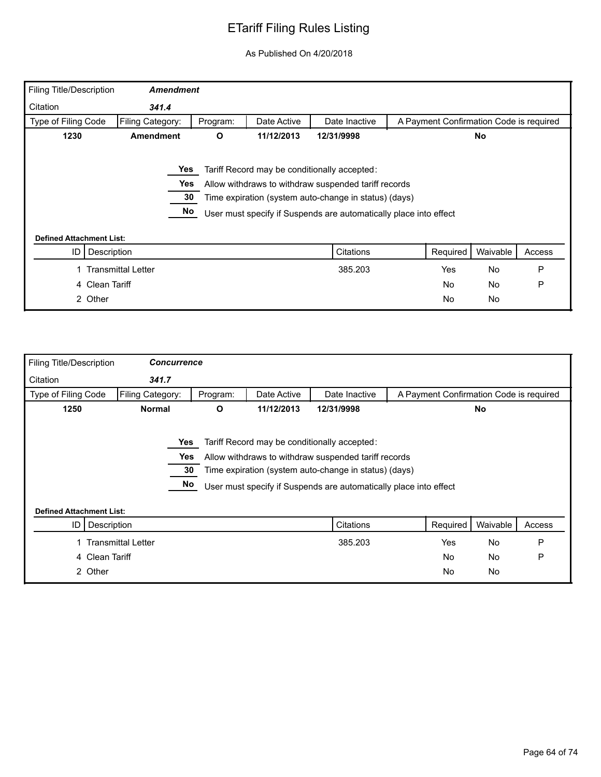| <b>Filing Title/Description</b> | <b>Amendment</b>          |          |             |                                                                   |                                         |           |        |
|---------------------------------|---------------------------|----------|-------------|-------------------------------------------------------------------|-----------------------------------------|-----------|--------|
| Citation                        | 341.4                     |          |             |                                                                   |                                         |           |        |
| Type of Filing Code             | Filing Category:          | Program: | Date Active | Date Inactive                                                     | A Payment Confirmation Code is required |           |        |
| 1230                            | <b>Amendment</b>          | O        | 11/12/2013  | 12/31/9998                                                        |                                         | <b>No</b> |        |
|                                 |                           |          |             |                                                                   |                                         |           |        |
|                                 | Yes                       |          |             | Tariff Record may be conditionally accepted:                      |                                         |           |        |
|                                 | Yes                       |          |             | Allow withdraws to withdraw suspended tariff records              |                                         |           |        |
|                                 | 30                        |          |             | Time expiration (system auto-change in status) (days)             |                                         |           |        |
|                                 | No                        |          |             | User must specify if Suspends are automatically place into effect |                                         |           |        |
| <b>Defined Attachment List:</b> |                           |          |             |                                                                   |                                         |           |        |
| ID                              | Description               |          |             | Citations                                                         | Required                                | Waivable  | Access |
|                                 | <b>Transmittal Letter</b> |          |             | 385.203                                                           | <b>Yes</b>                              | <b>No</b> | P      |
|                                 | 4 Clean Tariff            |          |             |                                                                   | No                                      | <b>No</b> | P      |
| 2 Other                         |                           |          |             |                                                                   | No                                      | No        |        |

| <b>Filing Title/Description</b> | <b>Concurrence</b>        |          |             |                                                                   |                                         |           |        |
|---------------------------------|---------------------------|----------|-------------|-------------------------------------------------------------------|-----------------------------------------|-----------|--------|
| Citation                        | 341.7                     |          |             |                                                                   |                                         |           |        |
| Type of Filing Code             | Filing Category:          | Program: | Date Active | Date Inactive                                                     | A Payment Confirmation Code is required |           |        |
| 1250                            | <b>Normal</b>             | O        | 11/12/2013  | 12/31/9998                                                        |                                         | No.       |        |
|                                 |                           |          |             |                                                                   |                                         |           |        |
|                                 | Yes                       |          |             | Tariff Record may be conditionally accepted:                      |                                         |           |        |
|                                 | Yes                       |          |             | Allow withdraws to withdraw suspended tariff records              |                                         |           |        |
|                                 | 30                        |          |             | Time expiration (system auto-change in status) (days)             |                                         |           |        |
|                                 | No                        |          |             | User must specify if Suspends are automatically place into effect |                                         |           |        |
|                                 |                           |          |             |                                                                   |                                         |           |        |
| <b>Defined Attachment List:</b> |                           |          |             |                                                                   |                                         |           |        |
| ID                              | Description               |          |             | Citations                                                         | Required                                | Waivable  | Access |
|                                 | <b>Transmittal Letter</b> |          |             | 385.203                                                           | Yes                                     | No        | P      |
| 4 Clean Tariff                  |                           |          |             |                                                                   | No                                      | <b>No</b> | P      |
| 2 Other                         |                           |          |             |                                                                   | No                                      | No        |        |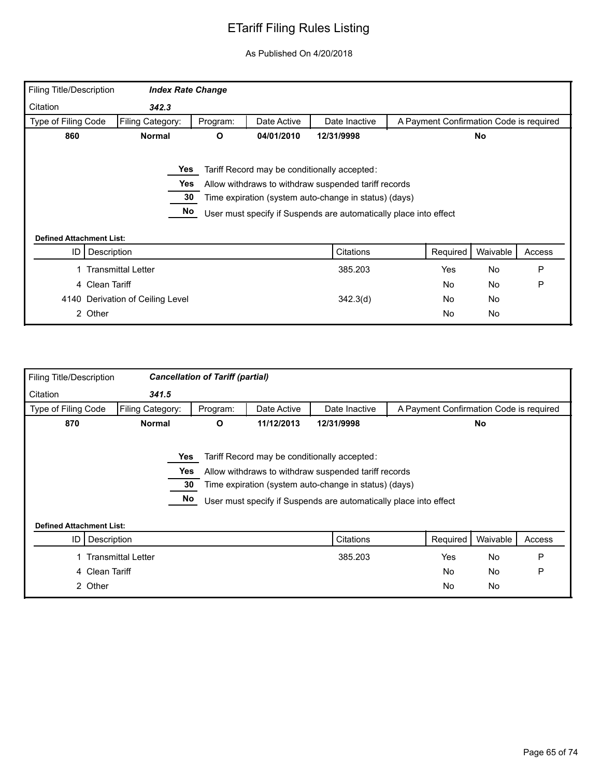| <b>Filing Title/Description</b> | <b>Index Rate Change</b>         |          |             |                                                                   |                                         |           |        |
|---------------------------------|----------------------------------|----------|-------------|-------------------------------------------------------------------|-----------------------------------------|-----------|--------|
| Citation                        | 342.3                            |          |             |                                                                   |                                         |           |        |
| Type of Filing Code             | Filing Category:                 | Program: | Date Active | Date Inactive                                                     | A Payment Confirmation Code is required |           |        |
| 860                             | <b>Normal</b>                    | O        | 04/01/2010  | 12/31/9998                                                        |                                         | No.       |        |
|                                 |                                  |          |             |                                                                   |                                         |           |        |
|                                 | Yes                              |          |             | Tariff Record may be conditionally accepted:                      |                                         |           |        |
|                                 | Yes                              |          |             | Allow withdraws to withdraw suspended tariff records              |                                         |           |        |
|                                 | 30                               |          |             | Time expiration (system auto-change in status) (days)             |                                         |           |        |
|                                 | No                               |          |             | User must specify if Suspends are automatically place into effect |                                         |           |        |
|                                 |                                  |          |             |                                                                   |                                         |           |        |
| <b>Defined Attachment List:</b> |                                  |          |             |                                                                   |                                         |           |        |
| ID                              | Description                      |          |             | Citations                                                         | Required                                | Waivable  | Access |
|                                 | <b>Transmittal Letter</b>        |          |             | 385.203                                                           | <b>Yes</b>                              | <b>No</b> | P      |
|                                 | 4 Clean Tariff                   |          |             |                                                                   | No                                      | <b>No</b> | P      |
|                                 | 4140 Derivation of Ceiling Level |          |             | 342.3(d)                                                          | No                                      | No        |        |
|                                 | 2 Other                          |          |             |                                                                   | No                                      | No        |        |

| Citation<br>341.5<br>Type of Filing Code<br>Filing Category:<br>A Payment Confirmation Code is required<br>Date Active<br>Date Inactive<br>Program:<br>870<br>11/12/2013<br><b>Normal</b><br>12/31/9998<br>No<br>O<br>Yes<br>Tariff Record may be conditionally accepted:<br>Yes<br>Allow withdraws to withdraw suspended tariff records<br>30<br>Time expiration (system auto-change in status) (days)<br>No<br>User must specify if Suspends are automatically place into effect<br><b>Defined Attachment List:</b><br>Citations<br>Required<br>Waivable<br>Description<br>Access<br>ID I<br>P<br><b>Transmittal Letter</b><br><b>No</b><br>385.203<br>Yes<br>P<br><b>No</b><br>4 Clean Tariff<br><b>No</b><br>2 Other | Filing Title/Description |  | <b>Cancellation of Tariff (partial)</b> |           |           |  |
|--------------------------------------------------------------------------------------------------------------------------------------------------------------------------------------------------------------------------------------------------------------------------------------------------------------------------------------------------------------------------------------------------------------------------------------------------------------------------------------------------------------------------------------------------------------------------------------------------------------------------------------------------------------------------------------------------------------------------|--------------------------|--|-----------------------------------------|-----------|-----------|--|
|                                                                                                                                                                                                                                                                                                                                                                                                                                                                                                                                                                                                                                                                                                                          |                          |  |                                         |           |           |  |
|                                                                                                                                                                                                                                                                                                                                                                                                                                                                                                                                                                                                                                                                                                                          |                          |  |                                         |           |           |  |
|                                                                                                                                                                                                                                                                                                                                                                                                                                                                                                                                                                                                                                                                                                                          |                          |  |                                         |           |           |  |
|                                                                                                                                                                                                                                                                                                                                                                                                                                                                                                                                                                                                                                                                                                                          |                          |  |                                         |           |           |  |
|                                                                                                                                                                                                                                                                                                                                                                                                                                                                                                                                                                                                                                                                                                                          |                          |  |                                         |           |           |  |
|                                                                                                                                                                                                                                                                                                                                                                                                                                                                                                                                                                                                                                                                                                                          |                          |  |                                         |           |           |  |
|                                                                                                                                                                                                                                                                                                                                                                                                                                                                                                                                                                                                                                                                                                                          |                          |  |                                         |           |           |  |
|                                                                                                                                                                                                                                                                                                                                                                                                                                                                                                                                                                                                                                                                                                                          |                          |  |                                         |           |           |  |
|                                                                                                                                                                                                                                                                                                                                                                                                                                                                                                                                                                                                                                                                                                                          |                          |  |                                         |           |           |  |
|                                                                                                                                                                                                                                                                                                                                                                                                                                                                                                                                                                                                                                                                                                                          |                          |  |                                         |           |           |  |
|                                                                                                                                                                                                                                                                                                                                                                                                                                                                                                                                                                                                                                                                                                                          |                          |  |                                         |           |           |  |
|                                                                                                                                                                                                                                                                                                                                                                                                                                                                                                                                                                                                                                                                                                                          |                          |  |                                         |           |           |  |
|                                                                                                                                                                                                                                                                                                                                                                                                                                                                                                                                                                                                                                                                                                                          |                          |  |                                         |           |           |  |
|                                                                                                                                                                                                                                                                                                                                                                                                                                                                                                                                                                                                                                                                                                                          |                          |  |                                         | <b>No</b> | <b>No</b> |  |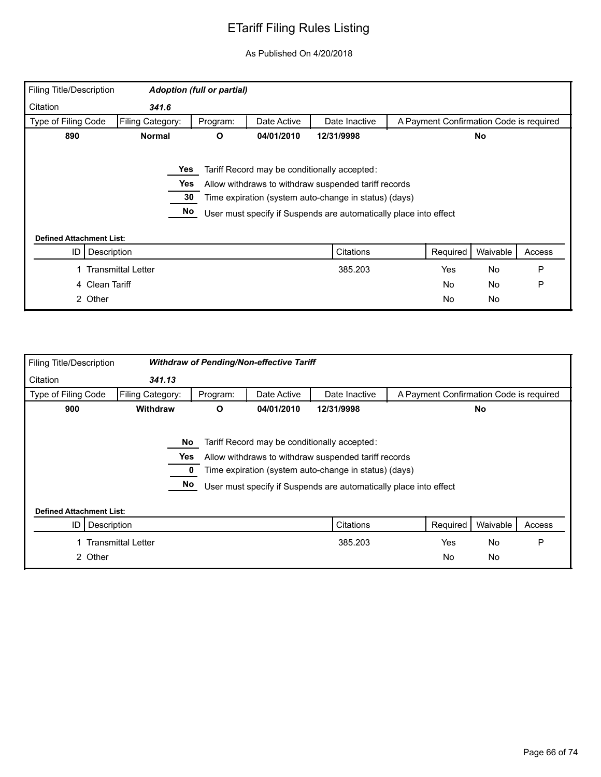| Filing Title/Description        |                           | <b>Adoption (full or partial)</b> |             |                                                                   |                                         |           |        |
|---------------------------------|---------------------------|-----------------------------------|-------------|-------------------------------------------------------------------|-----------------------------------------|-----------|--------|
| Citation                        | 341.6                     |                                   |             |                                                                   |                                         |           |        |
| Type of Filing Code             | Filing Category:          | Program:                          | Date Active | Date Inactive                                                     | A Payment Confirmation Code is required |           |        |
| 890                             | <b>Normal</b>             | O                                 | 04/01/2010  | 12/31/9998                                                        |                                         | <b>No</b> |        |
|                                 |                           |                                   |             |                                                                   |                                         |           |        |
|                                 | Yes                       |                                   |             | Tariff Record may be conditionally accepted:                      |                                         |           |        |
|                                 | Yes                       |                                   |             | Allow withdraws to withdraw suspended tariff records              |                                         |           |        |
|                                 | 30                        |                                   |             | Time expiration (system auto-change in status) (days)             |                                         |           |        |
|                                 | No                        |                                   |             | User must specify if Suspends are automatically place into effect |                                         |           |        |
|                                 |                           |                                   |             |                                                                   |                                         |           |        |
| <b>Defined Attachment List:</b> |                           |                                   |             |                                                                   |                                         |           |        |
| ID                              | Description               |                                   |             | Citations                                                         | Required                                | Waivable  | Access |
|                                 | <b>Transmittal Letter</b> |                                   |             | 385.203                                                           | Yes                                     | No        | P      |
| 4 Clean Tariff                  |                           |                                   |             |                                                                   | <b>No</b>                               | No        | P      |
| 2 Other                         |                           |                                   |             |                                                                   | <b>No</b>                               | No        |        |

| Filing Title/Description        |                           |          | <b>Withdraw of Pending/Non-effective Tariff</b> |                                                                                                                                                                                                                                    |                                         |           |        |
|---------------------------------|---------------------------|----------|-------------------------------------------------|------------------------------------------------------------------------------------------------------------------------------------------------------------------------------------------------------------------------------------|-----------------------------------------|-----------|--------|
| Citation                        | 341.13                    |          |                                                 |                                                                                                                                                                                                                                    |                                         |           |        |
| Type of Filing Code             | Filing Category:          | Program: | Date Active                                     | Date Inactive                                                                                                                                                                                                                      | A Payment Confirmation Code is required |           |        |
| 900                             | <b>Withdraw</b>           | O        | 04/01/2010                                      | 12/31/9998                                                                                                                                                                                                                         |                                         | <b>No</b> |        |
|                                 | No<br>Yes<br>No           |          |                                                 | Tariff Record may be conditionally accepted:<br>Allow withdraws to withdraw suspended tariff records<br>Time expiration (system auto-change in status) (days)<br>User must specify if Suspends are automatically place into effect |                                         |           |        |
| <b>Defined Attachment List:</b> |                           |          |                                                 |                                                                                                                                                                                                                                    |                                         |           |        |
| Description<br>ID               |                           |          |                                                 | Citations                                                                                                                                                                                                                          | Required                                | Waivable  | Access |
|                                 | <b>Transmittal Letter</b> |          |                                                 | 385.203                                                                                                                                                                                                                            | <b>Yes</b>                              | <b>No</b> | P      |
| 2 Other                         |                           |          |                                                 |                                                                                                                                                                                                                                    | No                                      | No        |        |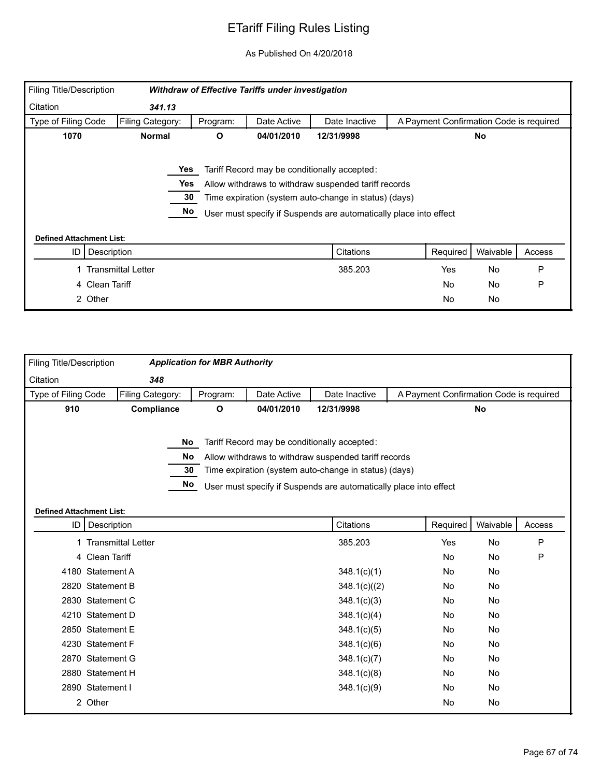| Filing Title/Description        |                           |          | <b>Withdraw of Effective Tariffs under investigation</b> |                                                                   |                                         |           |        |
|---------------------------------|---------------------------|----------|----------------------------------------------------------|-------------------------------------------------------------------|-----------------------------------------|-----------|--------|
| Citation                        | 341.13                    |          |                                                          |                                                                   |                                         |           |        |
| Type of Filing Code             | Filing Category:          | Program: | Date Active                                              | Date Inactive                                                     | A Payment Confirmation Code is required |           |        |
| 1070                            | <b>Normal</b>             | O        | 04/01/2010                                               | 12/31/9998                                                        |                                         | No        |        |
|                                 |                           |          |                                                          |                                                                   |                                         |           |        |
|                                 | Yes                       |          |                                                          | Tariff Record may be conditionally accepted:                      |                                         |           |        |
|                                 | Yes                       |          |                                                          | Allow withdraws to withdraw suspended tariff records              |                                         |           |        |
|                                 | 30                        |          |                                                          | Time expiration (system auto-change in status) (days)             |                                         |           |        |
|                                 | No                        |          |                                                          | User must specify if Suspends are automatically place into effect |                                         |           |        |
|                                 |                           |          |                                                          |                                                                   |                                         |           |        |
| <b>Defined Attachment List:</b> |                           |          |                                                          |                                                                   |                                         |           |        |
| Description<br>ID               |                           |          |                                                          | Citations                                                         | Required                                | Waivable  | Access |
|                                 | <b>Transmittal Letter</b> |          |                                                          | 385.203                                                           | Yes                                     | <b>No</b> | P      |
| Clean Tariff<br>4               |                           |          |                                                          |                                                                   | <b>No</b>                               | No        | P      |
| 2 Other                         |                           |          |                                                          |                                                                   | <b>No</b>                               | No        |        |

| <b>Filing Title/Description</b> |                      | <b>Application for MBR Authority</b> |             |                                                                   |                                         |          |        |
|---------------------------------|----------------------|--------------------------------------|-------------|-------------------------------------------------------------------|-----------------------------------------|----------|--------|
| Citation                        | 348                  |                                      |             |                                                                   |                                         |          |        |
| Type of Filing Code             | Filing Category:     | Program:                             | Date Active | Date Inactive                                                     | A Payment Confirmation Code is required |          |        |
| 910                             | Compliance           | О                                    | 04/01/2010  | 12/31/9998                                                        |                                         | No       |        |
|                                 |                      | No                                   |             | Tariff Record may be conditionally accepted:                      |                                         |          |        |
|                                 |                      | <b>No</b>                            |             | Allow withdraws to withdraw suspended tariff records              |                                         |          |        |
|                                 |                      | 30                                   |             | Time expiration (system auto-change in status) (days)             |                                         |          |        |
|                                 |                      | No                                   |             |                                                                   |                                         |          |        |
|                                 |                      |                                      |             | User must specify if Suspends are automatically place into effect |                                         |          |        |
| <b>Defined Attachment List:</b> |                      |                                      |             |                                                                   |                                         |          |        |
|                                 | ID   Description     |                                      |             | Citations                                                         | Required                                | Waivable | Access |
|                                 | 1 Transmittal Letter |                                      |             | 385.203                                                           | Yes                                     | No       | P      |
|                                 | 4 Clean Tariff       |                                      |             |                                                                   | <b>No</b>                               | No       | P      |
|                                 | 4180 Statement A     |                                      |             | 348.1(c)(1)                                                       | No                                      | No       |        |
|                                 | 2820 Statement B     |                                      |             | 348.1(c)((2)                                                      | No                                      | No       |        |
|                                 | 2830 Statement C     |                                      |             | 348.1(c)(3)                                                       | No                                      | No       |        |
|                                 | 4210 Statement D     |                                      |             | 348.1(c)(4)                                                       | No                                      | No       |        |
|                                 | 2850 Statement E     |                                      |             | 348.1(c)(5)                                                       | No                                      | No       |        |
|                                 | 4230 Statement F     |                                      |             | 348.1(c)(6)                                                       | No                                      | No       |        |
|                                 | 2870 Statement G     |                                      |             | 348.1(c)(7)                                                       | No                                      | No       |        |
|                                 | 2880 Statement H     |                                      |             | 348.1(c)(8)                                                       | No                                      | No       |        |
|                                 | 2890 Statement I     |                                      |             | 348.1(c)(9)                                                       | No                                      | No       |        |
|                                 | 2 Other              |                                      |             |                                                                   | No                                      | No       |        |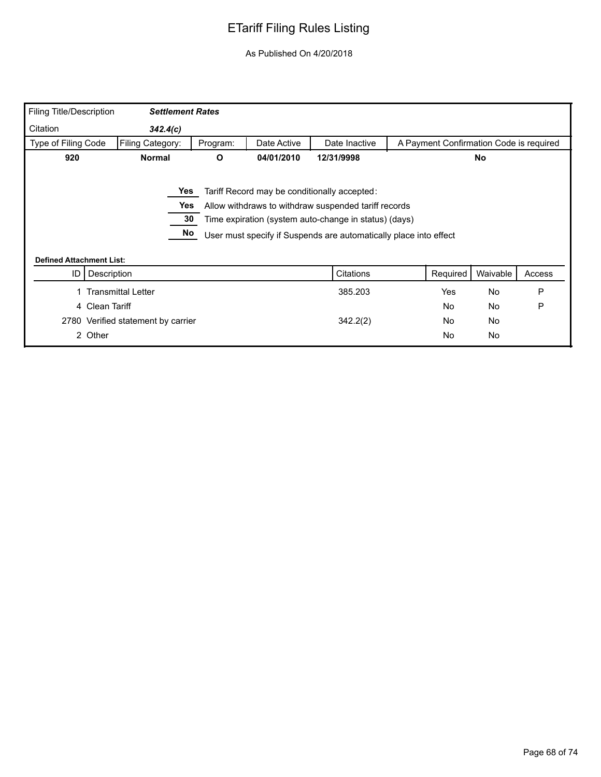| <b>Filing Title/Description</b> | <b>Settlement Rates</b>            |          |             |                                                                   |                                         |           |        |
|---------------------------------|------------------------------------|----------|-------------|-------------------------------------------------------------------|-----------------------------------------|-----------|--------|
| Citation                        | 342.4(c)                           |          |             |                                                                   |                                         |           |        |
| Type of Filing Code             | Filing Category:                   | Program: | Date Active | Date Inactive                                                     | A Payment Confirmation Code is required |           |        |
| 920                             | <b>Normal</b>                      | O        | 04/01/2010  | 12/31/9998                                                        |                                         | No        |        |
|                                 |                                    |          |             |                                                                   |                                         |           |        |
|                                 | Yes                                |          |             | Tariff Record may be conditionally accepted:                      |                                         |           |        |
|                                 | Yes                                |          |             | Allow withdraws to withdraw suspended tariff records              |                                         |           |        |
|                                 |                                    |          |             |                                                                   |                                         |           |        |
|                                 | 30                                 |          |             | Time expiration (system auto-change in status) (days)             |                                         |           |        |
|                                 | No                                 |          |             | User must specify if Suspends are automatically place into effect |                                         |           |        |
|                                 |                                    |          |             |                                                                   |                                         |           |        |
| <b>Defined Attachment List:</b> |                                    |          |             |                                                                   |                                         |           |        |
| ID                              | Description                        |          |             | Citations                                                         | Required                                | Waivable  | Access |
|                                 | <b>Transmittal Letter</b>          |          |             | 385.203                                                           | Yes                                     | <b>No</b> | P      |
|                                 | 4 Clean Tariff                     |          |             |                                                                   | No                                      | <b>No</b> | P      |
|                                 | 2780 Verified statement by carrier |          |             | 342.2(2)                                                          | No                                      | No        |        |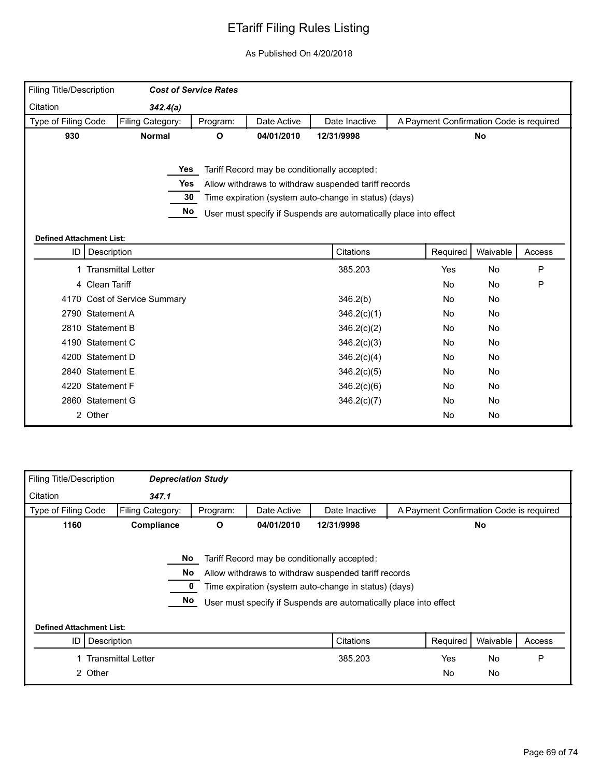| Filing Title/Description                |                              | <b>Cost of Service Rates</b> |             |                                                                   |           |                                         |        |
|-----------------------------------------|------------------------------|------------------------------|-------------|-------------------------------------------------------------------|-----------|-----------------------------------------|--------|
| Citation                                | 342.4(a)                     |                              |             |                                                                   |           |                                         |        |
| Type of Filing Code                     | Filing Category:             | Program:                     | Date Active | Date Inactive                                                     |           | A Payment Confirmation Code is required |        |
| 930                                     | <b>Normal</b>                | O                            | 04/01/2010  | 12/31/9998                                                        |           | No                                      |        |
|                                         |                              |                              |             |                                                                   |           |                                         |        |
|                                         | Yes                          |                              |             | Tariff Record may be conditionally accepted:                      |           |                                         |        |
|                                         | <b>Yes</b>                   |                              |             | Allow withdraws to withdraw suspended tariff records              |           |                                         |        |
|                                         | 30                           |                              |             | Time expiration (system auto-change in status) (days)             |           |                                         |        |
|                                         | No                           |                              |             | User must specify if Suspends are automatically place into effect |           |                                         |        |
|                                         |                              |                              |             |                                                                   |           |                                         |        |
| <b>Defined Attachment List:</b><br>ID I |                              |                              |             | Citations                                                         |           | Waivable                                |        |
|                                         | Description                  |                              |             |                                                                   | Required  |                                         | Access |
|                                         | <b>Transmittal Letter</b>    |                              |             | 385.203                                                           | Yes       | No                                      | P      |
|                                         | 4 Clean Tariff               |                              |             |                                                                   | <b>No</b> | No                                      | P      |
|                                         | 4170 Cost of Service Summary |                              |             | 346.2(b)                                                          | <b>No</b> | No                                      |        |
|                                         | 2790 Statement A             |                              |             | 346.2(c)(1)                                                       | No        | No                                      |        |
|                                         | 2810 Statement B             |                              |             | 346.2(c)(2)                                                       | <b>No</b> | No                                      |        |
|                                         | 4190 Statement C             |                              |             | 346.2(c)(3)                                                       | No        | No                                      |        |
|                                         | 4200 Statement D             |                              |             | 346.2(c)(4)                                                       | No        | No                                      |        |
|                                         | 2840 Statement E             |                              |             | 346.2(c)(5)                                                       | No        | No                                      |        |
|                                         | 4220 Statement F             |                              |             | 346.2(c)(6)                                                       | <b>No</b> | No                                      |        |
|                                         | 2860 Statement G             |                              |             | 346.2(c)(7)                                                       | No        | No                                      |        |
|                                         | 2 Other                      |                              |             |                                                                   | <b>No</b> | No                                      |        |
|                                         |                              |                              |             |                                                                   |           |                                         |        |

| Filing Title/Description        | <b>Depreciation Study</b> |          |             |                                                                                                                                                                                                                                    |                                         |           |        |
|---------------------------------|---------------------------|----------|-------------|------------------------------------------------------------------------------------------------------------------------------------------------------------------------------------------------------------------------------------|-----------------------------------------|-----------|--------|
| Citation                        | 347.1                     |          |             |                                                                                                                                                                                                                                    |                                         |           |        |
| Type of Filing Code             | Filing Category:          | Program: | Date Active | Date Inactive                                                                                                                                                                                                                      | A Payment Confirmation Code is required |           |        |
| 1160                            | Compliance                | O        | 04/01/2010  | 12/31/9998                                                                                                                                                                                                                         |                                         | No        |        |
|                                 | No<br>No.<br>No           |          |             | Tariff Record may be conditionally accepted:<br>Allow withdraws to withdraw suspended tariff records<br>Time expiration (system auto-change in status) (days)<br>User must specify if Suspends are automatically place into effect |                                         |           |        |
| <b>Defined Attachment List:</b> |                           |          |             |                                                                                                                                                                                                                                    |                                         |           |        |
| ID                              | Description               |          |             | Citations                                                                                                                                                                                                                          | Required                                | Waivable  | Access |
|                                 | <b>Transmittal Letter</b> |          |             | 385.203                                                                                                                                                                                                                            | Yes                                     | <b>No</b> | P      |
|                                 | 2 Other                   |          |             |                                                                                                                                                                                                                                    | <b>No</b>                               | <b>No</b> |        |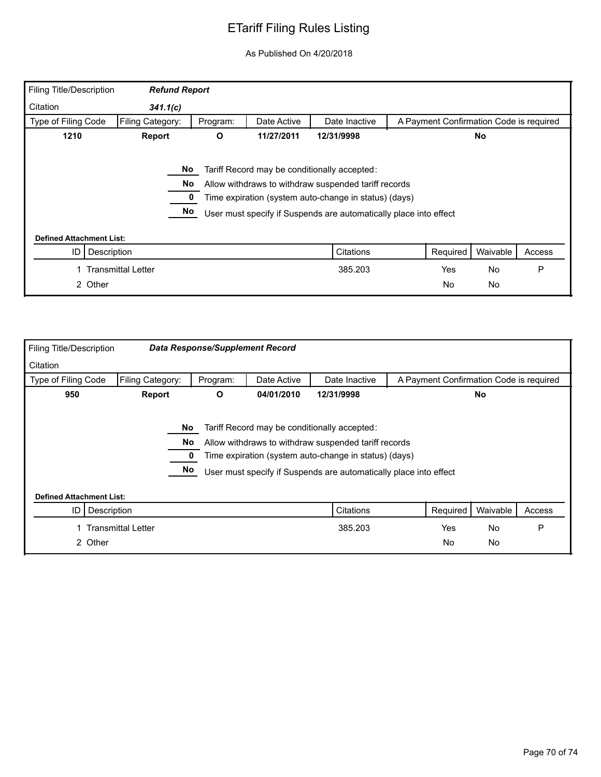| Filing Title/Description        | <b>Refund Report</b>      |                 |             |                                                                                                                                                                                                                                    |                                         |           |        |
|---------------------------------|---------------------------|-----------------|-------------|------------------------------------------------------------------------------------------------------------------------------------------------------------------------------------------------------------------------------------|-----------------------------------------|-----------|--------|
| Citation                        | 341.1(c)                  |                 |             |                                                                                                                                                                                                                                    |                                         |           |        |
| Type of Filing Code             | Filing Category:          | Program:        | Date Active | Date Inactive                                                                                                                                                                                                                      | A Payment Confirmation Code is required |           |        |
| 1210                            | <b>Report</b>             | О               | 11/27/2011  | 12/31/9998<br>No                                                                                                                                                                                                                   |                                         |           |        |
| <b>Defined Attachment List:</b> |                           | No.<br>No<br>No |             | Tariff Record may be conditionally accepted:<br>Allow withdraws to withdraw suspended tariff records<br>Time expiration (system auto-change in status) (days)<br>User must specify if Suspends are automatically place into effect |                                         |           |        |
| ID                              | Description               |                 |             | Citations                                                                                                                                                                                                                          | Required                                | Waivable  | Access |
|                                 | <b>Transmittal Letter</b> |                 |             | 385.203                                                                                                                                                                                                                            | <b>Yes</b>                              | <b>No</b> | P      |
|                                 | 2 Other                   |                 |             |                                                                                                                                                                                                                                    | <b>No</b>                               | No        |        |

| <b>Filing Title/Description</b> |                                                      | <b>Data Response/Supplement Record</b> |             |                                                                                                                                                                                                                                    |                                         |           |        |
|---------------------------------|------------------------------------------------------|----------------------------------------|-------------|------------------------------------------------------------------------------------------------------------------------------------------------------------------------------------------------------------------------------------|-----------------------------------------|-----------|--------|
| Citation                        |                                                      |                                        |             |                                                                                                                                                                                                                                    |                                         |           |        |
| Type of Filing Code             | Filing Category:                                     | Program:                               | Date Active | Date Inactive                                                                                                                                                                                                                      | A Payment Confirmation Code is required |           |        |
| 950                             | 04/01/2010<br>O<br>12/31/9998<br><b>No</b><br>Report |                                        |             |                                                                                                                                                                                                                                    |                                         |           |        |
| <b>Defined Attachment List:</b> | No.<br>No.<br>No                                     |                                        |             | Tariff Record may be conditionally accepted:<br>Allow withdraws to withdraw suspended tariff records<br>Time expiration (system auto-change in status) (days)<br>User must specify if Suspends are automatically place into effect |                                         |           |        |
| Description<br>ID               |                                                      |                                        |             | Citations                                                                                                                                                                                                                          | Required                                | Waivable  | Access |
|                                 | <b>Transmittal Letter</b>                            |                                        |             | 385.203                                                                                                                                                                                                                            | <b>Yes</b>                              | <b>No</b> | P      |
| 2 Other                         |                                                      |                                        |             |                                                                                                                                                                                                                                    | No                                      | <b>No</b> |        |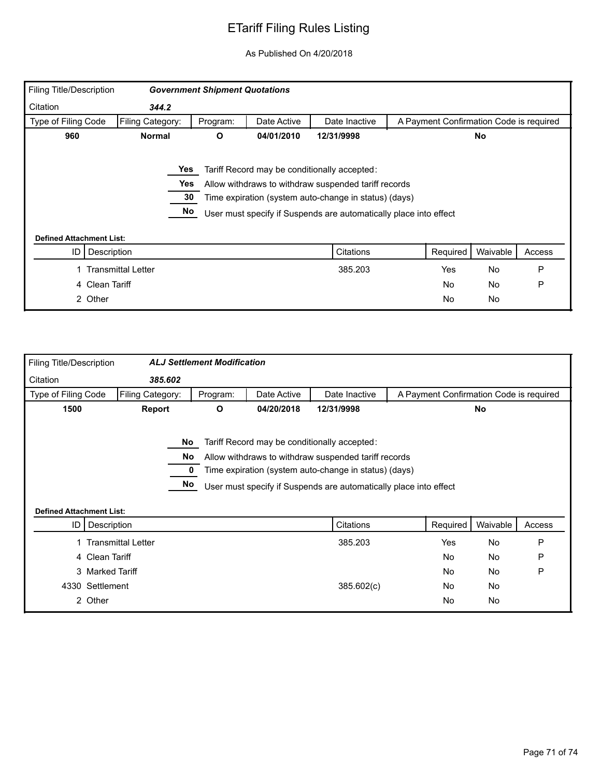| Filing Title/Description        |                           | <b>Government Shipment Quotations</b> |             |                                                                   |                                         |          |        |
|---------------------------------|---------------------------|---------------------------------------|-------------|-------------------------------------------------------------------|-----------------------------------------|----------|--------|
| Citation                        | 344.2                     |                                       |             |                                                                   |                                         |          |        |
| Type of Filing Code             | Filing Category:          | Program:                              | Date Active | Date Inactive                                                     | A Payment Confirmation Code is required |          |        |
| 960                             | <b>Normal</b>             | O                                     | 04/01/2010  | 12/31/9998                                                        | <b>No</b>                               |          |        |
|                                 |                           |                                       |             |                                                                   |                                         |          |        |
|                                 | Yes                       |                                       |             | Tariff Record may be conditionally accepted:                      |                                         |          |        |
|                                 | Yes                       |                                       |             | Allow withdraws to withdraw suspended tariff records              |                                         |          |        |
|                                 | 30                        |                                       |             | Time expiration (system auto-change in status) (days)             |                                         |          |        |
|                                 | No                        |                                       |             | User must specify if Suspends are automatically place into effect |                                         |          |        |
|                                 |                           |                                       |             |                                                                   |                                         |          |        |
| <b>Defined Attachment List:</b> |                           |                                       |             |                                                                   |                                         |          |        |
| ID                              | Description               |                                       |             | Citations                                                         | Required                                | Waivable | Access |
|                                 | <b>Transmittal Letter</b> |                                       |             | 385.203                                                           | <b>Yes</b>                              | No       | P      |
| 4 Clean Tariff                  |                           |                                       |             |                                                                   | <b>No</b>                               | No       | P      |
| 2 Other                         |                           |                                       |             |                                                                   | <b>No</b>                               | No       |        |

| Filing Title/Description |                                 | <b>ALJ Settlement Modification</b> |             |                                                                                                                                                                                                                                    |                                         |           |        |
|--------------------------|---------------------------------|------------------------------------|-------------|------------------------------------------------------------------------------------------------------------------------------------------------------------------------------------------------------------------------------------|-----------------------------------------|-----------|--------|
| Citation                 | 385.602                         |                                    |             |                                                                                                                                                                                                                                    |                                         |           |        |
| Type of Filing Code      | Filing Category:                | Program:                           | Date Active | Date Inactive                                                                                                                                                                                                                      | A Payment Confirmation Code is required |           |        |
| 1500                     | Report                          | O                                  | 04/20/2018  | 12/31/9998                                                                                                                                                                                                                         |                                         | <b>No</b> |        |
|                          | No<br>No.<br>No                 |                                    |             | Tariff Record may be conditionally accepted:<br>Allow withdraws to withdraw suspended tariff records<br>Time expiration (system auto-change in status) (days)<br>User must specify if Suspends are automatically place into effect |                                         |           |        |
|                          | <b>Defined Attachment List:</b> |                                    |             |                                                                                                                                                                                                                                    |                                         |           |        |
| ID I                     | Description                     |                                    |             | Citations                                                                                                                                                                                                                          | Required                                | Waivable  | Access |
|                          | <b>Transmittal Letter</b>       |                                    |             | 385.203                                                                                                                                                                                                                            | Yes                                     | No        | P      |
|                          | 4 Clean Tariff                  |                                    |             |                                                                                                                                                                                                                                    | No                                      | No        | P      |
|                          | 3 Marked Tariff                 |                                    |             |                                                                                                                                                                                                                                    | <b>No</b>                               | No        | P      |
|                          | 4330 Settlement                 |                                    |             | 385.602(c)                                                                                                                                                                                                                         | No                                      | No        |        |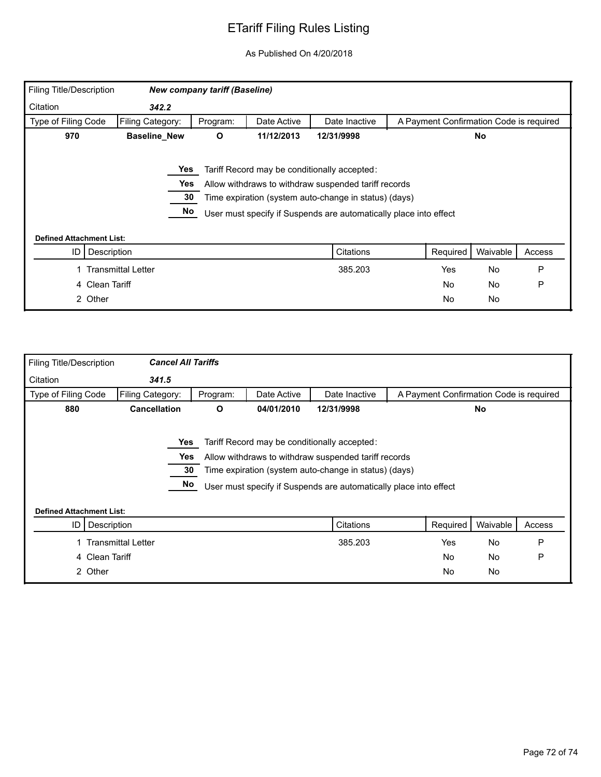| Filing Title/Description        |                           | <b>New company tariff (Baseline)</b> |             |                                                                   |                                         |          |        |
|---------------------------------|---------------------------|--------------------------------------|-------------|-------------------------------------------------------------------|-----------------------------------------|----------|--------|
| Citation                        | 342.2                     |                                      |             |                                                                   |                                         |          |        |
| Type of Filing Code             | Filing Category:          | Program:                             | Date Active | Date Inactive                                                     | A Payment Confirmation Code is required |          |        |
| 970                             | <b>Baseline_New</b>       | O<br>11/12/2013<br>No<br>12/31/9998  |             |                                                                   |                                         |          |        |
|                                 |                           |                                      |             |                                                                   |                                         |          |        |
|                                 | Yes                       |                                      |             | Tariff Record may be conditionally accepted:                      |                                         |          |        |
|                                 | Yes                       |                                      |             | Allow withdraws to withdraw suspended tariff records              |                                         |          |        |
|                                 | 30                        |                                      |             | Time expiration (system auto-change in status) (days)             |                                         |          |        |
|                                 | No                        |                                      |             | User must specify if Suspends are automatically place into effect |                                         |          |        |
| <b>Defined Attachment List:</b> |                           |                                      |             |                                                                   |                                         |          |        |
| ID                              | Description               |                                      |             | Citations                                                         | Required                                | Waivable | Access |
|                                 | <b>Transmittal Letter</b> |                                      |             | 385.203                                                           | <b>Yes</b>                              | No       | P      |
|                                 | 4 Clean Tariff            |                                      |             |                                                                   | <b>No</b>                               | No       | P      |
|                                 | 2 Other                   |                                      |             |                                                                   | <b>No</b>                               | No       |        |

| <b>Filing Title/Description</b> | <b>Cancel All Tariffs</b> |          |             |                                                                   |                                         |           |        |
|---------------------------------|---------------------------|----------|-------------|-------------------------------------------------------------------|-----------------------------------------|-----------|--------|
| Citation                        | 341.5                     |          |             |                                                                   |                                         |           |        |
| Type of Filing Code             | Filing Category:          | Program: | Date Active | Date Inactive                                                     | A Payment Confirmation Code is required |           |        |
| 880                             | <b>Cancellation</b>       | O        | 04/01/2010  | 12/31/9998                                                        |                                         | <b>No</b> |        |
|                                 |                           |          |             |                                                                   |                                         |           |        |
|                                 | Yes                       |          |             | Tariff Record may be conditionally accepted:                      |                                         |           |        |
|                                 | Yes                       |          |             | Allow withdraws to withdraw suspended tariff records              |                                         |           |        |
|                                 | 30                        |          |             | Time expiration (system auto-change in status) (days)             |                                         |           |        |
|                                 | No                        |          |             | User must specify if Suspends are automatically place into effect |                                         |           |        |
|                                 |                           |          |             |                                                                   |                                         |           |        |
| <b>Defined Attachment List:</b> |                           |          |             |                                                                   |                                         |           |        |
| ID                              | Description               |          |             | Citations                                                         | Required                                | Waivable  | Access |
|                                 | <b>Transmittal Letter</b> |          |             | 385.203                                                           | Yes                                     | No        | P      |
|                                 |                           |          |             |                                                                   | No                                      | No        | P      |
| 4 Clean Tariff                  |                           |          |             |                                                                   |                                         |           |        |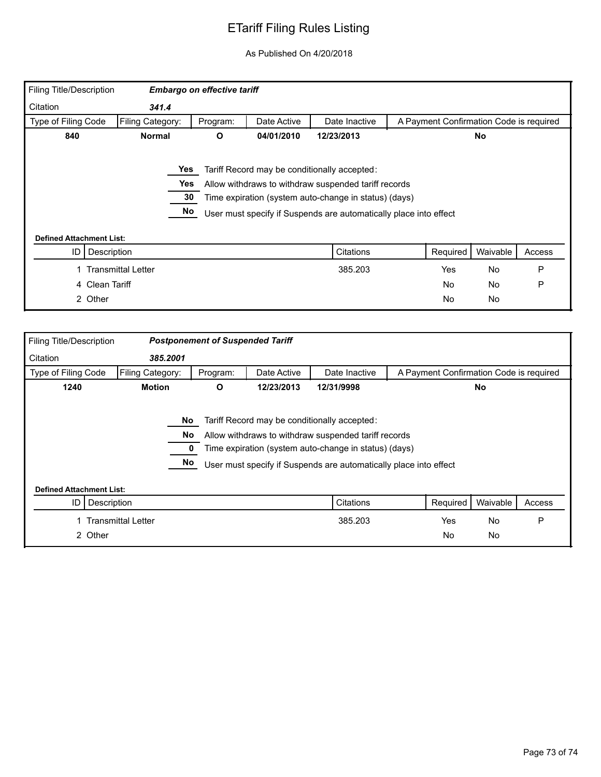## ETariff Filing Rules Listing

## As Published On 4/20/2018

| Filing Title/Description        |                           | <b>Embargo on effective tariff</b> |             |                                                                                                                                                                                                                                    |                                         |           |        |
|---------------------------------|---------------------------|------------------------------------|-------------|------------------------------------------------------------------------------------------------------------------------------------------------------------------------------------------------------------------------------------|-----------------------------------------|-----------|--------|
| Citation                        | 341.4                     |                                    |             |                                                                                                                                                                                                                                    |                                         |           |        |
| Type of Filing Code             | Filing Category:          | Program:                           | Date Active | Date Inactive                                                                                                                                                                                                                      | A Payment Confirmation Code is required |           |        |
| 840                             | <b>Normal</b>             | O                                  | 04/01/2010  | 12/23/2013                                                                                                                                                                                                                         | No                                      |           |        |
|                                 | Yes<br>Yes<br>30<br>No    |                                    |             | Tariff Record may be conditionally accepted:<br>Allow withdraws to withdraw suspended tariff records<br>Time expiration (system auto-change in status) (days)<br>User must specify if Suspends are automatically place into effect |                                         |           |        |
| <b>Defined Attachment List:</b> |                           |                                    |             |                                                                                                                                                                                                                                    |                                         |           |        |
| ID                              | Description               |                                    |             | Citations                                                                                                                                                                                                                          | Required                                | Waivable  | Access |
|                                 | <b>Transmittal Letter</b> |                                    |             | 385.203                                                                                                                                                                                                                            | <b>Yes</b>                              | <b>No</b> | P      |
|                                 | 4 Clean Tariff            |                                    |             |                                                                                                                                                                                                                                    | No                                      | <b>No</b> | P      |
|                                 | 2 Other                   |                                    |             |                                                                                                                                                                                                                                    | No                                      | No        |        |

| <b>Filing Title/Description</b>                      |                           | <b>Postponement of Suspended Tariff</b> |             |                                                                                                                                                                                                                                    |                                         |                        |        |
|------------------------------------------------------|---------------------------|-----------------------------------------|-------------|------------------------------------------------------------------------------------------------------------------------------------------------------------------------------------------------------------------------------------|-----------------------------------------|------------------------|--------|
| Citation                                             | 385,2001                  |                                         |             |                                                                                                                                                                                                                                    |                                         |                        |        |
| Type of Filing Code                                  | Filing Category:          | Program:                                | Date Active | Date Inactive                                                                                                                                                                                                                      | A Payment Confirmation Code is required |                        |        |
| 1240                                                 | <b>Motion</b>             | O                                       | 12/23/2013  | 12/31/9998                                                                                                                                                                                                                         | <b>No</b>                               |                        |        |
|                                                      | <b>No</b><br>No<br>No     |                                         |             | Tariff Record may be conditionally accepted:<br>Allow withdraws to withdraw suspended tariff records<br>Time expiration (system auto-change in status) (days)<br>User must specify if Suspends are automatically place into effect |                                         |                        |        |
| <b>Defined Attachment List:</b><br>Description<br>ID |                           |                                         |             | Citations                                                                                                                                                                                                                          | Required                                | Waivable               | Access |
| 2 Other                                              | <b>Transmittal Letter</b> |                                         |             | 385.203                                                                                                                                                                                                                            | Yes<br>No                               | <b>No</b><br><b>No</b> | P      |